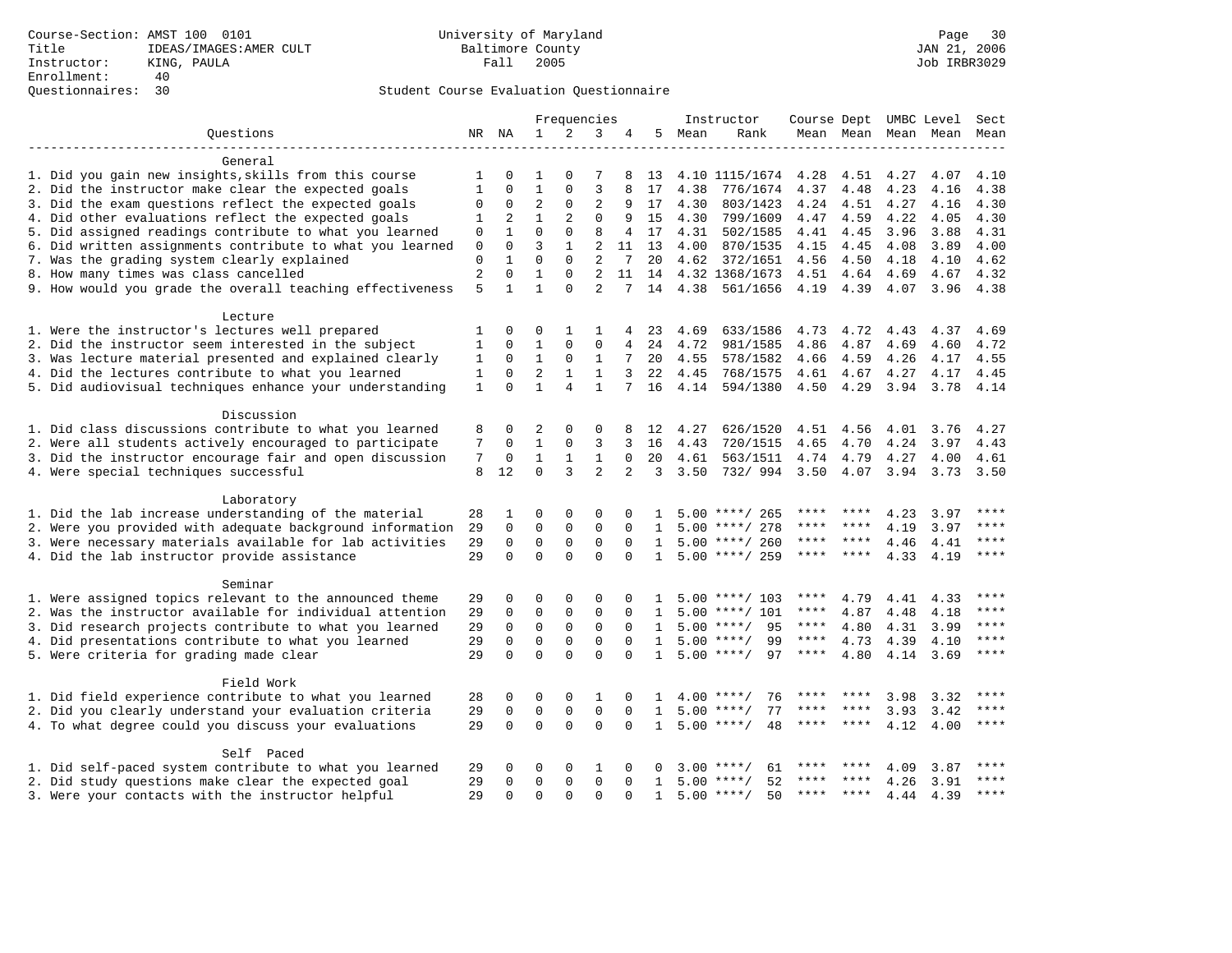|                                                           |              |               |                |                          | Frequencies          |                |              |      | Instructor         | Course Dept UMBC Level |             |                     |      | Sect  |
|-----------------------------------------------------------|--------------|---------------|----------------|--------------------------|----------------------|----------------|--------------|------|--------------------|------------------------|-------------|---------------------|------|-------|
| Ouestions                                                 |              | NR NA         | $\mathbf{1}$   | 2                        | 3                    | 4              | 5            | Mean | Rank               |                        |             | Mean Mean Mean Mean |      | Mean  |
|                                                           |              |               |                |                          |                      |                |              |      |                    |                        |             |                     |      |       |
| General                                                   |              |               |                |                          |                      |                |              |      |                    |                        |             |                     |      |       |
| 1. Did you gain new insights, skills from this course     | 1            | 0             | 1              | $\Omega$                 | 7                    | 8              | 13           |      | 4.10 1115/1674     | 4.28                   | 4.51        | 4.27                | 4.07 | 4.10  |
| 2. Did the instructor make clear the expected goals       | 1            | $\Omega$      | 1              | $\mathbf 0$              | 3                    |                | 17           | 4.38 | 776/1674           | 4.37                   | 4.48        | 4.23                | 4.16 | 4.38  |
| 3. Did the exam questions reflect the expected goals      | $\Omega$     | $\mathbf 0$   | $\overline{2}$ | $\Omega$                 | $\overline{2}$       | 9              | 17           | 4.30 | 803/1423           | 4.24                   | 4.51        | 4.27                | 4.16 | 4.30  |
| 4. Did other evaluations reflect the expected goals       | 1            | 2             | $\mathbf{1}$   | 2                        | $\Omega$             | 9              | 15           | 4.30 | 799/1609           | 4.47                   | 4.59        | 4.22                | 4.05 | 4.30  |
| 5. Did assigned readings contribute to what you learned   | 0            | $\mathbf{1}$  | $\Omega$       | $\Omega$                 | 8                    | 4              | 17           | 4.31 | 502/1585           | 4.41                   | 4.45        | 3.96                | 3.88 | 4.31  |
| 6. Did written assignments contribute to what you learned | $\mathbf 0$  | $\Omega$      | $\overline{3}$ | $\mathbf{1}$             | $\overline{a}$       |                | 11 13        | 4.00 | 870/1535           | 4.15                   | 4.45        | 4.08                | 3.89 | 4.00  |
| 7. Was the grading system clearly explained               | 0            | $\mathbf{1}$  | $\Omega$       | $\Omega$                 | 2                    | 7              | 20           | 4.62 | 372/1651           | 4.56                   | 4.50        | 4.18                | 4.10 | 4.62  |
| 8. How many times was class cancelled                     | 2            | $\Omega$      | $\mathbf{1}$   | $\Omega$                 | $\overline{a}$       | 11             | 14           |      | 4.32 1368/1673     | 4.51                   | 4.64        | 4.69                | 4.67 | 4.32  |
| 9. How would you grade the overall teaching effectiveness | 5            | $\mathbf{1}$  | $\mathbf{1}$   | $\Omega$                 | $\overline{2}$       |                | 14           | 4.38 | 561/1656           | 4.19                   | 4.39        | 4.07                | 3.96 | 4.38  |
| Lecture                                                   |              |               |                |                          |                      |                |              |      |                    |                        |             |                     |      |       |
| 1. Were the instructor's lectures well prepared           | 1            | 0             | 0              | 1                        | 1                    | 4              | 23           | 4.69 | 633/1586           | 4.73                   | 4.72        | 4.43                | 4.37 | 4.69  |
| 2. Did the instructor seem interested in the subject      | 1            | $\Omega$      | 1              | $\mathbf 0$              | 0                    | 4              | 24           | 4.72 | 981/1585           | 4.86                   | 4.87        | 4.69                | 4.60 | 4.72  |
| 3. Was lecture material presented and explained clearly   | 1            | $\mathbf 0$   | 1              | 0                        | 1                    | 7              | 20           | 4.55 | 578/1582           | 4.66                   | 4.59        | 4.26                | 4.17 | 4.55  |
| 4. Did the lectures contribute to what you learned        | 1            | 0             | 2              | $\mathbf{1}$             | 1                    | 3              | 22           | 4.45 | 768/1575           | 4.61                   | 4.67 4.27   |                     | 4.17 | 4.45  |
| 5. Did audiovisual techniques enhance your understanding  | $\mathbf{1}$ | $\Omega$      | $\mathbf{1}$   | $\overline{4}$           | $\mathbf{1}$         | 7              | 16           | 4.14 | 594/1380           | 4.50                   | 4.29        | 3.94                | 3.78 | 4.14  |
|                                                           |              |               |                |                          |                      |                |              |      |                    |                        |             |                     |      |       |
| Discussion                                                |              |               |                |                          |                      |                |              |      |                    |                        |             |                     |      |       |
| 1. Did class discussions contribute to what you learned   | 8            | $\Omega$      | 2              | $\Omega$                 | $\Omega$             | 8              | 12           | 4.27 | 626/1520           | 4.51                   | 4.56        | 4.01                | 3.76 | 4.27  |
| 2. Were all students actively encouraged to participate   | 7            | $\Omega$      | $\mathbf{1}$   | $\mathbf{0}$             | 3                    | 3              | 16           | 4.43 | 720/1515           | 4.65                   | 4.70        | 4.24                | 3.97 | 4.43  |
| 3. Did the instructor encourage fair and open discussion  | 7            | 0             | $\mathbf{1}$   | $\mathbf{1}$             | $\mathbf{1}$         | $\Omega$       | 20           | 4.61 | 563/1511           | 4.74                   | 4.79        | 4.27                | 4.00 | 4.61  |
| 4. Were special techniques successful                     | 8            | 12            | $\Omega$       | 3                        | $\overline{2}$       | $\overline{a}$ | 3            | 3.50 | 732/ 994 3.50      |                        | 4.07        | 3.94                | 3.73 | 3.50  |
| Laboratory                                                |              |               |                |                          |                      |                |              |      |                    |                        |             |                     |      |       |
| 1. Did the lab increase understanding of the material     | 28           | 1             | 0              | $\mathbf 0$              | $\Omega$             | $\Omega$       |              |      | $5.00$ ****/ 265   | ****                   | ****        | 4.23                | 3.97 |       |
| 2. Were you provided with adequate background information | 29           | $\mathbf 0$   | $\mathbf 0$    | $\mathbf 0$              | $\mathbf 0$          | 0              | 1            |      | $5.00$ ****/ 278   | ****                   | ****        | 4.19                | 3.97 | ****  |
| 3. Were necessary materials available for lab activities  | 29           | $\mathbf 0$   | $\mathbf 0$    | $\mathbf{0}$             | $\mathbf 0$          | $\Omega$       | $\mathbf{1}$ |      | $5.00$ ****/ 260   | ****                   | $***$ * * * | 4.46                | 4.41 | ****  |
| 4. Did the lab instructor provide assistance              | 29           | $\Omega$      | $\Omega$       | $\Omega$                 | $\Omega$             |                | $\mathbf{1}$ |      | $5.00$ ****/ 259   | ****                   | ****        | 4.33                | 4.19 | $***$ |
| Seminar                                                   |              |               |                |                          |                      |                |              |      |                    |                        |             |                     |      |       |
| 1. Were assigned topics relevant to the announced theme   | 29           | 0             | $\Omega$       | $\mathbf 0$              | $\Omega$             | 0              | 1            |      | $5.00$ ****/ 103   | ****                   | 4.79        | 4.41                | 4.33 |       |
| 2. Was the instructor available for individual attention  | 29           | $\Omega$      | 0              | $\mathbf 0$              | $\Omega$             | $\Omega$       | 1            |      | $5.00$ ****/ 101   | ****                   | 4.87        | 4.48                | 4.18 |       |
| 3. Did research projects contribute to what you learned   | 29           | $\mathbf 0$   | $\mathbf 0$    | $\mathbf{0}$             | $\Omega$             | $\Omega$       | 1            |      | 95<br>$5.00$ ****/ | $***$ * * *            | 4.80        | 4.31                | 3.99 | $***$ |
|                                                           |              |               |                |                          |                      |                |              |      |                    | $***$ * * *            |             |                     |      | $***$ |
| 4. Did presentations contribute to what you learned       | 29           | 0<br>$\Omega$ | $\Omega$       | $\mathbf{0}$<br>$\Omega$ | $\Omega$<br>$\Omega$ | $\Omega$       | $\mathbf{1}$ |      | $5.00$ ****/<br>99 |                        | 4.73        | 4.39                | 4.10 | $***$ |
| 5. Were criteria for grading made clear                   | 29           |               | $\Omega$       |                          |                      | $\Omega$       | $\mathbf{1}$ |      | $5.00$ ****/<br>97 | $***$ * * *            | 4.80        | 4.14                | 3.69 |       |
| Field Work                                                |              |               |                |                          |                      |                |              |      |                    |                        |             |                     |      |       |
| 1. Did field experience contribute to what you learned    | 28           | 0             | 0              | $\mathbf 0$              | 1                    | $\Omega$       | $\mathbf{1}$ |      | $4.00$ ****/<br>76 | ****                   |             | 3.98                | 3.32 | ****  |
| 2. Did you clearly understand your evaluation criteria    | 29           | $\mathbf 0$   | $\mathbf 0$    | $\mathbf{0}$             | $\mathbf 0$          | 0              | 1            | 5.00 | 77<br>$***$ /      |                        |             | 3.93                | 3.42 | ****  |
| 4. To what degree could you discuss your evaluations      | 29           | $\Omega$      | $\Omega$       | $\Omega$                 | $\Omega$             | $\Omega$       | $\mathbf{1}$ |      | $5.00$ ****/<br>48 | ****                   | $***$       | 4.12                | 4.00 | ****  |
| Self Paced                                                |              |               |                |                          |                      |                |              |      |                    |                        |             |                     |      |       |
| 1. Did self-paced system contribute to what you learned   | 29           | $\Omega$      | $\Omega$       | $\Omega$                 | 1                    | $\Omega$       |              |      | $3.00$ ****/<br>61 |                        |             | 4.09                | 3.87 |       |
| 2. Did study questions make clear the expected goal       | 29           | 0             | $\mathbf 0$    | $\Omega$                 | 0                    | $\Omega$       | $\mathbf{1}$ |      | $5.00$ ****/<br>52 |                        |             | 4.26                | 3.91 | ****  |
| 3. Were your contacts with the instructor helpful         | 29           | $\Omega$      | $\Omega$       | $\Omega$                 | $\Omega$             | ∩              | $\mathbf{1}$ |      | 50<br>$5.00$ ****/ |                        | $***$ *     | 4.44                | 4.39 | ****  |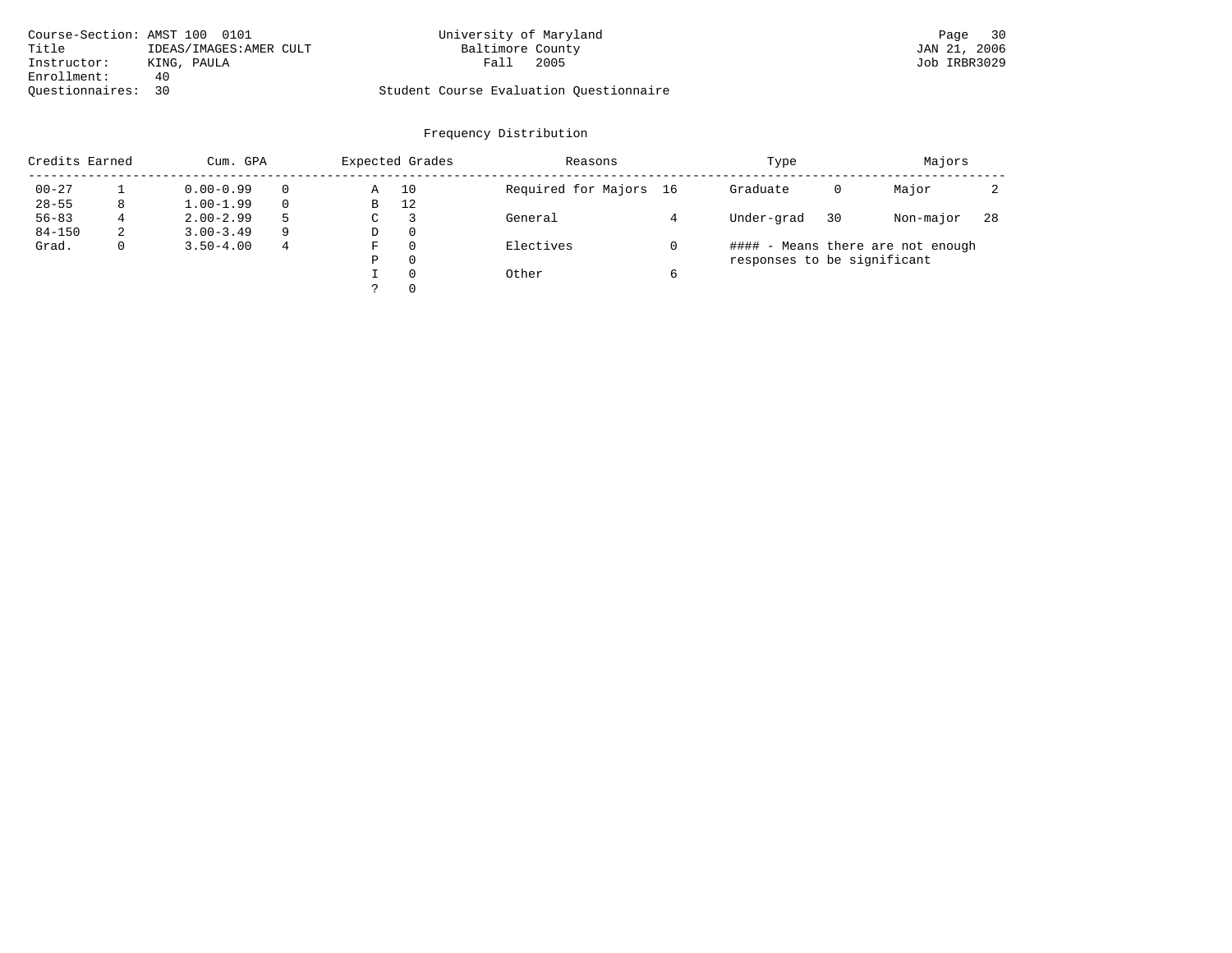|                    | Course-Section: AMST 100 0101 | University of Maryland                  | Page 30      |
|--------------------|-------------------------------|-----------------------------------------|--------------|
| Title              | IDEAS/IMAGES: AMER CULT       | Baltimore County                        | JAN 21, 2006 |
| Instructor:        | KING, PAULA                   | 2005<br>Fall                            | Job IRBR3029 |
| Enrollment:        | 40.                           |                                         |              |
| Ouestionnaires: 30 |                               | Student Course Evaluation Ouestionnaire |              |

| Credits Earned |   | Cum. GPA      |   | Expected Grades | Reasons  |                        | Type |                             | Majors |                                   |     |
|----------------|---|---------------|---|-----------------|----------|------------------------|------|-----------------------------|--------|-----------------------------------|-----|
| $00 - 27$      |   | $0.00 - 0.99$ |   | Α               | 10       | Required for Majors 16 |      | Graduate                    | 0      | Major                             |     |
| $28 - 55$      | 8 | $1.00 - 1.99$ |   | B               | 12       |                        |      |                             |        |                                   |     |
| $56 - 83$      | 4 | $2.00 - 2.99$ | 5 | $\sim$<br>◡     |          | General                |      | Under-grad                  | 30     | Non-major                         | -28 |
| $84 - 150$     | 2 | $3.00 - 3.49$ | 9 | D               | 0        |                        |      |                             |        |                                   |     |
| Grad.          | 0 | $3.50 - 4.00$ | 4 | F               | 0        | Electives              |      |                             |        | #### - Means there are not enough |     |
|                |   |               |   | Ρ               | 0        |                        |      | responses to be significant |        |                                   |     |
|                |   |               |   |                 | $\Omega$ | Other                  | 6    |                             |        |                                   |     |
|                |   |               |   | っ               | 0        |                        |      |                             |        |                                   |     |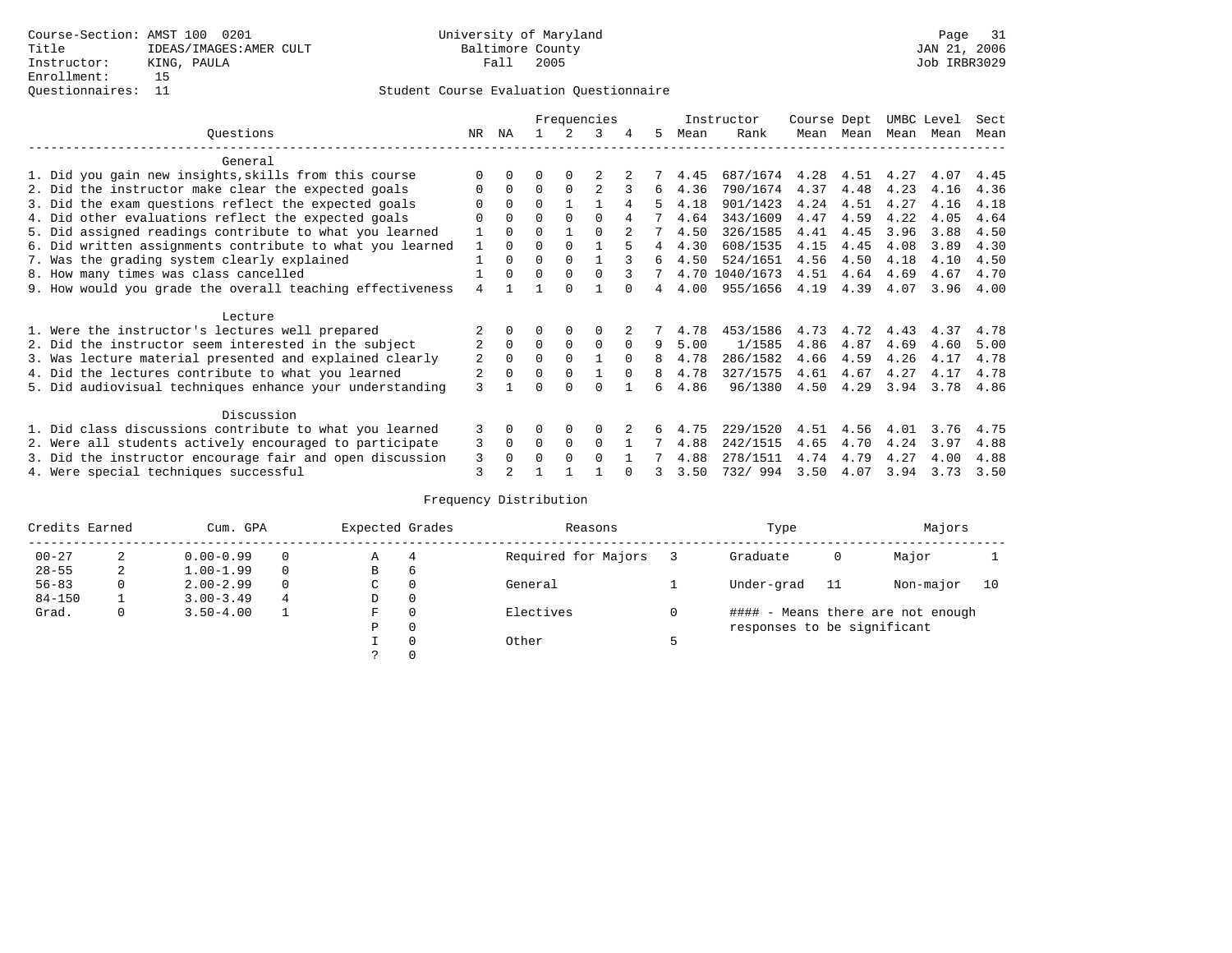|                                                          |                                                           |              |          | Frequencies |               |          | Instructor |    | Course Dept |                | UMBC Level |           | Sect |      |      |
|----------------------------------------------------------|-----------------------------------------------------------|--------------|----------|-------------|---------------|----------|------------|----|-------------|----------------|------------|-----------|------|------|------|
|                                                          | Ouestions                                                 | NR           | ΝA       |             | $\mathcal{L}$ | २        | 4          | 5  | Mean        | Rank           |            | Mean Mean | Mean | Mean | Mean |
|                                                          | General                                                   |              |          |             |               |          |            |    |             |                |            |           |      |      |      |
|                                                          | 1. Did you gain new insights, skills from this course     |              | $\Omega$ | 0           | $\Omega$      |          |            |    | 4.45        | 687/1674       | 4.28       | 4.51      | 4.27 | 4.07 | 4.45 |
|                                                          | 2. Did the instructor make clear the expected goals       | <sup>0</sup> | $\Omega$ | $\Omega$    | $\Omega$      | 2        |            | 6  | 4.36        | 790/1674       | 4.37       | 4.48      | 4.23 | 4.16 | 4.36 |
|                                                          | 3. Did the exam questions reflect the expected goals      |              | $\Omega$ | $\Omega$    |               |          | 4          | 5  | 4.18        | 901/1423       | 4.24       | 4.51      | 4.27 | 4.16 | 4.18 |
|                                                          | 4. Did other evaluations reflect the expected goals       | $\Omega$     | $\Omega$ | 0           | $\Omega$      |          | 4          |    | 4.64        | 343/1609       | 4.47       | 4.59      | 4.22 | 4.05 | 4.64 |
|                                                          | 5. Did assigned readings contribute to what you learned   |              | $\Omega$ | $\Omega$    |               | $\Omega$ |            |    | 4.50        | 326/1585       | 4.41       | 4.45      | 3.96 | 3.88 | 4.50 |
|                                                          | 6. Did written assignments contribute to what you learned | 1            | $\Omega$ | U           | $\Omega$      |          | 5          | 4  | 4.30        | 608/1535       | 4.15       | 4.45      | 4.08 | 3.89 | 4.30 |
|                                                          | 7. Was the grading system clearly explained               |              | $\Omega$ | 0           | $\Omega$      |          |            | 6  | 4.50        | 524/1651       | 4.56       | 4.50      | 4.18 | 4.10 | 4.50 |
|                                                          | 8. How many times was class cancelled                     |              | 0        | 0           | $\Omega$      | $\Omega$ |            |    |             | 4.70 1040/1673 | 4.51       | 4.64      | 4.69 | 4.67 | 4.70 |
|                                                          | 9. How would you grade the overall teaching effectiveness | 4            |          |             | <sup>n</sup>  |          |            | 4  | 4.00        | 955/1656       | 4.19       | 4.39      | 4.07 | 3.96 | 4.00 |
|                                                          | Lecture                                                   |              |          |             |               |          |            |    |             |                |            |           |      |      |      |
|                                                          | 1. Were the instructor's lectures well prepared           |              |          |             | $\Omega$      |          |            |    | 4.78        | 453/1586       | 4.73       | 4.72      | 4.43 | 4.37 | 4.78 |
|                                                          | 2. Did the instructor seem interested in the subject      | 2            | $\Omega$ | $\Omega$    | $\mathbf 0$   | 0        | $\Omega$   | 9  | 5.00        | 1/1585         | 4.86       | 4.87      | 4.69 | 4.60 | 5.00 |
|                                                          | 3. Was lecture material presented and explained clearly   | 2            | $\Omega$ | $\Omega$    | $\Omega$      |          | $\Omega$   | 8  | 4.78        | 286/1582       | 4.66       | 4.59      | 4.26 | 4.17 | 4.78 |
|                                                          | 4. Did the lectures contribute to what you learned        | 2            | $\Omega$ | $\Omega$    | $\Omega$      |          |            | 8  | 4.78        | 327/1575       | 4.61       | 4.67      | 4.27 | 4.17 | 4.78 |
|                                                          | 5. Did audiovisual techniques enhance your understanding  | 3            |          |             |               |          |            | б. | 4.86        | 96/1380        | 4.50       | 4.29      | 3.94 | 3.78 | 4.86 |
|                                                          | Discussion                                                |              |          |             |               |          |            |    |             |                |            |           |      |      |      |
|                                                          | 1. Did class discussions contribute to what you learned   | 3            | $\Omega$ | U           | $\Omega$      |          |            | 6. | 4.75        | 229/1520       | 4.51       | 4.56      | 4.01 | 3.76 | 4.75 |
| 2. Were all students actively encouraged to participate  |                                                           |              |          | $\Omega$    | $\Omega$      | $\Omega$ |            |    | 4.88        | 242/1515       | 4.65       | 4.70      | 4.24 | 3.97 | 4.88 |
| 3. Did the instructor encourage fair and open discussion |                                                           |              |          | U           | $\Omega$      | $\Omega$ |            |    | 4.88        | 278/1511       | 4.74       | 4.79      | 4.27 | 4.00 | 4.88 |
|                                                          | 4. Were special techniques successful                     | 3            |          |             |               |          |            |    | 3.50        | 732/994        | 3.50       | 4.07      | 3.94 | 3.73 | 3.50 |

| Credits Earned |   | Cum. GPA      | Expected Grades |             | Reasons  |                     | Type |                             | Majors |                                   |    |
|----------------|---|---------------|-----------------|-------------|----------|---------------------|------|-----------------------------|--------|-----------------------------------|----|
| $00 - 27$      | 2 | $0.00 - 0.99$ |                 | А           | 4        | Required for Majors |      | Graduate                    | 0      | Major                             |    |
| $28 - 55$      | 2 | $1.00 - 1.99$ |                 | В           | 6        |                     |      |                             |        |                                   |    |
| $56 - 83$      | 0 | $2.00 - 2.99$ |                 | $\sim$<br>◡ | 0        | General             |      | Under-grad                  | 11     | Non-major                         | 10 |
| $84 - 150$     |   | $3.00 - 3.49$ | 4               | D           | 0        |                     |      |                             |        |                                   |    |
| Grad.          | 0 | $3.50 - 4.00$ |                 | F           | 0        | Electives           | 0    |                             |        | #### - Means there are not enough |    |
|                |   |               |                 | Ρ           | 0        |                     |      | responses to be significant |        |                                   |    |
|                |   |               |                 |             | $\Omega$ | Other               |      |                             |        |                                   |    |
|                |   |               |                 |             |          |                     |      |                             |        |                                   |    |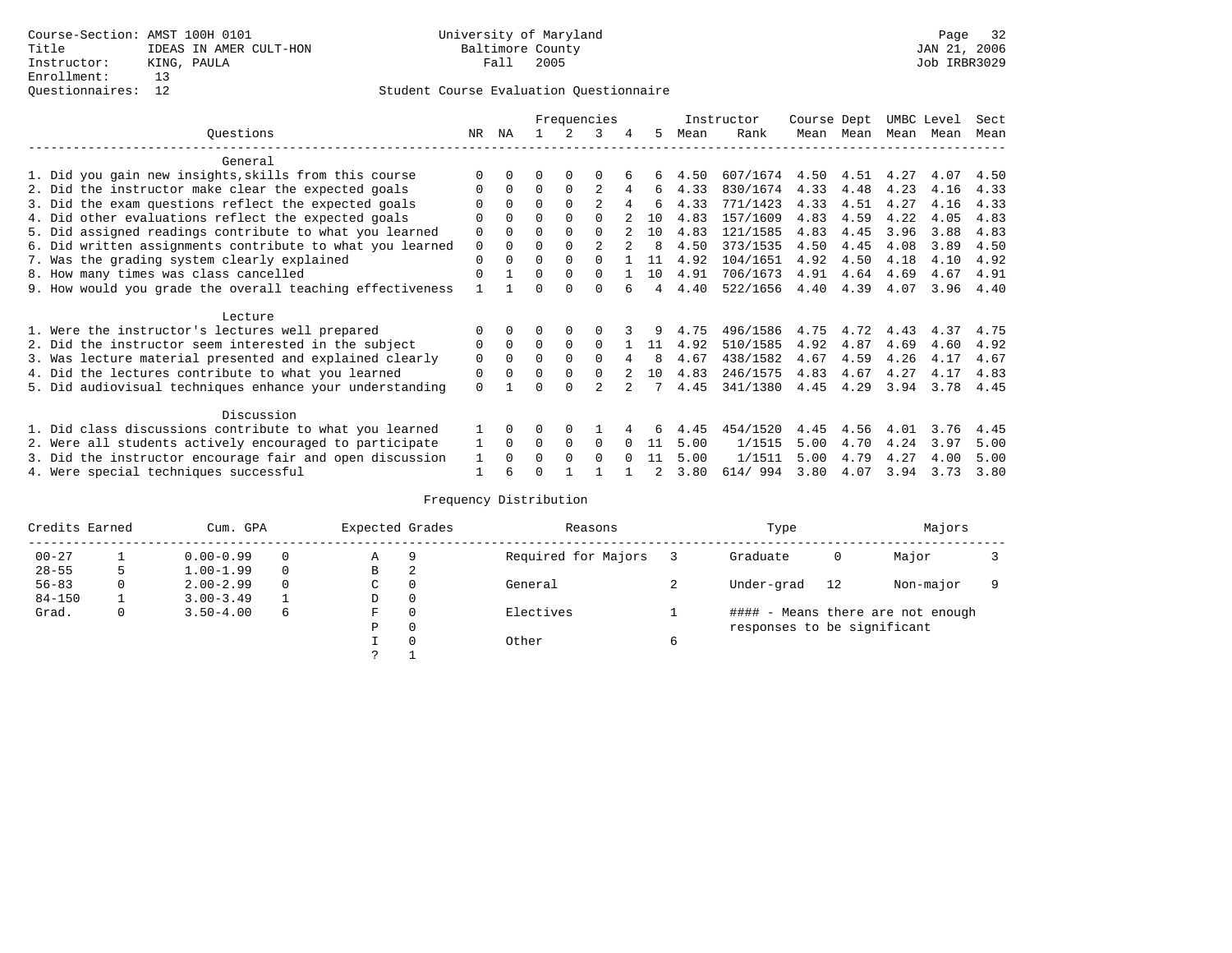|                                                           |             |          |          |          | Frequencies    |        |              |      | Instructor | Course Dept |           | UMBC Level |      | Sect |
|-----------------------------------------------------------|-------------|----------|----------|----------|----------------|--------|--------------|------|------------|-------------|-----------|------------|------|------|
| Ouestions                                                 | NR.         | ΝA       |          |          | 3              | 4      | 5.           | Mean | Rank       |             | Mean Mean | Mean       | Mean | Mean |
| General                                                   |             |          |          |          |                |        |              |      |            |             |           |            |      |      |
| 1. Did you gain new insights, skills from this course     |             | $\Omega$ | 0        | $\Omega$ | O              |        | 6            | 4.50 | 607/1674   | 4.50        | 4.51      | 4.27       | 4.07 | 4.50 |
| 2. Did the instructor make clear the expected goals       | O           | $\Omega$ | $\Omega$ | $\Omega$ | $\overline{c}$ |        | 6            | 4.33 | 830/1674   | 4.33        | 4.48      | 4.23       | 4.16 | 4.33 |
| 3. Did the exam questions reflect the expected goals      |             | $\Omega$ | $\Omega$ | $\Omega$ | $\mathfrak{D}$ |        | б.           | 4.33 | 771/1423   | 4.33        | 4.51      | 4.27       | 4.16 | 4.33 |
| 4. Did other evaluations reflect the expected goals       | O           | $\Omega$ | $\Omega$ | $\Omega$ | $\Omega$       |        | 1 N          | 4.83 | 157/1609   | 4.83        | 4.59      | 4.22       | 4.05 | 4.83 |
| 5. Did assigned readings contribute to what you learned   | $\mathbf 0$ | $\Omega$ | $\Omega$ | $\Omega$ | $\Omega$       |        | 10           | 4.83 | 121/1585   | 4.83        | 4.45      | 3.96       | 3.88 | 4.83 |
| 6. Did written assignments contribute to what you learned | $\mathbf 0$ | $\Omega$ | 0        | $\Omega$ | $\mathfrak{D}$ |        | $\mathsf{R}$ | 4.50 | 373/1535   | 4.50        | 4.45      | 4.08       | 3.89 | 4.50 |
| 7. Was the grading system clearly explained               | $\mathbf 0$ | $\Omega$ | $\Omega$ | $\Omega$ |                |        | 11           | 4.92 | 104/1651   | 4.92        | 4.50      | 4.18       | 4.10 | 4.92 |
| 8. How many times was class cancelled                     | $\Omega$    |          | 0        | $\Omega$ | $\Omega$       |        | 10           | 4.91 | 706/1673   | 4.91        | 4.64      | 4.69       | 4.67 | 4.91 |
| 9. How would you grade the overall teaching effectiveness |             |          | ∩        | ∩        | U              |        | 4            | 4.40 | 522/1656   | 4.40        | 4.39      | 4.07       | 3.96 | 4.40 |
| Lecture                                                   |             |          |          |          |                |        |              |      |            |             |           |            |      |      |
| 1. Were the instructor's lectures well prepared           | O           |          |          |          |                |        |              | 4.75 | 496/1586   | 4.75        | 4.72      | 4.43       | 4.37 | 4.75 |
| 2. Did the instructor seem interested in the subject      | 0           | $\Omega$ | $\Omega$ | $\Omega$ | $\Omega$       |        | 11           | 4.92 | 510/1585   | 4.92        | 4.87      | 4.69       | 4.60 | 4.92 |
| 3. Was lecture material presented and explained clearly   | 0           | $\Omega$ | 0        | $\Omega$ | $\Omega$       |        | 8            | 4.67 | 438/1582   | 4.67        | 4.59      | 4.26       | 4.17 | 4.67 |
| 4. Did the lectures contribute to what you learned        | 0           | $\Omega$ | $\Omega$ | $\Omega$ | $\Omega$       |        | 10           | 4.83 | 246/1575   | 4.83        | 4.67      | 4.27       | 4.17 | 4.83 |
| 5. Did audiovisual techniques enhance your understanding  | $\Omega$    |          |          | $\cap$   |                |        |              | 4.45 | 341/1380   | 4.45        | 4.29      | 3.94       | 3.78 | 4.45 |
| Discussion                                                |             |          |          |          |                |        |              |      |            |             |           |            |      |      |
| 1. Did class discussions contribute to what you learned   |             |          | 0        | $\Omega$ |                |        | 6            | 4.45 | 454/1520   | 4.45        | 4.56      | 4.01       | 3.76 | 4.45 |
| 2. Were all students actively encouraged to participate   |             |          | $\Omega$ | $\Omega$ | $\Omega$       |        | 11           | 5.00 | 1/1515     | 5.00        | 4.70      | 4.24       | 3.97 | 5.00 |
| 3. Did the instructor encourage fair and open discussion  | 1           | $\Omega$ | 0        | $\Omega$ | $\Omega$       | $\cap$ | 11           | 5.00 | 1/1511     | 5.00        | 4.79      | 4.27       | 4.00 | 5.00 |
| 4. Were special techniques successful                     | 1           |          |          |          |                |        |              | 3.80 | 614/994    | 3.80        | 4.07      | 3.94       | 3.73 | 3.80 |

| Credits Earned |   | Cum. GPA      | Expected Grades |             | Reasons  |                     | Type |                             | Majors |                                   |  |
|----------------|---|---------------|-----------------|-------------|----------|---------------------|------|-----------------------------|--------|-----------------------------------|--|
| $00 - 27$      |   | $0.00 - 0.99$ |                 | Α           | 9        | Required for Majors |      | Graduate                    | 0      | Major                             |  |
| $28 - 55$      | 5 | $1.00 - 1.99$ |                 | В           | 2        |                     |      |                             |        |                                   |  |
| $56 - 83$      | 0 | $2.00 - 2.99$ |                 | $\sim$<br>◡ | 0        | General             |      | Under-grad                  | 12     | Non-major                         |  |
| $84 - 150$     |   | $3.00 - 3.49$ |                 | D           | 0        |                     |      |                             |        |                                   |  |
| Grad.          | 0 | $3.50 - 4.00$ | 6               | F           | 0        | Electives           |      |                             |        | #### - Means there are not enough |  |
|                |   |               |                 | Ρ           | 0        |                     |      | responses to be significant |        |                                   |  |
|                |   |               |                 |             | $\Omega$ | Other               | 6    |                             |        |                                   |  |
|                |   |               |                 | C           |          |                     |      |                             |        |                                   |  |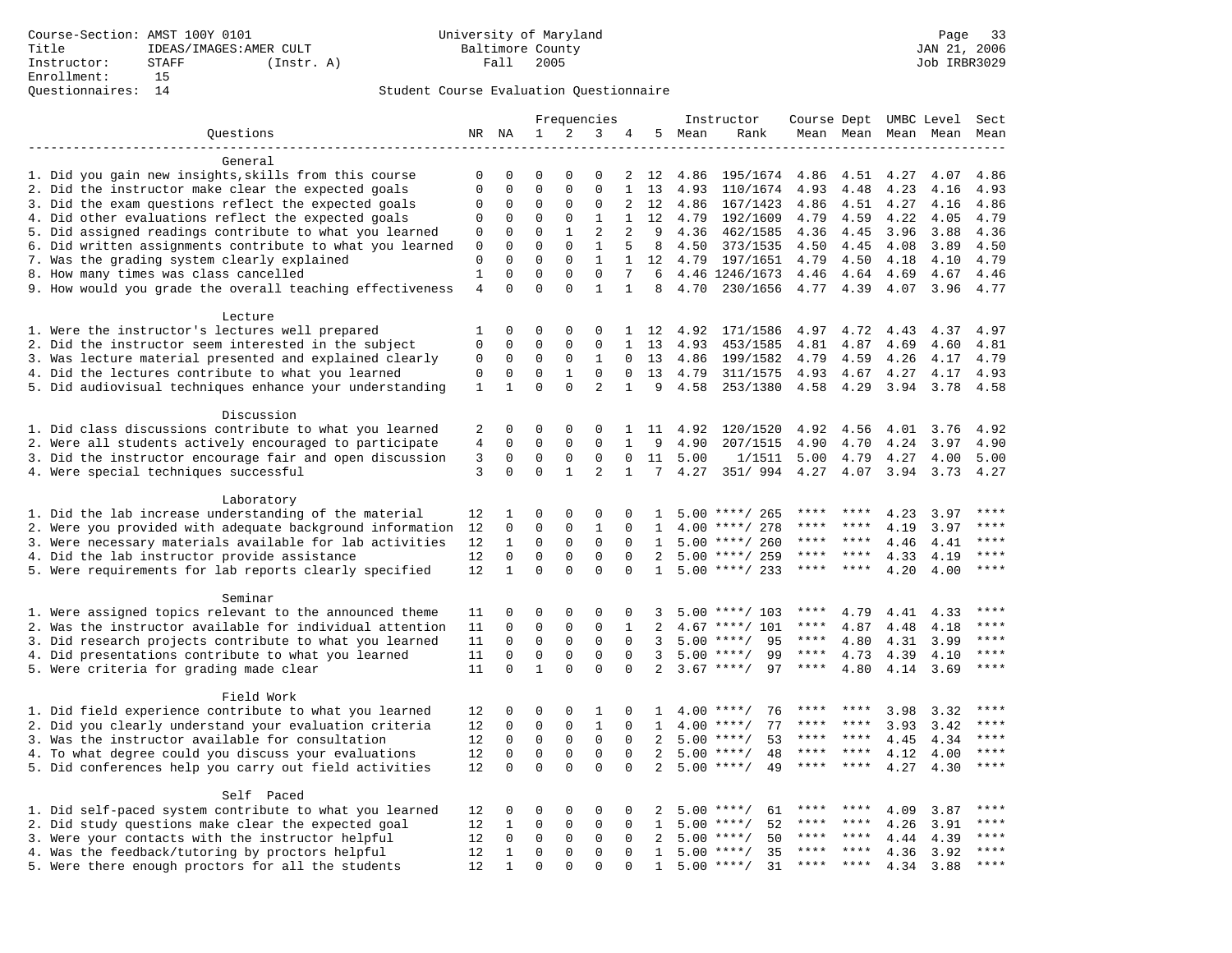|                                                           |                         |                         |                         |                          | Frequencies                 |                   |                |      | Instructor                 | Course Dept UMBC Level |              |      |              | Sect                |
|-----------------------------------------------------------|-------------------------|-------------------------|-------------------------|--------------------------|-----------------------------|-------------------|----------------|------|----------------------------|------------------------|--------------|------|--------------|---------------------|
| Questions                                                 |                         | NR NA                   | $\mathbf{1}$            | 2                        | 3                           | 4                 | 5              | Mean | Rank                       | Mean Mean              |              |      | Mean Mean    | Mean                |
|                                                           |                         |                         |                         |                          |                             |                   |                |      |                            |                        |              |      |              |                     |
| General                                                   |                         |                         |                         |                          |                             |                   |                |      |                            |                        |              |      |              |                     |
| 1. Did you gain new insights, skills from this course     | 0                       | 0                       | 0                       | $\Omega$                 | 0                           | 2                 | 12             | 4.86 | 195/1674                   | 4.86                   | 4.51         | 4.27 | 4.07         | 4.86                |
| 2. Did the instructor make clear the expected goals       | $\mathbf 0$             | $\mathbf 0$             | $\mathbf 0$             | $\Omega$                 | $\mathbf 0$                 | $\mathbf{1}$      | 13             | 4.93 | 110/1674                   | 4.93                   | 4.48         | 4.23 | 4.16         | 4.93                |
| 3. Did the exam questions reflect the expected goals      | 0                       | 0                       | 0                       | $\Omega$                 | $\mathbf 0$                 | 2                 | 12             | 4.86 | 167/1423                   | 4.86                   | 4.51         | 4.27 | 4.16         | 4.86                |
| 4. Did other evaluations reflect the expected goals       | $\mathbf 0$             | $\mathbf 0$             | $\mathbf 0$             | $\mathbf 0$              | $\mathbf{1}$                | $\mathbf{1}$      | 12             | 4.79 | 192/1609                   | 4.79                   | 4.59         | 4.22 | 4.05         | 4.79                |
| 5. Did assigned readings contribute to what you learned   | 0                       | $\mathbf 0$             | $\mathbf 0$             | $\mathbf{1}$             | $\overline{2}$              | 2                 | 9              | 4.36 | 462/1585                   | 4.36                   | 4.45         | 3.96 | 3.88         | 4.36                |
| 6. Did written assignments contribute to what you learned | $\mathbf{0}$            | $\mathbf 0$             | $\mathbf 0$             | $\Omega$                 | $\mathbf{1}$                | 5                 | 8              | 4.50 | 373/1535                   | 4.50                   | 4.45         | 4.08 | 3.89         | 4.50                |
| 7. Was the grading system clearly explained               | $\mathbf 0$             | $\Omega$                | $\Omega$<br>$\mathbf 0$ | $\Omega$                 | $\mathbf{1}$<br>$\mathbf 0$ | $\mathbf{1}$<br>7 | 12             | 4.79 | 197/1651                   | 4.79                   | 4.50         | 4.18 | 4.10         | 4.79                |
| 8. How many times was class cancelled                     | $1\,$<br>$\overline{4}$ | $\mathbf 0$<br>$\Omega$ | $\Omega$                | $\mathbf{0}$<br>$\Omega$ | $\mathbf{1}$                | $\mathbf{1}$      | 6<br>8         | 4.70 | 4.46 1246/1673<br>230/1656 | 4.46<br>4.77           | 4.64<br>4.39 | 4.69 | 4.67<br>3.96 | 4.46<br>4.77        |
| 9. How would you grade the overall teaching effectiveness |                         |                         |                         |                          |                             |                   |                |      |                            |                        |              | 4.07 |              |                     |
| Lecture                                                   |                         |                         |                         |                          |                             |                   |                |      |                            |                        |              |      |              |                     |
| 1. Were the instructor's lectures well prepared           | 1                       | 0                       | 0                       | 0                        | 0                           |                   | 1 12           | 4.92 | 171/1586                   | 4.97                   | 4.72         | 4.43 | 4.37         | 4.97                |
| 2. Did the instructor seem interested in the subject      | 0                       | 0                       | 0                       | 0                        | 0                           | 1                 | 13             | 4.93 | 453/1585                   | 4.81                   | 4.87         | 4.69 | 4.60         | 4.81                |
| 3. Was lecture material presented and explained clearly   | 0                       | $\mathbf 0$             | $\mathbf 0$             | 0                        | $\mathbf{1}$                | $\mathbf 0$       | 13             | 4.86 | 199/1582                   | 4.79                   | 4.59         | 4.26 | 4.17         | 4.79                |
| 4. Did the lectures contribute to what you learned        | $\mathbf 0$             | $\mathbf 0$             | $\mathbf 0$             | 1                        | $\Omega$                    | $\Omega$          | 13             | 4.79 | 311/1575                   | 4.93                   | 4.67         | 4.27 | 4.17         | 4.93                |
| 5. Did audiovisual techniques enhance your understanding  | $\,1\,$                 | $\mathbf 1$             | $\Omega$                | $\Omega$                 | $\overline{a}$              | $\mathbf{1}$      | 9              | 4.58 | 253/1380                   | 4.58                   | 4.29         | 3.94 | 3.78         | 4.58                |
|                                                           |                         |                         |                         |                          |                             |                   |                |      |                            |                        |              |      |              |                     |
| Discussion                                                |                         |                         |                         |                          |                             |                   |                |      |                            |                        |              |      |              |                     |
| 1. Did class discussions contribute to what you learned   | 2                       | 0                       | 0                       | 0                        | 0                           | 1                 | 11             | 4.92 | 120/1520                   | 4.92                   | 4.56         | 4.01 | 3.76         | 4.92                |
| 2. Were all students actively encouraged to participate   | 4                       | 0                       | $\mathbf 0$             | $\mathbf 0$              | $\mathbf 0$                 | $\mathbf{1}$      | 9              | 4.90 | 207/1515                   | 4.90                   | 4.70         | 4.24 | 3.97         | 4.90                |
| 3. Did the instructor encourage fair and open discussion  | 3                       | 0                       | 0                       | 0                        | $\mathsf 0$                 | $\mathbf 0$       | 11             | 5.00 | 1/1511                     | 5.00                   | 4.79         | 4.27 | 4.00         | 5.00                |
| 4. Were special techniques successful                     | 3                       | $\Omega$                | $\mathbf 0$             | $\mathbf{1}$             | 2                           | $\mathbf{1}$      | 7              | 4.27 | 351/ 994                   | 4.27                   | 4.07         | 3.94 | 3.73         | 4.27                |
|                                                           |                         |                         |                         |                          |                             |                   |                |      |                            |                        |              |      |              |                     |
| Laboratory                                                |                         |                         |                         |                          |                             |                   |                |      |                            |                        |              |      |              |                     |
| 1. Did the lab increase understanding of the material     | 12                      | 1                       | 0                       | 0                        | $\mathsf 0$                 | $\Omega$          | $\mathbf{1}$   |      | $5.00$ ****/ 265           |                        |              | 4.23 | 3.97         |                     |
| 2. Were you provided with adequate background information | 12                      | 0                       | 0                       | 0                        | $\mathbf{1}$                | $\mathbf 0$       | 1              | 4.00 | ****/ 278                  | ****                   | ****         | 4.19 | 3.97         | ****                |
| 3. Were necessary materials available for lab activities  | 12                      | $\mathbf{1}$            | $\mathbf 0$             | $\mathsf 0$              | $\mathsf 0$                 | $\mathbf 0$       | 1              |      | $5.00$ ****/ 260           | ****                   | $* * * *$    | 4.46 | 4.41         | ****                |
| 4. Did the lab instructor provide assistance              | 12                      | $\mathbf 0$             | $\mathbf 0$             | 0                        | $\mathbf{0}$                | $\Omega$          | 2              | 5.00 | ****/ 259                  | ****                   | ****         | 4.33 | 4.19         | ****                |
| 5. Were requirements for lab reports clearly specified    | 12                      | $\mathbf{1}$            | $\mathbf 0$             | $\Omega$                 | $\mathbf{0}$                | $\mathbf 0$       | 1              |      | $5.00$ ****/ 233           | ****                   | ****         | 4.20 | 4.00         | ****                |
| Seminar                                                   |                         |                         |                         |                          |                             |                   |                |      |                            |                        |              |      |              |                     |
| 1. Were assigned topics relevant to the announced theme   | 11                      | 0                       | 0                       | $\Omega$                 | $\Omega$                    | $\Omega$          | 3              |      | $5.00$ ****/ 103           | ****                   | 4.79         | 4.41 | 4.33         | ****                |
| 2. Was the instructor available for individual attention  | 11                      | 0                       | $\mathbf 0$             | $\mathbf 0$              | $\mathbf 0$                 | $\mathbf{1}$      | $\overline{a}$ |      | $4.67$ ****/ 101           | ****                   | 4.87         | 4.48 | 4.18         | * * * *             |
| 3. Did research projects contribute to what you learned   | 11                      | 0                       | $\mathbf 0$             | $\mathsf 0$              | $\mathsf 0$                 | $\mathbf 0$       | 3              | 5.00 | $***/$<br>95               | $***$ * *              | 4.80         | 4.31 | 3.99         | ****                |
| 4. Did presentations contribute to what you learned       | 11                      | $\mathbf 0$             | $\mathsf 0$             | $\mathsf 0$              | $\mathsf 0$                 | $\mathbf 0$       | 3              |      | 99<br>$5.00$ ****/         | $***$ * * *            | 4.73         | 4.39 | 4.10         | $***$               |
| 5. Were criteria for grading made clear                   | 11                      | $\Omega$                | $\mathbf{1}$            | $\Omega$                 | $\Omega$                    | $\Omega$          | $\overline{a}$ |      | $3.67$ ****/<br>97         | $***$ * * *            | 4.80         | 4.14 | 3.69         | ****                |
|                                                           |                         |                         |                         |                          |                             |                   |                |      |                            |                        |              |      |              |                     |
| Field Work                                                |                         |                         |                         |                          |                             |                   |                |      |                            |                        |              |      |              |                     |
| 1. Did field experience contribute to what you learned    | 12                      | 0                       | 0                       | 0                        | 1                           | $\mathbf 0$       | 1              |      | $4.00$ ****/<br>76         | ****                   | ****         | 3.98 | 3.32         | * * * *             |
| 2. Did you clearly understand your evaluation criteria    | 12                      | $\mathbf 0$             | $\mathbf 0$             | $\mathbf{0}$             | $\mathbf{1}$                | $\Omega$          | $\mathbf{1}$   | 4.00 | 77<br>$***$ /              | ****                   | ****         | 3.93 | 3.42         | ****                |
| 3. Was the instructor available for consultation          | 12                      | $\mathbf 0$             | $\mathbf 0$             | $\mathbf 0$              | $\mathbf 0$                 | $\Omega$          | $\overline{2}$ |      | $5.00$ ****/<br>53         | ****                   | ****         | 4.45 | 4.34         | ****                |
| 4. To what degree could you discuss your evaluations      | 12                      | $\mathbf 0$             | $\mathbf 0$             | $\mathbf{0}$             | $\mathbf 0$                 | $\Omega$          | 2              | 5.00 | $***/$<br>48               | ****                   | ****         | 4.12 | 4.00         | ****                |
| 5. Did conferences help you carry out field activities    | 12                      | $\Omega$                | $\Omega$                | $\Omega$                 | $\Omega$                    | $\Omega$          | $\overline{2}$ |      | $5.00$ ****/<br>49         | ****                   | $* * * *$    | 4.27 | 4.30         | ****                |
|                                                           |                         |                         |                         |                          |                             |                   |                |      |                            |                        |              |      |              |                     |
| Self Paced                                                |                         |                         |                         |                          |                             |                   |                |      |                            |                        |              |      |              |                     |
| 1. Did self-paced system contribute to what you learned   | 12                      | 0                       | 0                       | 0                        | 0                           | $\mathbf 0$       | 2              |      | $5.00$ ****/<br>61         |                        |              | 4.09 | 3.87         | $***$               |
| 2. Did study questions make clear the expected goal       | 12                      | $\mathbf{1}$            | $\mathbf 0$             | $\mathbf{0}$             | $\mathbf 0$                 | $\mathbf 0$       | 1              |      | 52<br>$5.00$ ****/         | ****                   | ****         | 4.26 | 3.91         | ****                |
| 3. Were your contacts with the instructor helpful         | 12                      | $\Omega$                | $\mathbf 0$             | $\mathbf 0$              | 0                           | $\Omega$          | 2              | 5.00 | 50<br>$***/$               | ****<br>****           | ****         | 4.44 | 4.39         | $***$ * * *<br>**** |
| 4. Was the feedback/tutoring by proctors helpful          | 12                      | 1                       | $\mathbf 0$             | $\mathbf{0}$             | $\mathbf{0}$                | $\Omega$          | $\mathbf{1}$   | 5.00 | 35<br>$***/$               | ****                   | ****         | 4.36 | 3.92         | $***$               |
| 5. Were there enough proctors for all the students        | 12                      | 1                       | $\Omega$                | $\Omega$                 | $\Omega$                    | $\Omega$          | $\mathbf{1}$   |      | $5.00$ ****/<br>31         |                        |              | 4.34 | 3.88         |                     |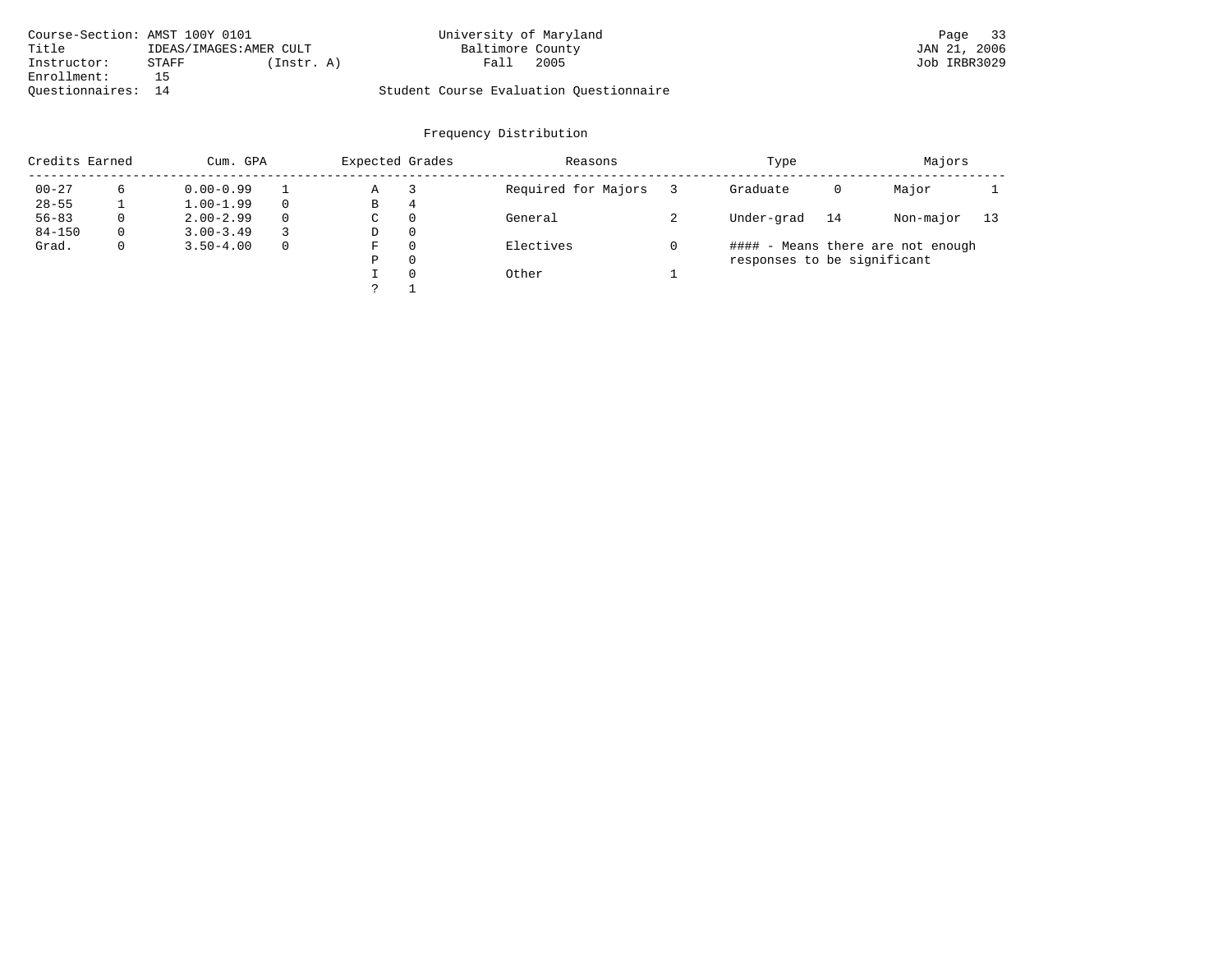| Course-Section: AMST 100Y 0101 |       |                        | University of Maryland                  |      | Page         | 33 |
|--------------------------------|-------|------------------------|-----------------------------------------|------|--------------|----|
| Title                          |       | IDEAS/IMAGES:AMER CULT | Baltimore County                        |      | JAN 21, 2006 |    |
| Instructor:                    | STAFF | (Instr. A)             | Fall                                    | 2005 | Job IRBR3029 |    |
| Enrollment:                    |       |                        |                                         |      |              |    |
| Ouestionnaires: 14             |       |                        | Student Course Evaluation Ouestionnaire |      |              |    |

| Credits Earned |             | Cum. GPA      |          |   | Expected Grades | Reasons             | Type                        |    | Majors                            |    |
|----------------|-------------|---------------|----------|---|-----------------|---------------------|-----------------------------|----|-----------------------------------|----|
| $00 - 27$      |             | $0.00 - 0.99$ |          | Α |                 | Required for Majors | Graduate                    | 0  | Major                             |    |
| $28 - 55$      |             | $1.00 - 1.99$ |          | В | 4               |                     |                             |    |                                   |    |
| $56 - 83$      | $\Omega$    | $2.00 - 2.99$ | $\Omega$ | C | $\Omega$        | General             | Under-grad                  | 14 | Non-major                         | 13 |
| $84 - 150$     | $\Omega$    | $3.00 - 3.49$ |          | D | $\Omega$        |                     |                             |    |                                   |    |
| Grad.          | $\mathbf 0$ | $3.50 - 4.00$ | $\Omega$ | F | $\Omega$        | Electives           |                             |    | #### - Means there are not enough |    |
|                |             |               |          | Ρ | $\Omega$        |                     | responses to be significant |    |                                   |    |
|                |             |               |          |   | $\Omega$        | Other               |                             |    |                                   |    |
|                |             |               |          |   |                 |                     |                             |    |                                   |    |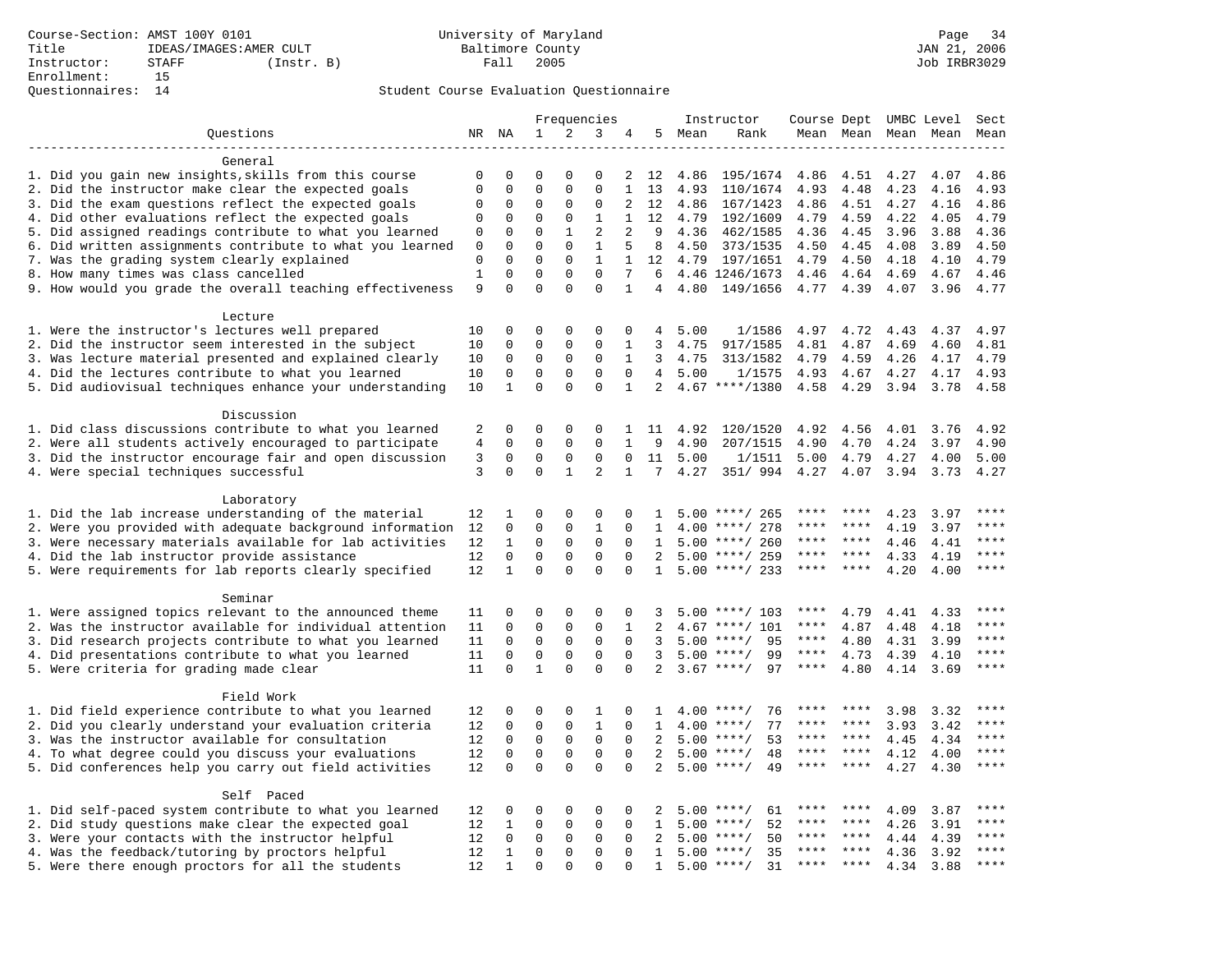|                                                                                                |              |                         |                             |                          | Frequencies                 |                         |                     |      | Instructor                               | Course Dept UMBC Level |              |              |              | Sect            |
|------------------------------------------------------------------------------------------------|--------------|-------------------------|-----------------------------|--------------------------|-----------------------------|-------------------------|---------------------|------|------------------------------------------|------------------------|--------------|--------------|--------------|-----------------|
| Questions                                                                                      |              | NR NA                   | $\mathbf{1}$                | 2                        | 3                           | 4                       | 5                   | Mean | Rank                                     | Mean Mean              |              |              | Mean Mean    | Mean            |
|                                                                                                |              |                         |                             |                          |                             |                         |                     |      |                                          |                        |              |              |              |                 |
| General                                                                                        |              |                         |                             |                          |                             |                         |                     |      |                                          |                        |              |              |              |                 |
| 1. Did you gain new insights, skills from this course                                          | 0            | 0                       | 0                           | $\Omega$                 | 0                           | 2                       | 12                  | 4.86 | 195/1674                                 | 4.86                   | 4.51         | 4.27         | 4.07         | 4.86            |
| 2. Did the instructor make clear the expected goals                                            | $\mathbf 0$  | $\mathbf 0$             | $\mathbf 0$                 | $\Omega$                 | $\mathbf 0$                 | $\mathbf{1}$            | 13                  | 4.93 | 110/1674                                 | 4.93                   | 4.48         | 4.23         | 4.16         | 4.93            |
| 3. Did the exam questions reflect the expected goals                                           | 0            | 0                       | 0                           | $\Omega$                 | 0                           | 2                       | 12                  | 4.86 | 167/1423                                 | 4.86                   | 4.51         | 4.27         | 4.16         | 4.86            |
| 4. Did other evaluations reflect the expected goals                                            | $\mathbf 0$  | $\mathbf 0$             | $\mathbf 0$                 | $\mathbf 0$              | $\mathbf{1}$                | $\mathbf{1}$            | 12                  | 4.79 | 192/1609                                 | 4.79                   | 4.59         | 4.22         | 4.05         | 4.79            |
| 5. Did assigned readings contribute to what you learned                                        | 0            | $\mathbf 0$             | $\mathbf 0$                 | $\mathbf{1}$             | $\overline{2}$              | 2                       | 9                   | 4.36 | 462/1585                                 | 4.36                   | 4.45         | 3.96         | 3.88         | 4.36            |
| 6. Did written assignments contribute to what you learned                                      | $\mathbf{0}$ | $\mathbf 0$             | $\mathbf 0$                 | $\Omega$                 | $\mathbf{1}$                | 5                       | 8                   | 4.50 | 373/1535                                 | 4.50                   | 4.45         | 4.08         | 3.89         | 4.50            |
| 7. Was the grading system clearly explained                                                    | $\mathbf 0$  | $\Omega$                | $\Omega$<br>$\mathbf 0$     | $\Omega$                 | $\mathbf{1}$<br>$\mathbf 0$ | $\mathbf{1}$<br>7       | 12                  | 4.79 | 197/1651                                 | 4.79                   | 4.50         | 4.18         | 4.10         | 4.79            |
| 8. How many times was class cancelled                                                          | $1\,$<br>9   | $\mathbf 0$<br>$\Omega$ | $\Omega$                    | $\mathbf{0}$<br>$\Omega$ | $\Omega$                    | $\mathbf{1}$            | 6<br>4              | 4.80 | 4.46 1246/1673<br>149/1656               | 4.46<br>4.77           | 4.64<br>4.39 | 4.69         | 4.67<br>3.96 | 4.46<br>4.77    |
| 9. How would you grade the overall teaching effectiveness                                      |              |                         |                             |                          |                             |                         |                     |      |                                          |                        |              | 4.07         |              |                 |
| Lecture                                                                                        |              |                         |                             |                          |                             |                         |                     |      |                                          |                        |              |              |              |                 |
| 1. Were the instructor's lectures well prepared                                                | 10           | 0                       | 0                           | $\mathbf 0$              | $\mathbf 0$                 | $\mathbf 0$             | 4                   | 5.00 | 1/1586                                   | 4.97                   | 4.72         | 4.43         | 4.37         | 4.97            |
| 2. Did the instructor seem interested in the subject                                           | 10           | 0                       | 0                           | $\mathbf 0$              | $\mathbf{0}$                | 1                       | 3                   | 4.75 | 917/1585                                 | 4.81                   | 4.87         | 4.69         | 4.60         | 4.81            |
| 3. Was lecture material presented and explained clearly                                        | 10           | 0                       | $\mathbf 0$                 | $\mathbf{0}$             | $\mathbf{0}$                | $\mathbf{1}$            | 3                   | 4.75 | 313/1582                                 | 4.79                   | 4.59         | 4.26         | 4.17         | 4.79            |
| 4. Did the lectures contribute to what you learned                                             | 10           | 0                       | $\mathbf 0$                 | $\Omega$                 | $\Omega$                    | $\Omega$                | 4                   | 5.00 | 1/1575                                   | 4.93                   | 4.67         | 4.27         | 4.17         | 4.93            |
| 5. Did audiovisual techniques enhance your understanding                                       | 10           | $\mathbf{1}$            | $\Omega$                    | $\Omega$                 | $\Omega$                    | $\mathbf{1}$            | $\overline{2}$      |      | $4.67$ ****/1380                         | 4.58                   | 4.29         | 3.94         | 3.78         | 4.58            |
|                                                                                                |              |                         |                             |                          |                             |                         |                     |      |                                          |                        |              |              |              |                 |
| Discussion                                                                                     |              |                         |                             |                          |                             |                         |                     |      |                                          |                        |              |              |              |                 |
| 1. Did class discussions contribute to what you learned                                        | 2            | 0                       | 0                           | $\mathbf 0$              | $\mathbf 0$                 | 1                       | 11                  | 4.92 | 120/1520                                 | 4.92                   | 4.56         | 4.01         | 3.76         | 4.92            |
| 2. Were all students actively encouraged to participate                                        | 4            | 0                       | $\mathbf 0$                 | $\mathbf 0$              | $\mathbf 0$                 | $\mathbf{1}$            | 9                   | 4.90 | 207/1515                                 | 4.90                   | 4.70         | 4.24         | 3.97         | 4.90            |
| 3. Did the instructor encourage fair and open discussion                                       | 3            | 0                       | 0                           | 0                        | $\mathsf 0$                 | $\mathbf 0$             | 11                  | 5.00 | 1/1511                                   | 5.00                   | 4.79         | 4.27         | 4.00         | 5.00            |
| 4. Were special techniques successful                                                          | 3            | $\Omega$                | $\mathbf 0$                 | $\mathbf{1}$             | 2                           | $\mathbf{1}$            | 7                   | 4.27 | 351/ 994                                 | 4.27                   | 4.07         | 3.94         | 3.73         | 4.27            |
|                                                                                                |              |                         |                             |                          |                             |                         |                     |      |                                          |                        |              |              |              |                 |
| Laboratory                                                                                     |              |                         |                             |                          |                             |                         |                     |      |                                          |                        |              |              |              |                 |
| 1. Did the lab increase understanding of the material                                          | 12           | 1                       | 0                           | 0                        | $\mathsf 0$                 | $\Omega$                | $\mathbf{1}$        |      | $5.00$ ****/ 265                         |                        |              | 4.23         | 3.97         |                 |
| 2. Were you provided with adequate background information                                      | 12           | 0                       | 0                           | $\mathbf 0$              | $\mathbf{1}$                | $\mathbf 0$             | 1                   | 4.00 | ****/ 278                                | ****                   | ****         | 4.19         | 3.97         | ****            |
| 3. Were necessary materials available for lab activities                                       | 12           | $\mathbf{1}$            | $\mathbf 0$                 | $\mathbf 0$              | $\mathsf 0$                 | $\mathbf 0$             | 1                   |      | $5.00$ ****/ 260                         | ****                   | $* * * *$    | 4.46         | 4.41         | ****            |
| 4. Did the lab instructor provide assistance                                                   | 12           | $\mathbf 0$             | $\mathbf 0$                 | $\mathbf 0$              | $\mathbf{0}$                | $\Omega$                | 2                   | 5.00 | ****/ 259                                | ****                   | ****         | 4.33         | 4.19         | ****            |
| 5. Were requirements for lab reports clearly specified                                         | 12           | $\mathbf{1}$            | $\mathbf 0$                 | $\Omega$                 | $\mathbf{0}$                | $\mathbf 0$             | 1                   |      | $5.00$ ****/ 233                         | ****                   | ****         | 4.20         | 4.00         | ****            |
|                                                                                                |              |                         |                             |                          |                             |                         |                     |      |                                          |                        |              |              |              |                 |
| Seminar                                                                                        |              |                         |                             |                          |                             |                         |                     |      |                                          |                        |              |              |              |                 |
| 1. Were assigned topics relevant to the announced theme                                        | 11           | $\Omega$                | 0                           | $\Omega$                 | $\Omega$                    | $\Omega$                | 3                   |      | $5.00$ ****/ 103                         | ****<br>****           | 4.79         | 4.41         | 4.33         | ****<br>* * * * |
| 2. Was the instructor available for individual attention                                       | 11           | 0                       | $\mathbf 0$                 | $\mathbf 0$              | $\mathbf 0$                 | $\mathbf{1}$            | $\overline{a}$      |      | $4.67$ ****/ 101                         | $***$ * *              | 4.87         | 4.48         | 4.18         | ****            |
| 3. Did research projects contribute to what you learned                                        | 11           | 0                       | $\mathbf 0$                 | $\mathsf 0$              | $\mathsf 0$                 | $\mathbf 0$             | 3                   |      | $5.00$ ****/<br>95                       | $***$ * * *            | 4.80         | 4.31         | 3.99         | $***$           |
| 4. Did presentations contribute to what you learned<br>5. Were criteria for grading made clear | 11<br>11     | $\mathbf 0$<br>$\Omega$ | $\mathsf 0$<br>$\mathbf{1}$ | $\mathsf 0$<br>$\Omega$  | $\mathsf 0$<br>$\Omega$     | $\mathbf 0$<br>$\Omega$ | 3<br>$\overline{a}$ |      | 99<br>$5.00$ ****/<br>$3.67$ ****/<br>97 | $***$ * * *            | 4.73<br>4.80 | 4.39<br>4.14 | 4.10<br>3.69 | ****            |
|                                                                                                |              |                         |                             |                          |                             |                         |                     |      |                                          |                        |              |              |              |                 |
| Field Work                                                                                     |              |                         |                             |                          |                             |                         |                     |      |                                          |                        |              |              |              |                 |
| 1. Did field experience contribute to what you learned                                         | 12           | 0                       | 0                           | $\mathbf 0$              | 1                           | $\mathbf 0$             | 1                   |      | $4.00$ ****/<br>76                       | ****                   | ****         | 3.98         | 3.32         | * * * *         |
| 2. Did you clearly understand your evaluation criteria                                         | 12           | $\Omega$                | $\mathbf 0$                 | $\mathbf 0$              | $\mathbf{1}$                | $\Omega$                | $\mathbf{1}$        | 4.00 | 77<br>$***$ /                            | ****                   | ****         | 3.93         | 3.42         | ****            |
| 3. Was the instructor available for consultation                                               | 12           | $\Omega$                | $\mathbf 0$                 | $\mathbf 0$              | $\mathbf 0$                 | $\Omega$                | $\overline{2}$      |      | $5.00$ ****/<br>53                       | ****                   | ****         | 4.45         | 4.34         | ****            |
| 4. To what degree could you discuss your evaluations                                           | 12           | $\mathbf 0$             | $\mathbf 0$                 | $\mathbf{0}$             | $\mathbf 0$                 | $\Omega$                | 2                   | 5.00 | $***/$<br>48                             | ****                   | ****         | 4.12         | 4.00         | ****            |
| 5. Did conferences help you carry out field activities                                         | 12           | $\Omega$                | $\Omega$                    | $\Omega$                 | $\Omega$                    | $\Omega$                | $\overline{2}$      |      | $5.00$ ****/<br>49                       | ****                   | $* * * *$    | 4.27         | 4.30         | ****            |
|                                                                                                |              |                         |                             |                          |                             |                         |                     |      |                                          |                        |              |              |              |                 |
| Self Paced                                                                                     |              |                         |                             |                          |                             |                         |                     |      |                                          |                        |              |              |              |                 |
| 1. Did self-paced system contribute to what you learned                                        | 12           | 0                       | 0                           | $\mathbf 0$              | $\mathbf 0$                 | $\mathbf 0$             | 2                   |      | $5.00$ ****/<br>61                       |                        |              | 4.09         | 3.87         | $***$           |
| 2. Did study questions make clear the expected goal                                            | 12           | $\mathbf{1}$            | $\mathbf 0$                 | $\mathbf{0}$             | $\mathbf 0$                 | $\mathbf 0$             | 1                   |      | 52<br>$5.00$ ****/                       | ****                   | ****         | 4.26         | 3.91         | ****            |
| 3. Were your contacts with the instructor helpful                                              | 12           | $\Omega$                | $\mathbf 0$                 | $\mathbf 0$              | $\mathbf 0$                 | $\Omega$                | 2                   | 5.00 | 50<br>$***/$                             | ****                   | ****         | 4.44         | 4.39         | ****            |
| 4. Was the feedback/tutoring by proctors helpful                                               | 12           | 1                       | $\mathbf 0$                 | $\mathbf{0}$             | $\mathbf{0}$                | $\Omega$                | $\mathbf{1}$        | 5.00 | 35<br>$***/$                             | ****                   | ****         | 4.36         | 3.92         | ****            |
| 5. Were there enough proctors for all the students                                             | 12           | 1                       | $\Omega$                    | $\Omega$                 | $\Omega$                    | $\Omega$                | $\mathbf{1}$        |      | $5.00$ ****/<br>31                       | ****                   |              | 4.34         | 3.88         | $***$           |
|                                                                                                |              |                         |                             |                          |                             |                         |                     |      |                                          |                        |              |              |              |                 |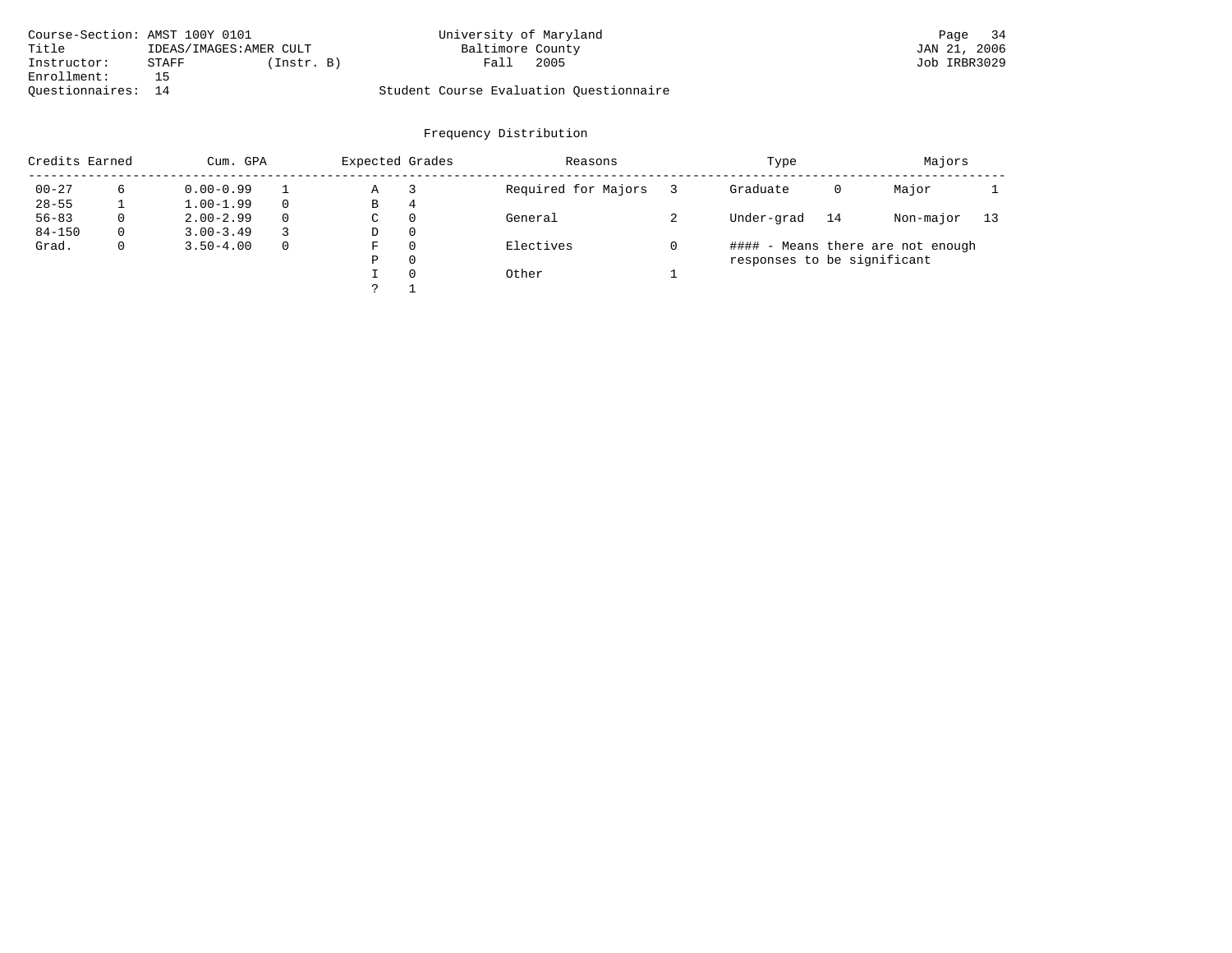| Course-Section: AMST 100Y 0101 |                         |            | University of Maryland                  |      | Page         | 34 |
|--------------------------------|-------------------------|------------|-----------------------------------------|------|--------------|----|
| Title                          | IDEAS/IMAGES: AMER CULT |            | Baltimore County                        |      | JAN 21, 2006 |    |
| Instructor:                    | STAFF                   | (Instr. B) | Fall                                    | 2005 | Job IRBR3029 |    |
| Enrollment:                    |                         |            |                                         |      |              |    |
| Ouestionnaires: 14             |                         |            | Student Course Evaluation Ouestionnaire |      |              |    |

| Credits Earned |             | Cum. GPA      |          | Expected Grades |          | Reasons             | Type                        |    | Majors                            |    |
|----------------|-------------|---------------|----------|-----------------|----------|---------------------|-----------------------------|----|-----------------------------------|----|
| $00 - 27$      |             | $0.00 - 0.99$ |          | Α               |          | Required for Majors | Graduate                    | 0  | Major                             |    |
| $28 - 55$      |             | $1.00 - 1.99$ |          | В               | 4        |                     |                             |    |                                   |    |
| $56 - 83$      | $\Omega$    | $2.00 - 2.99$ | $\Omega$ | C               | $\Omega$ | General             | Under-grad                  | 14 | Non-major                         | 13 |
| $84 - 150$     | $\Omega$    | $3.00 - 3.49$ |          | D               | $\Omega$ |                     |                             |    |                                   |    |
| Grad.          | $\mathbf 0$ | $3.50 - 4.00$ | $\Omega$ | F               | $\Omega$ | Electives           |                             |    | #### - Means there are not enough |    |
|                |             |               |          | Ρ               | $\Omega$ |                     | responses to be significant |    |                                   |    |
|                |             |               |          |                 | $\Omega$ | Other               |                             |    |                                   |    |
|                |             |               |          |                 |          |                     |                             |    |                                   |    |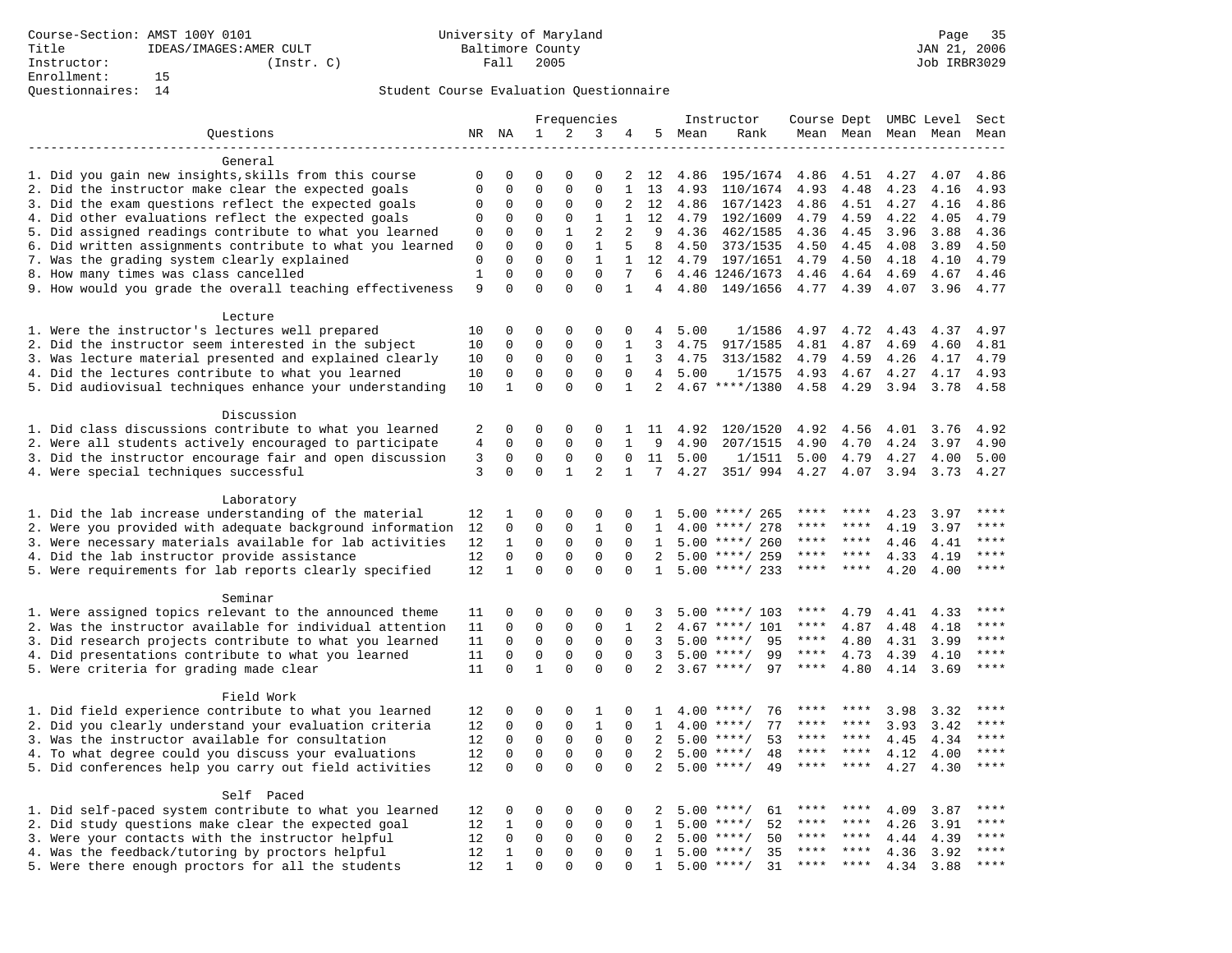|                                                                                                                     |             |                         |                         |                          | Frequencies                 |                   |                     |        | Instructor                           | Course Dept UMBC Level |              |              |              | Sect         |
|---------------------------------------------------------------------------------------------------------------------|-------------|-------------------------|-------------------------|--------------------------|-----------------------------|-------------------|---------------------|--------|--------------------------------------|------------------------|--------------|--------------|--------------|--------------|
| Questions                                                                                                           |             | NR NA                   | $\mathbf 1$             | 2                        | 3                           | 4                 |                     | 5 Mean | Rank                                 |                        | Mean Mean    |              | Mean Mean    | Mean         |
|                                                                                                                     |             |                         |                         |                          |                             |                   |                     |        |                                      |                        |              |              |              |              |
| General                                                                                                             |             |                         |                         |                          |                             |                   |                     |        |                                      |                        |              |              |              |              |
| 1. Did you gain new insights, skills from this course                                                               | 0           | 0                       | $\Omega$                | $\Omega$                 | $\Omega$                    | 2                 | 12                  | 4.86   | 195/1674                             | 4.86                   | 4.51         | 4.27         | 4.07         | 4.86         |
| 2. Did the instructor make clear the expected goals                                                                 | $\mathbf 0$ | $\mathbf 0$             | $\mathbf 0$             | $\mathbf{0}$             | $\mathbf 0$                 | $\mathbf{1}$      | 13                  | 4.93   | 110/1674                             | 4.93                   | 4.48         | 4.23         | 4.16         | 4.93         |
| 3. Did the exam questions reflect the expected goals                                                                | 0           | 0                       | 0                       | $\Omega$                 | 0                           | 2                 | 12                  | 4.86   | 167/1423                             | 4.86                   | 4.51         | 4.27         | 4.16         | 4.86         |
| 4. Did other evaluations reflect the expected goals                                                                 | 0           | $\mathbf 0$             | $\Omega$                | $\mathbf{0}$             | $\mathbf{1}$                | $\mathbf{1}$      | 12                  | 4.79   | 192/1609                             | 4.79                   | 4.59         | 4.22         | 4.05         | 4.79         |
| 5. Did assigned readings contribute to what you learned                                                             | 0           | 0                       | $\mathbf 0$             | $\mathbf{1}$             | $\overline{2}$              | 2                 | 9                   | 4.36   | 462/1585                             | 4.36                   | 4.45         | 3.96         | 3.88         | 4.36         |
| 6. Did written assignments contribute to what you learned                                                           | $\mathbf 0$ | $\Omega$                | $\Omega$                | $\Omega$                 | $\mathbf{1}$                | 5                 | 8                   | 4.50   | 373/1535                             | 4.50                   | 4.45         | 4.08         | 3.89         | 4.50         |
| 7. Was the grading system clearly explained                                                                         | 0<br>$1\,$  | $\Omega$<br>$\mathbf 0$ | $\Omega$<br>$\mathbf 0$ | $\Omega$<br>$\mathbf 0$  | $\mathbf{1}$<br>$\mathbf 0$ | $\mathbf{1}$<br>7 |                     |        | 12 4.79 197/1651                     | 4.79                   | 4.50         | 4.18         | 4.10         | 4.79         |
| 8. How many times was class cancelled                                                                               | 9           | $\Omega$                | $\Omega$                | $\Omega$                 | $\Omega$                    | $\mathbf{1}$      | 6<br>$\overline{4}$ | 4.80   | 4.46 1246/1673<br>149/1656           | 4.46<br>4.77           | 4.64<br>4.39 | 4.69<br>4.07 | 4.67<br>3.96 | 4.46<br>4.77 |
| 9. How would you grade the overall teaching effectiveness                                                           |             |                         |                         |                          |                             |                   |                     |        |                                      |                        |              |              |              |              |
| Lecture                                                                                                             |             |                         |                         |                          |                             |                   |                     |        |                                      |                        |              |              |              |              |
| 1. Were the instructor's lectures well prepared                                                                     | 10          | 0                       | $\Omega$                | $\mathbf 0$              | $\Omega$                    | $\mathbf 0$       | 4                   | 5.00   | 1/1586                               | 4.97                   | 4.72         | 4.43         | 4.37         | 4.97         |
| 2. Did the instructor seem interested in the subject                                                                | 10          | 0                       | 0                       | $\mathbf 0$              | 0                           | 1                 | 3                   | 4.75   | 917/1585                             | 4.81                   | 4.87         | 4.69         | 4.60         | 4.81         |
| 3. Was lecture material presented and explained clearly                                                             | 10          | 0                       | $\mathbf 0$             | $\mathbf 0$              | 0                           | 1                 | 3                   | 4.75   | 313/1582                             | 4.79                   | 4.59         | 4.26         | 4.17         | 4.79         |
| 4. Did the lectures contribute to what you learned                                                                  | 10          | $\mathbf 0$             | $\Omega$                | $\Omega$                 | $\Omega$                    | $\Omega$          | $4\overline{ }$     | 5.00   | 1/1575                               | 4.93                   | 4.67         | 4.27         | 4.17         | 4.93         |
| 5. Did audiovisual techniques enhance your understanding                                                            | 10          | $\mathbf{1}$            | $\Omega$                | $\Omega$                 | $\Omega$                    | $\mathbf{1}$      | $\overline{2}$      |        | $4.67$ ****/1380                     | 4.58                   | 4.29         | 3.94         | 3.78         | 4.58         |
|                                                                                                                     |             |                         |                         |                          |                             |                   |                     |        |                                      |                        |              |              |              |              |
| Discussion                                                                                                          |             |                         |                         |                          |                             |                   |                     |        |                                      |                        |              |              |              |              |
| 1. Did class discussions contribute to what you learned                                                             | 2           | 0                       | 0                       | 0                        | 0                           | 1                 | 11                  | 4.92   | 120/1520                             | 4.92                   | 4.56         | 4.01         | 3.76         | 4.92         |
| 2. Were all students actively encouraged to participate                                                             | 4           | 0                       | $\mathbf 0$             | $\mathbf{0}$             | $\mathbf 0$                 | $\mathbf{1}$      | 9                   | 4.90   | 207/1515                             | 4.90                   | 4.70         | 4.24         | 3.97         | 4.90         |
| 3. Did the instructor encourage fair and open discussion                                                            | 3           | 0                       | $\mathbf 0$             | 0                        | $\mathbf 0$                 | $\mathbf 0$       | 11                  | 5.00   | 1/1511                               | 5.00                   | 4.79         | 4.27         | 4.00         | 5.00         |
| 4. Were special techniques successful                                                                               | 3           | $\Omega$                | $\Omega$                | $\mathbf{1}$             | 2                           | $\mathbf{1}$      | 7                   | 4.27   | 351/994                              | 4.27                   | 4.07         | 3.94         | 3.73         | 4.27         |
|                                                                                                                     |             |                         |                         |                          |                             |                   |                     |        |                                      |                        |              |              |              |              |
| Laboratory                                                                                                          |             |                         |                         |                          |                             |                   |                     |        |                                      |                        |              |              |              |              |
| 1. Did the lab increase understanding of the material                                                               | 12          | 1                       | $\Omega$                | $\Omega$                 | $\Omega$                    | $\Omega$          | $\mathbf{1}$        |        | $5.00$ ****/ 265                     |                        |              | 4.23         | 3.97         |              |
| 2. Were you provided with adequate background information                                                           | 12          | 0                       | $\mathbf 0$             | $\mathbf{0}$             | $\mathbf{1}$                | 0                 | 1                   | 4.00   | ****/ 278                            | ****                   | ****         | 4.19         | 3.97         | ****         |
| 3. Were necessary materials available for lab activities                                                            | 12          | $\mathbf{1}$            | $\mathbf 0$             | $\mathsf 0$              | $\mathbf 0$                 | $\mathbf 0$       | $\mathbf{1}$        |        | $5.00$ ****/ 260                     | ****                   | $***$ *      | 4.46         | 4.41         | $***$        |
| 4. Did the lab instructor provide assistance                                                                        | 12          | $\Omega$                | $\Omega$                | 0                        | $\Omega$                    | $\Omega$          | 2                   |        | $5.00$ ****/ 259                     | ****                   | ****         | 4.33         | 4.19         | $***$        |
| 5. Were requirements for lab reports clearly specified                                                              | 12          | $\mathbf{1}$            | $\mathbf 0$             | $\Omega$                 | $\Omega$                    | $\Omega$          | $\mathbf{1}$        |        | $5.00$ ****/ 233                     | ****                   | ****         | 4.20         | 4.00         | ****         |
|                                                                                                                     |             |                         |                         |                          |                             |                   |                     |        |                                      |                        |              |              |              |              |
| Seminar                                                                                                             |             |                         |                         |                          |                             |                   |                     |        |                                      | ****                   |              |              |              | ****         |
| 1. Were assigned topics relevant to the announced theme                                                             | 11<br>11    | $\Omega$<br>0           | 0<br>$\mathbf 0$        | $\Omega$<br>$\mathbf{0}$ | $\Omega$<br>$\mathbf 0$     | $\Omega$<br>1     | 3<br>2              |        | $5.00$ ****/ 103<br>$4.67$ ****/ 101 | ****                   | 4.79<br>4.87 | 4.41         | 4.33<br>4.18 | ****         |
| 2. Was the instructor available for individual attention<br>3. Did research projects contribute to what you learned |             | $\mathbf 0$             | $\mathsf 0$             | $\mathbf 0$              | $\mathbf 0$                 | $\mathbf 0$       | 3                   | 5.00   | $***/$<br>95                         | ****                   |              | 4.48         | 3.99         | ****         |
| 4. Did presentations contribute to what you learned                                                                 | 11<br>11    | $\mathbf 0$             | $\mathsf 0$             | $\mathbf 0$              | $\mathbf 0$                 | $\mathbf 0$       | 3                   |        | 99<br>$5.00$ ****/                   | $***$ * * *            | 4.80<br>4.73 | 4.31<br>4.39 | 4.10         | $***$        |
| 5. Were criteria for grading made clear                                                                             | 11          | $\Omega$                | $\mathbf{1}$            | $\Omega$                 | $\Omega$                    | $\Omega$          | $\overline{2}$      |        | $3.67$ ****/<br>97                   | $***$ * * *            | 4.80         | 4.14         | 3.69         | ****         |
|                                                                                                                     |             |                         |                         |                          |                             |                   |                     |        |                                      |                        |              |              |              |              |
| Field Work                                                                                                          |             |                         |                         |                          |                             |                   |                     |        |                                      |                        |              |              |              |              |
| 1. Did field experience contribute to what you learned                                                              | 12          | 0                       | 0                       | $\mathbf 0$              | 1                           | 0                 | 1                   |        | $4.00$ ****/<br>76                   | ****                   | ****         | 3.98         | 3.32         | ****         |
| 2. Did you clearly understand your evaluation criteria                                                              | 12          | $\mathbf 0$             | $\mathbf 0$             | $\mathbf{0}$             | $\mathbf{1}$                | $\Omega$          | $\mathbf{1}$        | 4.00   | 77<br>$***$ /                        | ****                   | ****         | 3.93         | 3.42         | $***$ * * *  |
| 3. Was the instructor available for consultation                                                                    | 12          | $\Omega$                | $\mathbf 0$             | $\mathbf{0}$             | $\mathbf 0$                 | $\Omega$          | $\overline{2}$      |        | $5.00$ ****/<br>53                   | ****                   | ****         | 4.45         | 4.34         | ****         |
| 4. To what degree could you discuss your evaluations                                                                | 12          | $\mathbf 0$             | $\mathbf 0$             | $\mathbf 0$              | $\mathbf 0$                 | $\Omega$          | 2                   | 5.00   | $***$ /<br>48                        | ****                   | ****         | 4.12         | 4.00         | ****         |
| 5. Did conferences help you carry out field activities                                                              | 12          | $\Omega$                | $\Omega$                | $\Omega$                 | $\Omega$                    | $\Omega$          | $\overline{2}$      |        | $5.00$ ****/<br>49                   | ****                   | $* * * *$    | 4.27         | 4.30         | ****         |
|                                                                                                                     |             |                         |                         |                          |                             |                   |                     |        |                                      |                        |              |              |              |              |
| Self Paced                                                                                                          |             |                         |                         |                          |                             |                   |                     |        |                                      |                        |              |              |              |              |
| 1. Did self-paced system contribute to what you learned                                                             | 12          | 0                       | 0                       | 0                        | $\mathbf 0$                 | 0                 | 2                   |        | $5.00$ ****/<br>61                   |                        |              | 4.09         | 3.87         | ****         |
| 2. Did study questions make clear the expected goal                                                                 | 12          | 1                       | $\mathbf 0$             | 0                        | $\mathbf 0$                 | $\mathbf 0$       | 1                   |        | 52<br>$5.00$ ****/                   | ****                   | ****         | 4.26         | 3.91         | ****         |
| 3. Were your contacts with the instructor helpful                                                                   | 12          | $\Omega$                | 0                       | 0                        | 0                           | $\Omega$          | 2                   | 5.00   | 50<br>$***/$                         | ****                   | ****         | 4.44         | 4.39         | $***$ * * *  |
| 4. Was the feedback/tutoring by proctors helpful                                                                    | 12          | 1                       | $\mathbf 0$             | $\mathbf{0}$             | $\Omega$                    | $\Omega$          | $\mathbf{1}$        |        | 35<br>$5.00$ ****/                   | ****                   | ****         | 4.36         | 3.92         | ****         |
| 5. Were there enough proctors for all the students                                                                  | 12          | 1                       | $\Omega$                | $\Omega$                 | $\Omega$                    | $\Omega$          | $\mathbf{1}$        |        | $5.00$ ****/<br>31                   | ****                   |              | 4.34         | 3.88         | $***$        |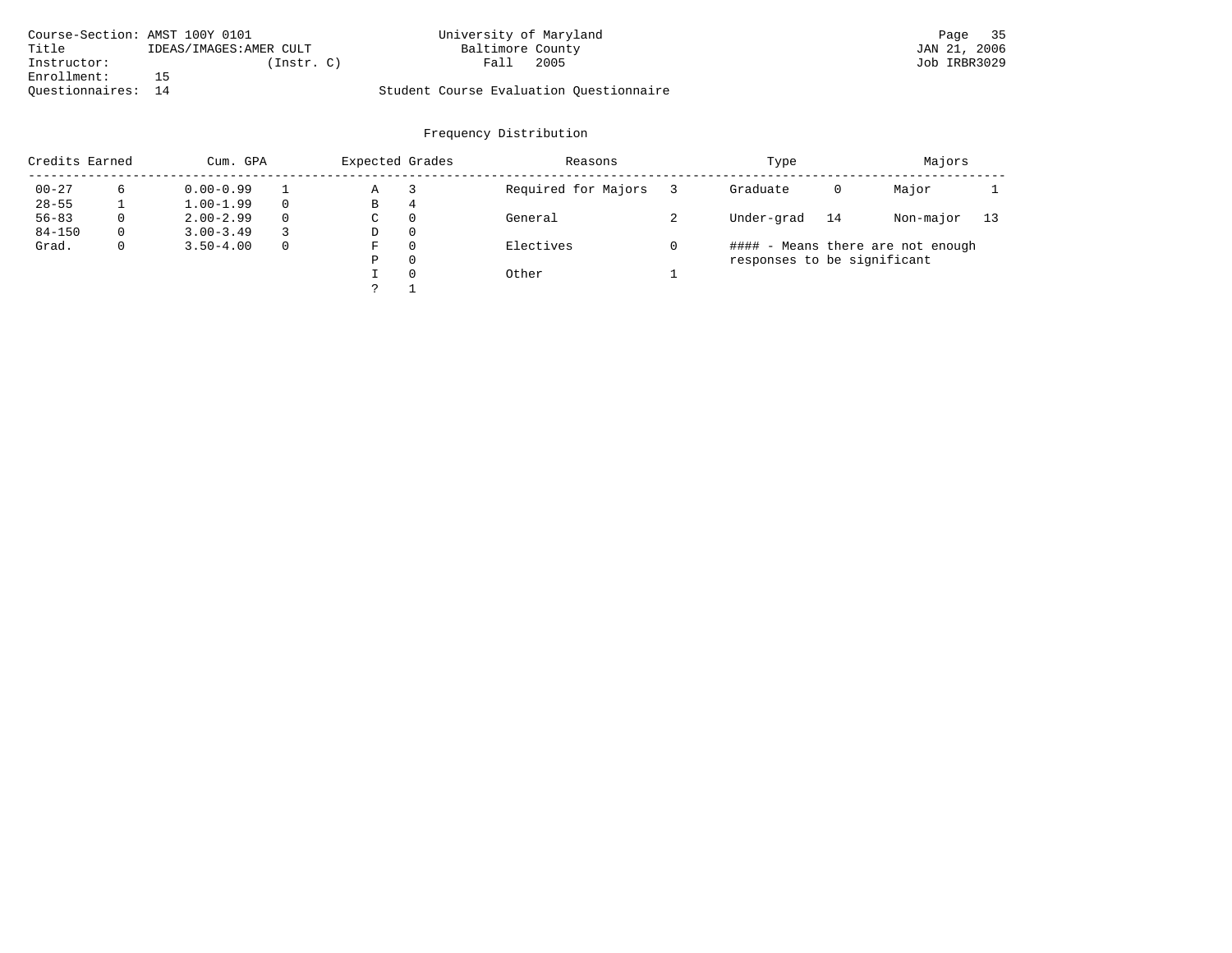| Course-Section: AMST 100Y 0101 |                         | University of Maryland                  | Page 35      |
|--------------------------------|-------------------------|-----------------------------------------|--------------|
| Title                          | IDEAS/IMAGES: AMER CULT | Baltimore County                        | JAN 21, 2006 |
| Instructor:                    | (Instr. C)              | 2005<br>Fall                            | Job IRBR3029 |
| Enrollment:                    |                         |                                         |              |
| Ouestionnaires: 14             |                         | Student Course Evaluation Questionnaire |              |

| Credits Earned |          | Cum. GPA      |              | Expected Grades |   | Reasons             | Type                        |    | Majors                            |    |
|----------------|----------|---------------|--------------|-----------------|---|---------------------|-----------------------------|----|-----------------------------------|----|
| $00 - 27$      | 6        | $0.00 - 0.99$ |              | Α               |   | Required for Majors | Graduate                    | 0  | Major                             |    |
| $28 - 55$      |          | $1.00 - 1.99$ | $\Omega$     | В               | 4 |                     |                             |    |                                   |    |
| $56 - 83$      | 0        | $2.00 - 2.99$ | $\Omega$     | С               | 0 | General             | Under-grad                  | 14 | Non-major                         | 13 |
| $84 - 150$     | $\Omega$ | $3.00 - 3.49$ | 3            | D               | 0 |                     |                             |    |                                   |    |
| Grad.          | 0        | $3.50 - 4.00$ | $\mathbf{0}$ | F               | 0 | Electives           |                             |    | #### - Means there are not enough |    |
|                |          |               |              | Ρ               | 0 |                     | responses to be significant |    |                                   |    |
|                |          |               |              |                 | 0 | Other               |                             |    |                                   |    |
|                |          |               |              |                 |   |                     |                             |    |                                   |    |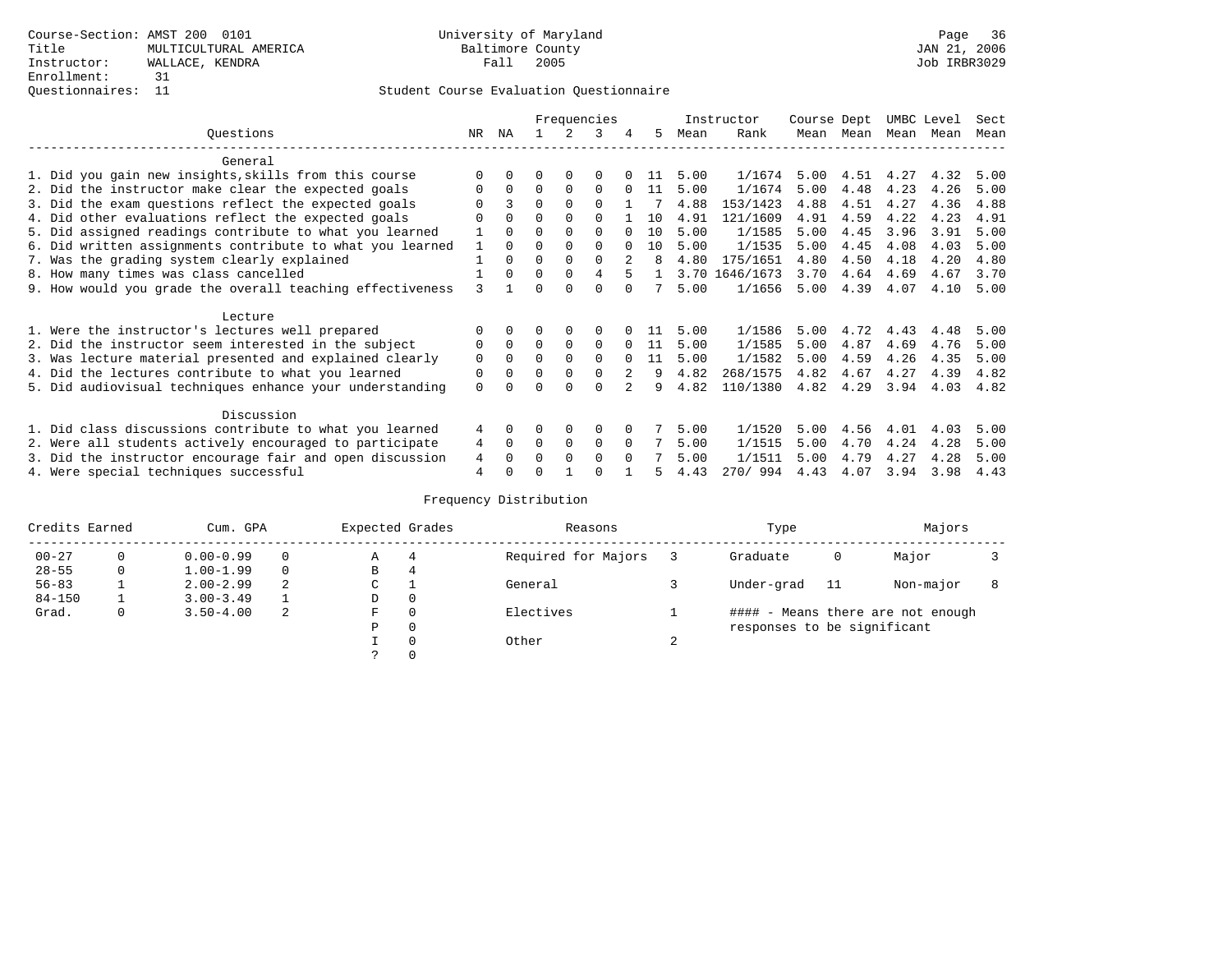|                                                           |     |              |          |              | Frequencies |          |     |      | Instructor     | Course Dept |      | UMBC Level |      | Sect |
|-----------------------------------------------------------|-----|--------------|----------|--------------|-------------|----------|-----|------|----------------|-------------|------|------------|------|------|
| Ouestions                                                 | NR. | ΝA           |          |              | 3           | 4        | 5   | Mean | Rank           | Mean        | Mean | Mean       | Mean | Mean |
| General                                                   |     |              |          |              |             |          |     |      |                |             |      |            |      |      |
| 1. Did you gain new insights, skills from this course     |     | <sup>0</sup> | U        | $\Omega$     | 0           |          | 11  | 5.00 | 1/1674         | 5.00        | 4.51 | 4.27       | 4.32 | 5.00 |
| 2. Did the instructor make clear the expected goals       |     | $\Omega$     | $\Omega$ | $\Omega$     | $\Omega$    |          | 11  | 5.00 | 1/1674         | 5.00        | 4.48 | 4.23       | 4.26 | 5.00 |
| 3. Did the exam questions reflect the expected goals      |     | 3            | $\Omega$ | $\Omega$     | $\Omega$    |          |     | 4.88 | 153/1423       | 4.88        | 4.51 | 4.27       | 4.36 | 4.88 |
| 4. Did other evaluations reflect the expected goals       |     | $\Omega$     | 0        | $\Omega$     | $\Omega$    |          | 10  | 4.91 | 121/1609       | 4.91        | 4.59 | 4.22       | 4.23 | 4.91 |
| 5. Did assigned readings contribute to what you learned   |     | $\Omega$     | U        | $\Omega$     | $\Omega$    |          | 10  | 5.00 | 1/1585         | 5.00        | 4.45 | 3.96       | 3.91 | 5.00 |
| 6. Did written assignments contribute to what you learned |     | $\Omega$     | U        | $\Omega$     | 0           |          | 10  | 5.00 | 1/1535         | 5.00        | 4.45 | 4.08       | 4.03 | 5.00 |
| 7. Was the grading system clearly explained               |     | 0            | U        | $\Omega$     | $\Omega$    |          |     | 4.80 | 175/1651       | 4.80        | 4.50 | 4.18       | 4.20 | 4.80 |
| 8. How many times was class cancelled                     |     | $\Omega$     | 0        | $\Omega$     | 4           | 5        |     |      | 3.70 1646/1673 | 3.70        | 4.64 | 4.69       | 4.67 | 3.70 |
| 9. How would you grade the overall teaching effectiveness | 3   |              |          | <sup>n</sup> | U           |          |     | 5.00 | 1/1656         | 5.00        | 4.39 | 4.07       | 4.10 | 5.00 |
| Lecture                                                   |     |              |          |              |             |          |     |      |                |             |      |            |      |      |
| 1. Were the instructor's lectures well prepared           |     |              |          | $\Omega$     |             |          | -11 | 5.00 | 1/1586         | 5.00        | 4.72 | 4.43       | 4.48 | 5.00 |
| 2. Did the instructor seem interested in the subject      | 0   | $\Omega$     | $\Omega$ | $\Omega$     | 0           | $\Omega$ | 11  | 5.00 | 1/1585         | 5.00        | 4.87 | 4.69       | 4.76 | 5.00 |
| 3. Was lecture material presented and explained clearly   | 0   | $\Omega$     | $\Omega$ | $\Omega$     | $\Omega$    | $\Omega$ | 11  | 5.00 | 1/1582         | 5.00        | 4.59 | 4.26       | 4.35 | 5.00 |
| 4. Did the lectures contribute to what you learned        | 0   | $\Omega$     | 0        | 0            | $\Omega$    |          | 9   | 4.82 | 268/1575       | 4.82        | 4.67 | 4.27       | 4.39 | 4.82 |
| 5. Did audiovisual techniques enhance your understanding  | 0   |              |          |              |             |          | q   | 4.82 | 110/1380       | 4.82        | 4.29 | 3.94       | 4.03 | 4.82 |
| Discussion                                                |     |              |          |              |             |          |     |      |                |             |      |            |      |      |
| 1. Did class discussions contribute to what you learned   | 4   | $\Omega$     | U        | $\Omega$     | 0           |          |     | 5.00 | 1/1520         | 5.00        | 4.56 | 4.01       | 4.03 | 5.00 |
| 2. Were all students actively encouraged to participate   | 4   | $\Omega$     | 0        | 0            | 0           | $\Omega$ |     | 5.00 | 1/1515         | 5.00        | 4.70 | 4.24       | 4.28 | 5.00 |
| 3. Did the instructor encourage fair and open discussion  | 4   |              |          | $\Omega$     | $\Omega$    | $\Omega$ |     | 5.00 | 1/1511         | 5.00        | 4.79 | 4.27       | 4.28 | 5.00 |
| 4. Were special techniques successful                     | 4   |              |          |              |             |          |     | 4.43 | 270/994        | 4.43        | 4.07 | 3.94       | 3.98 | 4.43 |

| Credits Earned |   | Cum. GPA      |   | Expected Grades |          | Reasons             |        | Type                        |     | Majors                            |  |
|----------------|---|---------------|---|-----------------|----------|---------------------|--------|-----------------------------|-----|-----------------------------------|--|
| $00 - 27$      | 0 | $0.00 - 0.99$ |   | Α               | 4        | Required for Majors |        | Graduate                    | 0   | Major                             |  |
| $28 - 55$      | 0 | $1.00 - 1.99$ |   | В               | 4        |                     |        |                             |     |                                   |  |
| $56 - 83$      |   | $2.00 - 2.99$ | 2 | $\sim$<br>◡     |          | General             |        | Under-grad                  | -11 | Non-major                         |  |
| $84 - 150$     |   | $3.00 - 3.49$ |   | D               | 0        |                     |        |                             |     |                                   |  |
| Grad.          | 0 | $3.50 - 4.00$ | 2 | F               | 0        | Electives           |        |                             |     | #### - Means there are not enough |  |
|                |   |               |   | Ρ               | 0        |                     |        | responses to be significant |     |                                   |  |
|                |   |               |   |                 | $\Omega$ | Other               | $\sim$ |                             |     |                                   |  |
|                |   |               |   | C.              |          |                     |        |                             |     |                                   |  |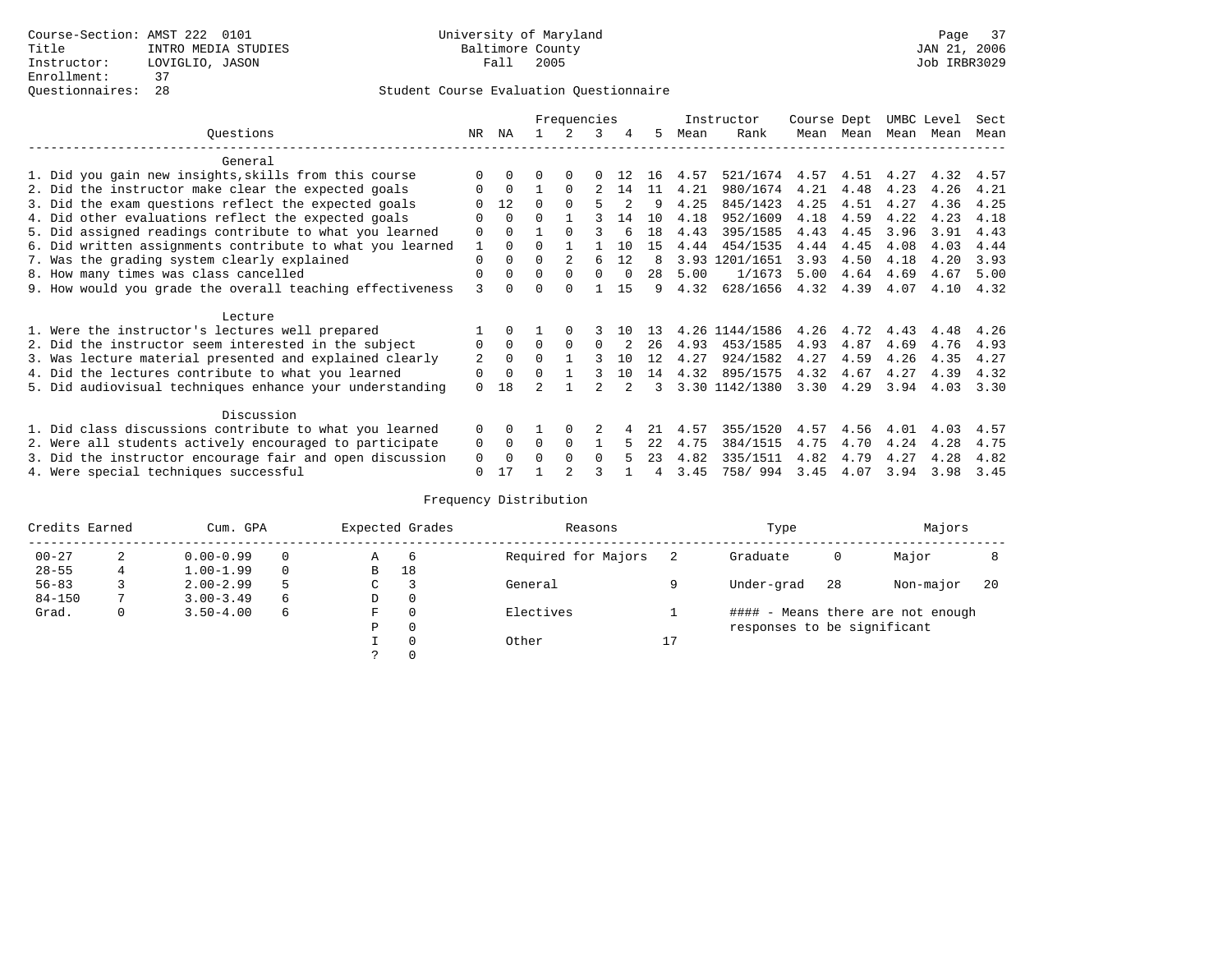### Questionnaires: 28 Student Course Evaluation Questionnaire

|                                                           |          |             |          | Frequencies |              |     |     |      | Instructor     | Course Dept |           | UMBC Level |      | Sect |
|-----------------------------------------------------------|----------|-------------|----------|-------------|--------------|-----|-----|------|----------------|-------------|-----------|------------|------|------|
| Ouestions                                                 | NR       | ΝA          |          |             | 3            | 4   | 5.  | Mean | Rank           |             | Mean Mean | Mean Mean  |      | Mean |
| General                                                   |          |             |          |             |              |     |     |      |                |             |           |            |      |      |
| 1. Did you gain new insights, skills from this course     |          | $\Omega$    |          |             |              |     | 16  | 4.57 | 521/1674       | 4.57        | 4.51      | 4.27       | 4.32 | 4.57 |
| 2. Did the instructor make clear the expected goals       |          | $\Omega$    |          | $\Omega$    |              | 14  | 11  | 4.21 | 980/1674       | 4.21        | 4.48      | 4.23       | 4.26 | 4.21 |
| 3. Did the exam questions reflect the expected goals      |          | 12          | 0        | $\Omega$    |              |     | 9   | 4.25 | 845/1423       | 4.25        | 4.51      | 4.27       | 4.36 | 4.25 |
| 4. Did other evaluations reflect the expected goals       | O        | $\Omega$    | U        |             |              | 14  | 10  | 4.18 | 952/1609       | 4.18        | 4.59      | 4.22       | 4.23 | 4.18 |
| 5. Did assigned readings contribute to what you learned   | 0        | $\Omega$    |          | $\Omega$    |              |     | 18  | 4.43 | 395/1585       | 4.43        | 4.45      | 3.96       | 3.91 | 4.43 |
| 6. Did written assignments contribute to what you learned |          | $\Omega$    | U        |             |              | 10  | 15  | 4.44 | 454/1535       | 4.44        | 4.45      | 4.08       | 4.03 | 4.44 |
| 7. Was the grading system clearly explained               | 0        | $\Omega$    | 0        |             | 6            | 12  | 8   | 3.93 | 1201/1651      | 3.93        | 4.50      | 4.18       | 4.20 | 3.93 |
| 8. How many times was class cancelled                     | 0        | $\Omega$    | 0        | $\Omega$    | <sup>0</sup> |     | 28  | 5.00 | 1/1673         | 5.00        | 4.64      | 4.69       | 4.67 | 5.00 |
| 9. How would you grade the overall teaching effectiveness | ζ        |             |          |             |              | 15  | 9   | 4.32 | 628/1656       | 4.32        | 4.39      | 4.07       | 4.10 | 4.32 |
| Lecture                                                   |          |             |          |             |              |     |     |      |                |             |           |            |      |      |
| 1. Were the instructor's lectures well prepared           |          |             |          |             |              | 1 N |     | 4.26 | 1144/1586      | 4.26        | 4.72      | 4.43       | 4.48 | 4.26 |
| 2. Did the instructor seem interested in the subject      | 0        | $\Omega$    | $\Omega$ | $\Omega$    | O            |     | 26  | 4.93 | 453/1585       | 4.93        | 4.87      | 4.69       | 4.76 | 4.93 |
| 3. Was lecture material presented and explained clearly   | 2        | $\Omega$    | $\Omega$ |             |              | 10  | 12  | 4.27 | 924/1582       | 4.27        | 4.59      | 4.26       | 4.35 | 4.27 |
| 4. Did the lectures contribute to what you learned        | 0        | $\mathbf 0$ | 0        |             |              | 10  | 14  | 4.32 | 895/1575       | 4.32        | 4.67      | 4.27       | 4.39 | 4.32 |
| 5. Did audiovisual techniques enhance your understanding  | $\Omega$ | 18          |          |             |              |     |     |      | 3.30 1142/1380 | 3.30        | 4.29      | 3.94       | 4.03 | 3.30 |
| Discussion                                                |          |             |          |             |              |     |     |      |                |             |           |            |      |      |
| 1. Did class discussions contribute to what you learned   | $\Omega$ | 0           |          | $\Omega$    |              |     |     | 4.57 | 355/1520       | 4.57        | 4.56      | 4.01       | 4.03 | 4.57 |
| 2. Were all students actively encouraged to participate   | 0        | $\Omega$    | $\Omega$ | $\Omega$    |              |     | 2.2 | 4.75 | 384/1515       | 4.75        | 4.70      | 4.24       | 4.28 | 4.75 |
| 3. Did the instructor encourage fair and open discussion  | 0        | $\Omega$    | U        | $\Omega$    | $\Omega$     |     | 23  | 4.82 | 335/1511       | 4.82        | 4.79      | 4.27       | 4.28 | 4.82 |
| 4. Were special techniques successful                     | 0        | 17          |          |             |              |     | 4   | 3.45 | 758/ 994       | 3.45        | 4.07      | 3.94       | 3.98 | 3.45 |

| Credits Earned |   | Cum. GPA      |   |               | Expected Grades | Reasons             |                | Type                        |    | Majors                            |    |
|----------------|---|---------------|---|---------------|-----------------|---------------------|----------------|-----------------------------|----|-----------------------------------|----|
| $00 - 27$      | 2 | $0.00 - 0.99$ |   | Α             | -6              | Required for Majors |                | Graduate                    | 0  | Major                             |    |
| $28 - 55$      |   | $1.00 - 1.99$ |   | B             | 18              |                     |                |                             |    |                                   |    |
| $56 - 83$      |   | $2.00 - 2.99$ | 5 | $\sim$<br>◡   |                 | General             |                | Under-grad                  | 28 | Non-major                         | 20 |
| $84 - 150$     |   | $3.00 - 3.49$ | 6 | D             | 0               |                     |                |                             |    |                                   |    |
| Grad.          | 0 | $3.50 - 4.00$ | 6 | F             | 0               | Electives           |                |                             |    | #### - Means there are not enough |    |
|                |   |               |   | Ρ             | 0               |                     |                | responses to be significant |    |                                   |    |
|                |   |               |   |               | 0               | Other               | 17<br><b>L</b> |                             |    |                                   |    |
|                |   |               |   | $\mathcal{L}$ |                 |                     |                |                             |    |                                   |    |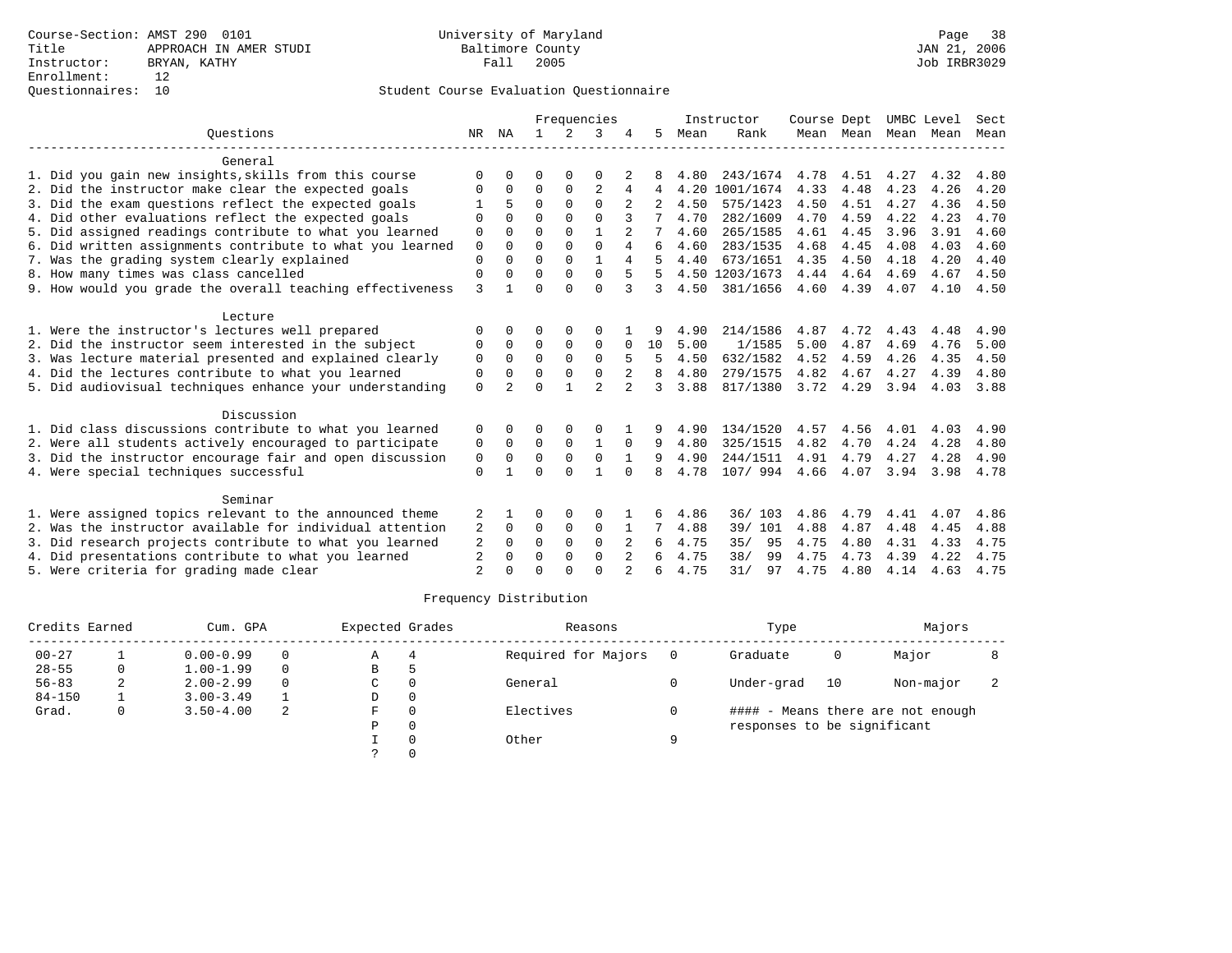|                |                |              |                      |                |                                  |             |      |           |                                                       |                  |                                             |                   | Sect                       |
|----------------|----------------|--------------|----------------------|----------------|----------------------------------|-------------|------|-----------|-------------------------------------------------------|------------------|---------------------------------------------|-------------------|----------------------------|
| NR             | ΝA             | $\mathbf{1}$ | $\mathcal{L}$        | 3              |                                  | 5.          | Mean | Rank      |                                                       |                  | Mean                                        | Mean              | Mean                       |
|                |                |              |                      |                |                                  |             |      |           |                                                       |                  |                                             |                   |                            |
| $\Omega$       | O              | 0            | $\Omega$             | $\Omega$       |                                  |             | 4.80 |           | 4.78                                                  | 4.51             | 4.27                                        | 4.32              | 4.80                       |
| $\Omega$       | 0              | $\Omega$     | 0                    | $\overline{2}$ | 4                                | 4           | 4.20 |           | 4.33                                                  | 4.48             | 4.23                                        | 4.26              | 4.20                       |
|                |                | $\Omega$     | $\Omega$             | $\Omega$       |                                  |             | 4.50 | 575/1423  | 4.50                                                  | 4.51             | 4.27                                        | 4.36              | 4.50                       |
| $\Omega$       | $\Omega$       | $\Omega$     | $\cap$               | $\cap$         |                                  |             | 4.70 | 282/1609  | 4.70                                                  | 4.59             | 4.22                                        | 4.23              | 4.70                       |
| $\Omega$       | $\Omega$       | $\Omega$     | $\Omega$             | $\mathbf{1}$   |                                  |             | 4.60 | 265/1585  | 4.61                                                  | 4.45             | 3.96                                        | 3.91              | 4.60                       |
| $\mathbf 0$    | $\Omega$       | $\Omega$     | $\Omega$             |                | 4                                | 6           | 4.60 | 283/1535  | 4.68                                                  |                  | 4.08                                        | 4.03              | 4.60                       |
| $\Omega$       | $\Omega$       | $\Omega$     | $\Omega$             | $\mathbf{1}$   | 4                                |             | 4.40 | 673/1651  | 4.35                                                  | 4.50             | 4.18                                        | 4.20              | 4.40                       |
| 0              | 0              |              | $\Omega$             |                | 5                                |             |      |           | 4.44                                                  | 4.64             | 4.69                                        |                   | 4.50                       |
|                |                |              |                      |                | 3                                | 3           |      |           |                                                       |                  |                                             |                   | 4.50                       |
|                |                |              |                      |                |                                  |             |      |           |                                                       |                  |                                             |                   |                            |
| $\Omega$       | 0              | O            | $\Omega$             | $\Omega$       |                                  |             | 4.90 | 214/1586  | 4.87                                                  | 4.72             | 4.43                                        | 4.48              | 4.90                       |
| 0              | 0              | $\mathbf 0$  | 0                    | $\mathbf 0$    | $\Omega$                         | 10          | 5.00 | 1/1585    | 5.00                                                  | 4.87             | 4.69                                        | 4.76              | 5.00                       |
| 0              | 0              | $\mathbf 0$  | $\mathbf 0$          | $\Omega$       | 5                                | 5           | 4.50 | 632/1582  | 4.52                                                  | 4.59             | 4.26                                        | 4.35              | 4.50                       |
| 0              | $\Omega$       | $\Omega$     | $\Omega$             | $\Omega$       | 2                                | 8           | 4.80 | 279/1575  | 4.82                                                  | 4.67             | 4.27                                        | 4.39              | 4.80                       |
| $\Omega$       | $\mathfrak{D}$ | $\Omega$     |                      | $\mathfrak{D}$ | $\overline{2}$                   | ζ           | 3.88 | 817/1380  | 3.72                                                  |                  | 3.94                                        | 4.03              | 3.88                       |
|                |                |              |                      |                |                                  |             |      |           |                                                       |                  |                                             |                   |                            |
| 0              | <sup>0</sup>   | O            | $\Omega$             | $\Omega$       |                                  | 9           | 4.90 | 134/1520  | 4.57                                                  | 4.56             | 4.01                                        | 4.03              | 4.90                       |
| 0              | 0              | $\mathbf 0$  | $\mathbf 0$          | 1              | 0                                | 9           | 4.80 | 325/1515  | 4.82                                                  | 4.70             | 4.24                                        | 4.28              | 4.80                       |
| 0              | 0              | $\Omega$     | $\Omega$             | $\Omega$       | $\mathbf{1}$                     | 9           | 4.90 | 244/1511  | 4.91                                                  | 4.79             | 4.27                                        | 4.28              | 4.90                       |
| $\mathbf 0$    |                | $\Omega$     | $\Omega$             | $\mathbf{1}$   | $\Omega$                         | 8           | 4.78 | 107/ 994  | 4.66                                                  |                  | 3.94                                        | 3.98              | 4.78                       |
|                |                |              |                      |                |                                  |             |      |           |                                                       |                  |                                             |                   |                            |
|                |                | 0            | 0                    | $\Omega$       |                                  |             | 4.86 | 36/103    | 4.86                                                  | 4.79             | 4.41                                        | 4.07              | 4.86                       |
| 2              | 0              | 0            | 0                    | $\mathbf 0$    |                                  |             | 4.88 | 39/ 101   | 4.88                                                  | 4.87             | 4.48                                        | 4.45              | 4.88                       |
| $\overline{2}$ | $\Omega$       | $\Omega$     | $\Omega$             | $\Omega$       | 2                                | 6           | 4.75 | 35/<br>95 | 4.75                                                  | 4.80             | 4.31                                        | 4.33              | 4.75                       |
| $\overline{2}$ | $\Omega$       | 0            | 0                    | $\mathbf 0$    |                                  |             | 4.75 | 38/<br>99 | 4.75                                                  | 4.73             | 4.39                                        | 4.22              | 4.75                       |
| $\mathfrak{D}$ |                | $\Omega$     | $\cap$               | $\cap$         |                                  | 6           | 4.75 | 31/<br>97 | 4.75                                                  | 4.80             | 4.14                                        | 4.63              | 4.75                       |
|                | 3<br>2         |              | $\Omega$<br>$\Omega$ | $\Omega$       | $\Omega$<br>$\Omega$<br>$\Omega$ | Frequencies |      | 4.50      | Instructor<br>1001/1674<br>4.50 1203/1673<br>381/1656 | 243/1674<br>4.60 | Course Dept<br>4.45<br>4.39<br>4.29<br>4.07 | Mean Mean<br>4.07 | UMBC Level<br>4.67<br>4.10 |

| Credits Earned |   | Cum. GPA      |          | Expected Grades |          | Reasons             |   | Type                        |    | Majors                            |  |
|----------------|---|---------------|----------|-----------------|----------|---------------------|---|-----------------------------|----|-----------------------------------|--|
| $00 - 27$      |   | $0.00 - 0.99$ |          | $\mathbb{A}$    |          | Required for Majors |   | Graduate                    | 0  | Major                             |  |
| $28 - 55$      | 0 | $1.00 - 1.99$ | $\Omega$ | B               | h        |                     |   |                             |    |                                   |  |
| $56 - 83$      | ∠ | $2.00 - 2.99$ |          | C               | 0        | General             |   | Under-grad                  | 10 | Non-major                         |  |
| $84 - 150$     |   | $3.00 - 3.49$ |          | D               | $\Omega$ |                     |   |                             |    |                                   |  |
| Grad.          | 0 | $3.50 - 4.00$ | -2.      | F               | $\Omega$ | Electives           |   |                             |    | #### - Means there are not enough |  |
|                |   |               |          | P               | $\Omega$ |                     |   | responses to be significant |    |                                   |  |
|                |   |               |          |                 | $\Omega$ | Other               | Q |                             |    |                                   |  |
|                |   |               |          |                 |          |                     |   |                             |    |                                   |  |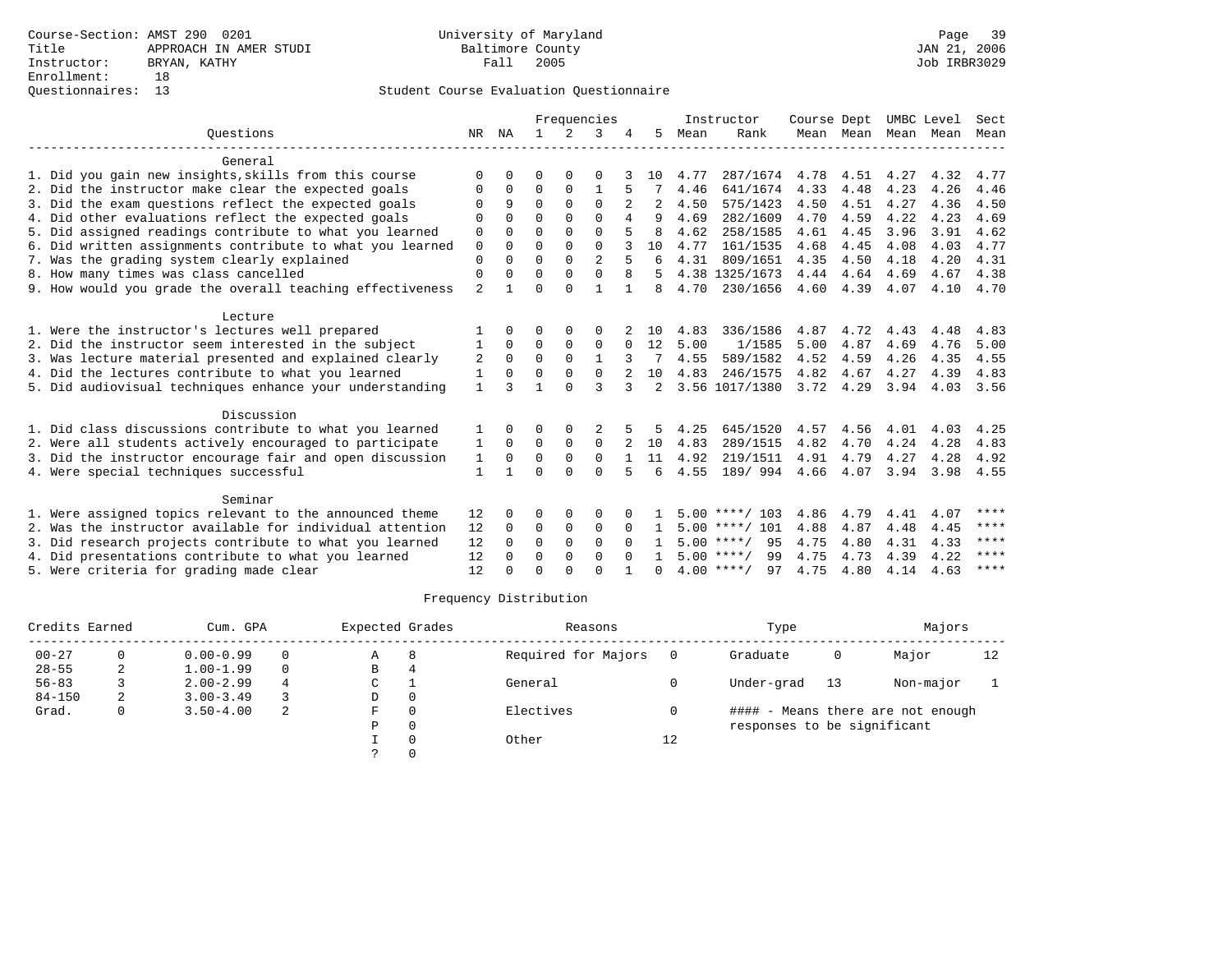|                                                           |                | Frequencies  |              |               |                |              | Instructor   | Course Dept |                    | UMBC Level |           | Sect |      |      |
|-----------------------------------------------------------|----------------|--------------|--------------|---------------|----------------|--------------|--------------|-------------|--------------------|------------|-----------|------|------|------|
| Ouestions                                                 | NR             | NA           | $\mathbf{1}$ | $\mathcal{L}$ | 3              |              | 5            | Mean        | Rank               |            | Mean Mean | Mean | Mean | Mean |
| General                                                   |                |              |              |               |                |              |              |             |                    |            |           |      |      |      |
| 1. Did you gain new insights, skills from this course     | $\Omega$       | O            | O            | $\Omega$      | $\Omega$       |              | 10           | 4.77        | 287/1674           | 4.78       | 4.51      | 4.27 | 4.32 | 4.77 |
| 2. Did the instructor make clear the expected goals       | O              | $\Omega$     | $\Omega$     | 0             | 1              |              |              | 4.46        | 641/1674           | 4.33       | 4.48      | 4.23 | 4.26 | 4.46 |
| 3. Did the exam questions reflect the expected goals      | ∩              | 9            | $\Omega$     | $\Omega$      | $\Omega$       |              |              | 4.50        | 575/1423           | 4.50       | 4.51      | 4.27 | 4.36 | 4.50 |
| 4. Did other evaluations reflect the expected goals       | $\Omega$       | <sup>0</sup> | $\Omega$     | $\Omega$      | $\Omega$       | 4            | q            | 4.69        | 282/1609           | 4.70       | 4.59      | 4.22 | 4.23 | 4.69 |
| 5. Did assigned readings contribute to what you learned   | 0              | $\Omega$     | $\Omega$     | $\Omega$      | $\Omega$       |              | 8            | 4.62        | 258/1585           | 4.61       | 4.45      | 3.96 | 3.91 | 4.62 |
| 6. Did written assignments contribute to what you learned | $\mathbf 0$    | $\Omega$     | $\Omega$     | $\Omega$      | $\Omega$       |              | 10           | 4.77        | 161/1535           | 4.68       | 4.45      | 4.08 | 4.03 | 4.77 |
| 7. Was the grading system clearly explained               | $\Omega$       | $\Omega$     | $\Omega$     | $\Omega$      | $\overline{a}$ |              | 6            | 4.31        | 809/1651           | 4.35       | 4.50      | 4.18 | 4.20 | 4.31 |
| 8. How many times was class cancelled                     | $\Omega$       | 0            | $\Omega$     | $\Omega$      | $\Omega$       | 8            |              |             | 4.38 1325/1673     | 4.44       | 4.64      | 4.69 | 4.67 | 4.38 |
| 9. How would you grade the overall teaching effectiveness | $\overline{a}$ |              | $\Omega$     | $\Omega$      | $\mathbf{1}$   | $\mathbf{1}$ | 8            | 4.70        | 230/1656           | 4.60       | 4.39      | 4.07 | 4.10 | 4.70 |
| Lecture                                                   |                |              |              |               |                |              |              |             |                    |            |           |      |      |      |
| 1. Were the instructor's lectures well prepared           |                |              | O            | $\Omega$      | $\Omega$       |              | 10           | 4.83        | 336/1586           | 4.87       | 4.72      | 4.43 | 4.48 | 4.83 |
| 2. Did the instructor seem interested in the subject      | 1              | $\Omega$     | $\Omega$     | $\Omega$      | $\Omega$       | $\Omega$     | 12           | 5.00        | 1/1585             | 5.00       | 4.87      | 4.69 | 4.76 | 5.00 |
| 3. Was lecture material presented and explained clearly   | 2              | $\Omega$     | $\mathbf 0$  | $\mathbf 0$   | $\mathbf{1}$   |              |              | 4.55        | 589/1582           | 4.52       | 4.59      | 4.26 | 4.35 | 4.55 |
| 4. Did the lectures contribute to what you learned        | 1              | <sup>0</sup> | $\Omega$     | $\Omega$      | $\Omega$       |              | 10           | 4.83        | 246/1575           | 4.82       | 4.67      | 4.27 | 4.39 | 4.83 |
| 5. Did audiovisual techniques enhance your understanding  | $\mathbf{1}$   | ς            | 1            | $\cap$        | ζ              | 3            | 2            |             | 3.56 1017/1380     | 3.72 4.29  |           | 3.94 | 4.03 | 3.56 |
| Discussion                                                |                |              |              |               |                |              |              |             |                    |            |           |      |      |      |
| 1. Did class discussions contribute to what you learned   | 1              | 0            | O            | 0             |                |              | 5            | 4.25        | 645/1520           | 4.57       | 4.56      | 4.01 | 4.03 | 4.25 |
| 2. Were all students actively encouraged to participate   | 1              | $\Omega$     | $\mathbf 0$  | $\mathbf 0$   | $\mathbf 0$    |              | 10           | 4.83        | 289/1515           | 4.82       | 4.70      | 4.24 | 4.28 | 4.83 |
| 3. Did the instructor encourage fair and open discussion  | 1              | $\Omega$     | $\Omega$     | $\Omega$      | $\Omega$       |              | 11           | 4.92        | 219/1511           | 4.91       | 4.79      | 4.27 | 4.28 | 4.92 |
| 4. Were special techniques successful                     | 1              | 1            | $\Omega$     | $\Omega$      | $\Omega$       | 5            | 6            | 4.55        | 189/ 994           | 4.66       | 4.07      | 3.94 | 3.98 | 4.55 |
| Seminar                                                   |                |              |              |               |                |              |              |             |                    |            |           |      |      |      |
| 1. Were assigned topics relevant to the announced theme   | 12             | 0            | 0            | $\Omega$      | $\Omega$       |              |              |             | $5.00$ ****/ 103   | 4.86       | 4.79      | 4.41 | 4.07 | **** |
| 2. Was the instructor available for individual attention  | 12             | 0            | 0            | $\Omega$      | $\Omega$       | $\Omega$     | $\mathbf{1}$ |             | $5.00$ ****/ 101   | 4.88       | 4.87      | 4.48 | 4.45 | **** |
| 3. Did research projects contribute to what you learned   | 12             | $\Omega$     | $\mathbf 0$  | $\mathbf 0$   | $\mathbf 0$    | $\Omega$     |              |             | $5.00$ ****/<br>95 | 4.75       | 4.80      | 4.31 | 4.33 | **** |
| 4. Did presentations contribute to what you learned       |                | <sup>0</sup> | $\Omega$     | $\Omega$      | $\Omega$       | $\cap$       | $\mathbf{1}$ |             | $5.00$ ****/<br>99 | 4.75       | 4.73      | 4.39 | 4.22 | **** |
| 5. Were criteria for grading made clear                   | 12             |              | $\Omega$     | $\cap$        | $\cap$         |              |              |             | $4.00$ ****/<br>97 | 4.75       | 4.80      | 4.14 | 4.63 | **** |

| Credits Earned |   | Cum. GPA      |   | Expected Grades |          | Reasons             |    | Type                        |    | Majors                            |    |
|----------------|---|---------------|---|-----------------|----------|---------------------|----|-----------------------------|----|-----------------------------------|----|
| $00 - 27$      |   | $0.00 - 0.99$ |   | Α               | 8        | Required for Majors |    | Graduate                    | 0  | Major                             | 12 |
| $28 - 55$      | 2 | $1.00 - 1.99$ |   | В               |          |                     |    |                             |    |                                   |    |
| $56 - 83$      |   | $2.00 - 2.99$ | 4 | C               |          | General             |    | Under-grad                  | 13 | Non-major                         |    |
| $84 - 150$     |   | $3.00 - 3.49$ |   | D               | 0        |                     |    |                             |    |                                   |    |
| Grad.          | 0 | $3.50 - 4.00$ | 2 | F               | $\Omega$ | Electives           |    |                             |    | #### - Means there are not enough |    |
|                |   |               |   | Ρ               | 0        |                     |    | responses to be significant |    |                                   |    |
|                |   |               |   |                 | $\Omega$ | Other               | 12 |                             |    |                                   |    |
|                |   |               |   |                 |          |                     |    |                             |    |                                   |    |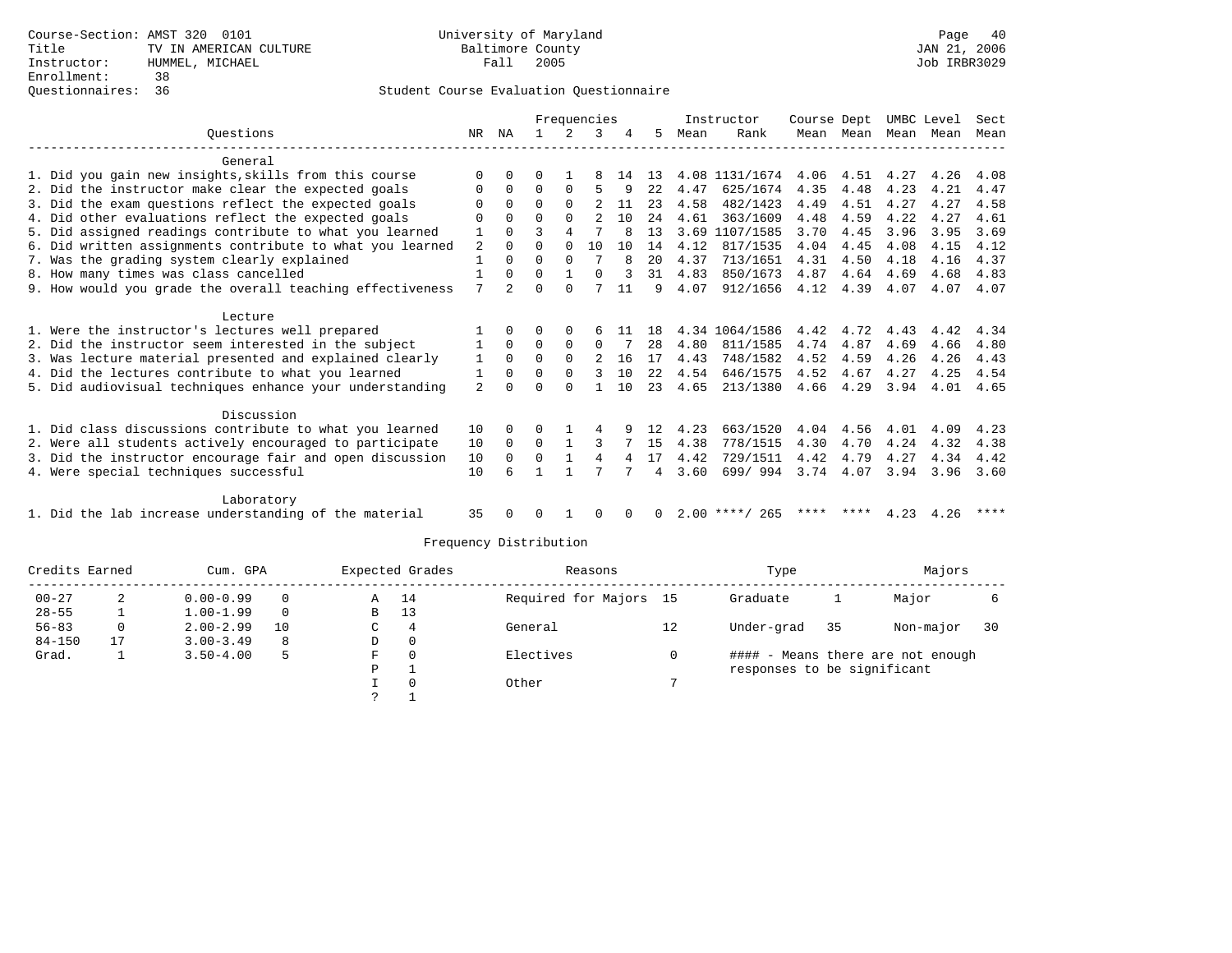|                                                           |                | Frequencies |          |              |                |    |     |      | Instructor       | Course Dept |           |      | UMBC Level | Sect |
|-----------------------------------------------------------|----------------|-------------|----------|--------------|----------------|----|-----|------|------------------|-------------|-----------|------|------------|------|
| Ouestions                                                 | NR             | ΝA          |          |              | 3              |    | 5   | Mean | Rank             |             | Mean Mean | Mean | Mean       | Mean |
| General                                                   |                |             |          |              |                |    |     |      |                  |             |           |      |            |      |
| 1. Did you gain new insights, skills from this course     | $\Omega$       | $\Omega$    |          |              | 8              | 14 | 13  |      | 4.08 1131/1674   | 4.06        | 4.51      | 4.27 | 4.26       | 4.08 |
| 2. Did the instructor make clear the expected goals       | 0              | $\Omega$    | $\Omega$ | $\Omega$     | 5              | 9  | 22  | 4.47 | 625/1674         | 4.35        | 4.48      | 4.23 | 4.21       | 4.47 |
| 3. Did the exam questions reflect the expected goals      | 0              | $\Omega$    | $\Omega$ | $\Omega$     | $\mathfrak{D}$ | 11 | 23  | 4.58 | 482/1423         | 4.49        | 4.51      | 4.27 | 4.27       | 4.58 |
| 4. Did other evaluations reflect the expected goals       | O              | $\Omega$    | $\Omega$ | $\Omega$     | $\mathfrak{D}$ | 10 | 2.4 | 4.61 | 363/1609         | 4.48        | 4.59      | 4.22 | 4.27       | 4.61 |
| 5. Did assigned readings contribute to what you learned   |                | $\Omega$    |          | 4            |                | 8  | 13  | 3.69 | 1107/1585        | 3.70        | 4.45      | 3.96 | 3.95       | 3.69 |
| 6. Did written assignments contribute to what you learned | $\overline{2}$ | $\Omega$    | O        | $\Omega$     | 10             | 10 | 14  | 4.12 | 817/1535         | 4.04        | 4.45      | 4.08 | 4.15       | 4.12 |
| 7. Was the grading system clearly explained               | $\mathbf{1}$   | $\Omega$    | $\Omega$ | $\Omega$     |                | R  | 20  | 4.37 | 713/1651         | 4.31        | 4.50      | 4.18 | 4.16       | 4.37 |
| 8. How many times was class cancelled                     |                | $\Omega$    | 0        | $\mathbf{1}$ | $\Omega$       |    | 31  | 4.83 | 850/1673         | 4.87        | 4.64      | 4.69 | 4.68       | 4.83 |
| 9. How would you grade the overall teaching effectiveness | 7              | 2           | U        | $\cap$       |                | 11 | 9   | 4.07 | 912/1656         | 4.12        | 4.39      | 4.07 | 4.07       | 4.07 |
| Lecture                                                   |                |             |          |              |                |    |     |      |                  |             |           |      |            |      |
| 1. Were the instructor's lectures well prepared           |                | $\Omega$    | U        | $\Omega$     | 6              | 11 | 18  |      | 4.34 1064/1586   | 4.42        | 4.72      | 4.43 | 4.42       | 4.34 |
| 2. Did the instructor seem interested in the subject      |                | $\Omega$    | $\Omega$ | $\Omega$     | $\Omega$       |    | 28  | 4.80 | 811/1585         | 4.74        | 4.87      | 4.69 | 4.66       | 4.80 |
| 3. Was lecture material presented and explained clearly   | 1              | $\Omega$    | $\Omega$ | $\Omega$     | $\overline{2}$ | 16 | 17  | 4.43 | 748/1582         | 4.52        | 4.59      | 4.26 | 4.26       | 4.43 |
| 4. Did the lectures contribute to what you learned        | 1              | $\Omega$    | O        | $\Omega$     | 3              | 10 | 22  | 4.54 | 646/1575         | 4.52        | 4.67      | 4.27 | 4.25       | 4.54 |
| 5. Did audiovisual techniques enhance your understanding  | $\overline{2}$ |             |          | $\cap$       |                | 10 | 23  | 4.65 | 213/1380         | 4.66        | 4.29      | 3.94 | 4.01       | 4.65 |
| Discussion                                                |                |             |          |              |                |    |     |      |                  |             |           |      |            |      |
| 1. Did class discussions contribute to what you learned   | 10             | $\Omega$    |          |              | 4              |    | 12  | 4.23 | 663/1520         | 4.04        | 4.56      | 4.01 | 4.09       | 4.23 |
| 2. Were all students actively encouraged to participate   | 10             | $\Omega$    | $\Omega$ | -1           | 3              |    | 15  | 4.38 | 778/1515         | 4.30        | 4.70      | 4.24 | 4.32       | 4.38 |
| 3. Did the instructor encourage fair and open discussion  | 10             | $\Omega$    | $\Omega$ | $\mathbf{1}$ | 4              | 4  | 17  | 4.42 | 729/1511         | 4.42        | 4.79      | 4.27 | 4.34       | 4.42 |
| 4. Were special techniques successful                     | 10             |             |          |              |                |    | 4   | 3.60 | 699/994          |             | 3.74 4.07 | 3.94 | 3.96       | 3.60 |
| Laboratory                                                |                |             |          |              |                |    |     |      |                  |             |           |      |            |      |
| 1. Did the lab increase understanding of the material     | 35             |             |          |              |                |    |     |      | $2.00$ ****/ 265 |             | **** **** | 4.23 | 4.26       | **** |

| Credits Earned |    | Cum. GPA      |          |   | Expected Grades | Reasons                |    | Type                        |    | Majors                            |    |
|----------------|----|---------------|----------|---|-----------------|------------------------|----|-----------------------------|----|-----------------------------------|----|
| $00 - 27$      |    | $0.00 - 0.99$ | $\Omega$ | Α | 14              | Required for Majors 15 |    | Graduate                    |    | Major                             |    |
| $28 - 55$      |    | $1.00 - 1.99$ | $\Omega$ | B | 13              |                        |    |                             |    |                                   |    |
| $56 - 83$      |    | $2.00 - 2.99$ | 10       | С | 4               | General                | 12 | Under-grad                  | 35 | Non-major                         | 30 |
| $84 - 150$     | 17 | $3.00 - 3.49$ | 8        | D | $\mathbf{0}$    |                        |    |                             |    |                                   |    |
| Grad.          |    | $3.50 - 4.00$ | 5        | F | 0               | Electives              |    |                             |    | #### - Means there are not enough |    |
|                |    |               |          | D |                 |                        |    | responses to be significant |    |                                   |    |
|                |    |               |          |   | $\Omega$        | Other                  |    |                             |    |                                   |    |
|                |    |               |          |   |                 |                        |    |                             |    |                                   |    |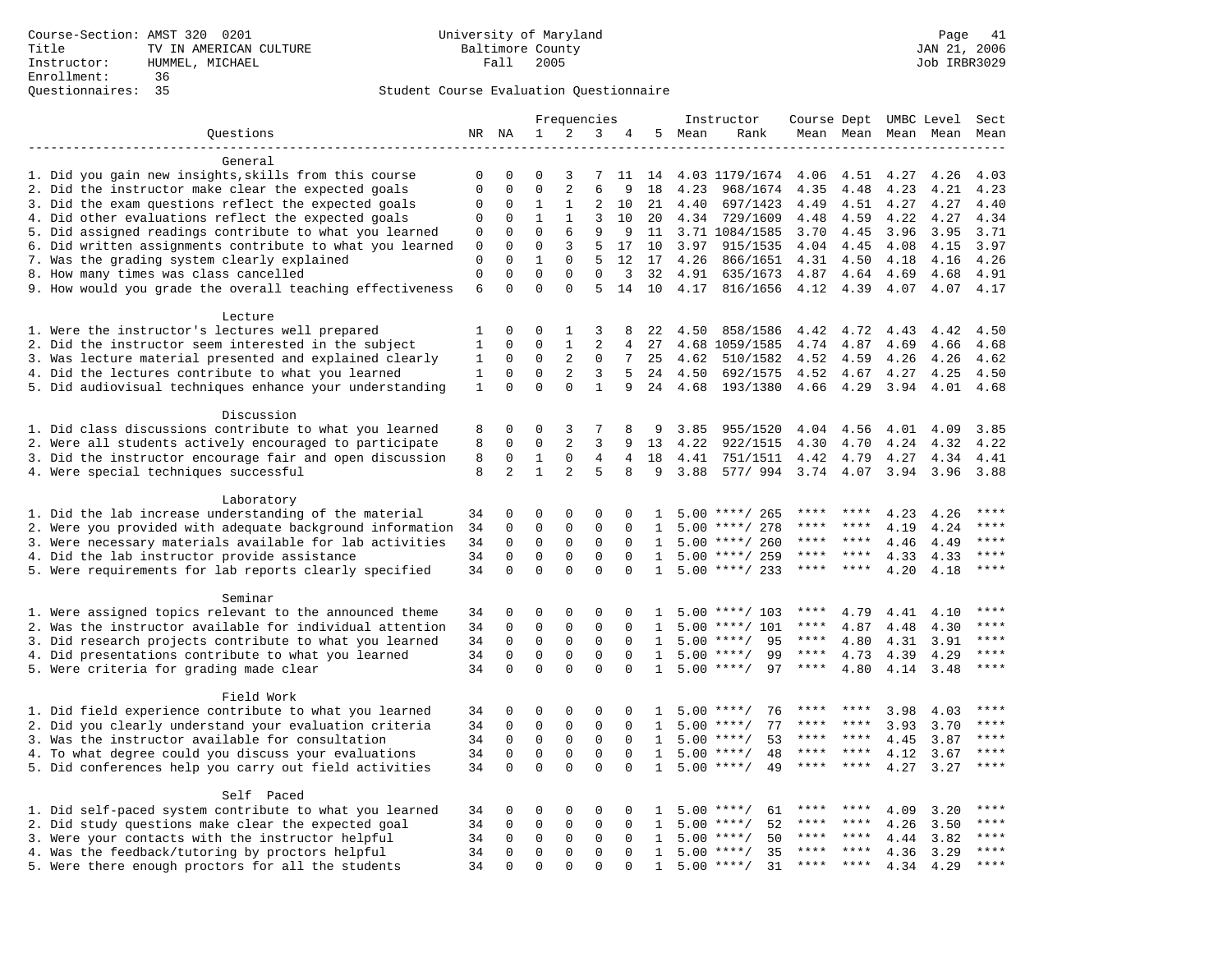| $\mathbf 1$<br>2<br>3<br>Questions<br>NR NA<br>4<br>5<br>Mean<br>Rank<br>Mean Mean Mean Mean<br>Mean<br>General<br>1. Did you gain new insights, skills from this course<br>0<br>0<br>$\Omega$<br>4.03 1179/1674<br>4.06<br>4.51<br>3<br>7<br>11<br>14<br>4.27<br>4.26<br>4.03<br>$\mathbf{0}$<br>$\overline{a}$<br>6<br>2. Did the instructor make clear the expected goals<br>$\mathbf 0$<br>$\mathbf 0$<br>18<br>4.23<br>4.21<br>4.23<br>968/1674<br>4.35<br>4.48<br>4.23<br>3. Did the exam questions reflect the expected goals<br>$\mathbf 0$<br>0<br>1<br>1<br>2<br>10<br>21<br>4.40<br>697/1423<br>4.49<br>4.51<br>4.27<br>4.27<br>4.40<br>4. Did other evaluations reflect the expected goals<br>$\Omega$<br>$\mathbf{1}$<br>$\mathbf{1}$<br>3<br>4.34<br>729/1609<br>4.22<br>4.27<br>4.34<br>$\mathbf 0$<br>10<br>20<br>4.48<br>4.59<br>5. Did assigned readings contribute to what you learned<br>$\mathbf 0$<br>6<br>$\mathbf 0$<br>$\mathbf 0$<br>9<br>3.71 1084/1585<br>3.96<br>3.95<br>3.71<br>9<br>11<br>3.70<br>4.45<br>6. Did written assignments contribute to what you learned<br>$\mathbf{0}$<br>$\mathbf 0$<br>$\mathbf 0$<br>3<br>5<br>17<br>10<br>3.97<br>915/1535<br>4.04<br>4.45<br>4.08<br>4.15<br>3.97<br>7. Was the grading system clearly explained<br>5<br>$\mathbf 0$<br>$\mathbf 0$<br>$\mathbf{1}$<br>$\mathbf 0$<br>12<br>17<br>4.26<br>866/1651<br>4.31<br>4.50<br>4.18<br>4.16<br>4.26<br>8. How many times was class cancelled<br>$\mathsf 0$<br>$\mathbf 0$<br>$\mathbf{0}$<br>$\mathbf 0$<br>$\mathbf 0$<br>3<br>32<br>4.91<br>635/1673<br>4.87<br>4.64<br>4.69<br>4.68<br>4.91<br>6<br>$\Omega$<br>$\Omega$<br>5<br>9. How would you grade the overall teaching effectiveness<br>$\Omega$<br>14<br>10<br>4.17<br>816/1656<br>4.12<br>4.39<br>4.07<br>4.07<br>4.17<br>Lecture<br>$\Omega$<br>1. Were the instructor's lectures well prepared<br>1<br>$\Omega$<br>1<br>3<br>4.50<br>858/1586<br>4.42<br>4.72<br>4.43<br>4.42<br>4.50<br>8<br>22<br>2. Did the instructor seem interested in the subject<br>$\mathbf{1}$<br>$\mathbf 0$<br>$\Omega$<br>$\mathbf{1}$<br>$\overline{2}$<br>$\overline{4}$<br>27<br>4.68 1059/1585<br>4.74<br>4.87<br>4.69<br>4.66<br>4.68<br>2<br>3. Was lecture material presented and explained clearly<br>$\mathbf 0$<br>$\mathbf 0$<br>7<br>25<br>4.62<br>4.62<br>1<br>0<br>510/1582<br>4.52<br>4.59<br>4.26<br>4.26<br>2<br>3<br>4. Did the lectures contribute to what you learned<br>$\mathbf{1}$<br>$\mathbf 0$<br>$\mathbf{0}$<br>5<br>24<br>4.50<br>692/1575<br>4.52<br>4.67<br>4.27<br>4.25<br>4.50<br>$\Omega$<br>$\Omega$<br>5. Did audiovisual techniques enhance your understanding<br>$\Omega$<br>$\mathbf{1}$<br>1<br>9<br>24<br>4.68<br>193/1380<br>4.66<br>4.29<br>3.94<br>4.01<br>4.68<br>Discussion<br>1. Did class discussions contribute to what you learned<br>0<br>0<br>3<br>7<br>8<br>3.85<br>955/1520<br>4.04<br>4.56<br>4.01<br>4.09<br>3.85<br>8<br>9<br>2<br>2. Were all students actively encouraged to participate<br>8<br>$\Omega$<br>$\mathbf 0$<br>3<br>13<br>4.22<br>922/1515<br>4.30<br>4.70<br>4.22<br>9<br>4.24<br>4.32<br>3. Did the instructor encourage fair and open discussion<br>8<br>$\mathbf 0$<br>$\mathbf{1}$<br>$\mathsf{O}$<br>$\overline{4}$<br>$\overline{4}$<br>18<br>4.41<br>751/1511<br>4.42<br>4.79<br>4.27<br>4.34<br>4.41<br>8<br>2<br>$\mathbf{1}$<br>5<br>4. Were special techniques successful<br>2<br>8<br>9<br>3.88<br>577/994<br>3.74 4.07<br>3.94<br>3.96<br>3.88<br>Laboratory<br>1. Did the lab increase understanding of the material<br>$\mathbf{0}$<br>0<br>$\mathbf 0$<br>$\mathbf 0$<br>$\mathbf 0$<br>$5.00$ ****/ 265<br>4.23<br>34<br>4.26<br>-1.<br>2. Were you provided with adequate background information<br>$\mathbf 0$<br>$\mathbf{0}$<br>34<br>0<br>$\mathbf 0$<br>$\Omega$<br>5.00<br>****/ 278<br>****<br>4.19<br>4.24<br>****<br>1<br>****<br>3. Were necessary materials available for lab activities<br>34<br>$\mathbf 0$<br>$\mathbf 0$<br>$\mathbf 0$<br>$\mathbf{0}$<br>****/ 260<br>****<br>$***$ *<br>****<br>$\Omega$<br>$\mathbf{1}$<br>5.00<br>4.46<br>4.49<br>4. Did the lab instructor provide assistance<br>$\Omega$<br>34<br>$\Omega$<br>$\Omega$<br>$\Omega$<br>$\Omega$<br>$5.00$ ****/ 259<br>****<br>$***$ *<br>4.33<br>4.33<br>****<br>$\mathbf{1}$<br>$\mathbf 0$<br>$\mathbf 0$<br>$\mathbf 0$<br>$\mathbf 0$<br>$5.00$ ****/ 233<br>5. Were requirements for lab reports clearly specified<br>34<br>$\mathbf 0$<br>$\mathbf{1}$<br>****<br>4.20<br>4.18<br>****<br>****<br>Seminar<br>1. Were assigned topics relevant to the announced theme<br>0<br>$\mathbf 0$<br>$\mathbf 0$<br>$\mathbf 0$<br>****<br>34<br>$\Omega$<br>$5.00$ ****/ 103<br>****<br>4.79<br>4.41<br>4.10<br>-1.<br>2. Was the instructor available for individual attention<br>$\mathbf 0$<br>$\mathbf 0$<br>$\mathbf{0}$<br>34<br>0<br>$\mathbf 0$<br>5.00<br>****/ 101<br>****<br>4.87<br>4.48<br>4.30<br>****<br>1<br>$\mathbf{0}$<br>3. Did research projects contribute to what you learned<br>34<br>$\mathbf 0$<br>$\mathbf 0$<br>$\mathbf{0}$<br>$***/$<br>95<br>****<br>****<br>$\Omega$<br>$\mathbf{1}$<br>5.00<br>4.80<br>4.31<br>3.91<br>$\mathbf 0$<br>$***$<br>4. Did presentations contribute to what you learned<br>34<br>$\mathbf 0$<br>$\mathbf 0$<br>$\mathbf 0$<br>5.00<br>$***/$<br>99<br>$***$ * *<br>4.73<br>4.29<br>$\Omega$<br>$\mathbf{1}$<br>4.39<br>$\Omega$<br>$\Omega$<br>$\Omega$<br>5. Were criteria for grading made clear<br>34<br>$\Omega$<br>$\Omega$<br>$5.00$ ****/<br>97<br>****<br>4.80<br>4.14<br>3.48<br>****<br>$\mathbf{1}$<br>Field Work<br>1. Did field experience contribute to what you learned<br>0<br>0<br>0<br>0<br>76<br>3.98<br>****<br>34<br>0<br>5.00<br>$***$ /<br>****<br>4.03<br>1<br>****<br>2. Did you clearly understand your evaluation criteria<br>$\mathbf 0$<br>$\mathbf{0}$<br>$\mathbf 0$<br>$\mathbf{0}$<br>77<br>3.93<br>****<br>34<br>$\Omega$<br>5.00<br>$***$ /<br>****<br>****<br>3.70<br>1<br>3. Was the instructor available for consultation<br>$\mathbf 0$<br>$\mathbf 0$<br>$\mathbf 0$<br>$\mathbf 0$<br>53<br>****<br>34<br>$\Omega$<br>$\mathbf{1}$<br>5.00<br>$***/$<br>****<br>****<br>4.45<br>3.87<br>$\mathbf{0}$<br>4. To what degree could you discuss your evaluations<br>34<br>$\mathbf 0$<br>$\mathbf 0$<br>$\mathbf{0}$<br>5.00<br>$***$ /<br>48<br>$***$<br>****<br>$\Omega$<br>1<br>4.12<br>3.67<br>$\Omega$<br>$\Omega$<br>5. Did conferences help you carry out field activities<br>34<br>$\Omega$<br>$\Omega$<br>$\Omega$<br>5.00<br>49<br>4.27<br>3.27<br>****<br>$\mathbf{1}$<br>$***$ /<br>****<br>****<br>Self Paced<br>1. Did self-paced system contribute to what you learned<br>$\mathbf 0$<br>$\mathbf 0$<br>$\mathbf{0}$<br>$***$ * * *<br>34<br>0<br>0<br>5.00<br>$***$ /<br>61<br>4.09<br>3.20<br>1<br>2. Did study questions make clear the expected goal<br>$\mathbf 0$<br>$\mathbf 0$<br>$\mathbf{0}$<br>52<br>****<br>34<br>0<br>$\mathbf 0$<br>5.00<br>$***$ /<br>****<br>****<br>4.26<br>3.50<br>1<br>3. Were your contacts with the instructor helpful<br>50<br>$* * * * *$<br>$***$ * * *<br>34<br>0<br>0<br>$\mathbf 0$<br>$\Omega$<br>$\Omega$<br>5.00<br>$***$ /<br>****<br>4.44<br>3.82<br>1<br>4. Was the feedback/tutoring by proctors helpful<br>$\mathbf 0$<br>$\mathbf 0$<br>$\mathbf{0}$<br>35<br>****<br>34<br>0<br>$\Omega$<br>$\mathbf{1}$<br>5.00<br>$***/$<br>****<br>****<br>4.36<br>3.29<br>5. Were there enough proctors for all the students<br>34<br>$\Omega$<br>$\Omega$<br>$\Omega$<br>$5.00$ ****/<br>31<br>$***$<br>$\Omega$<br>$\cap$<br>$\mathbf{1}$<br>****<br>****<br>4.34<br>4.29 |  |  | Frequencies |  |  | Instructor | Course Dept UMBC Level |  | Sect |
|----------------------------------------------------------------------------------------------------------------------------------------------------------------------------------------------------------------------------------------------------------------------------------------------------------------------------------------------------------------------------------------------------------------------------------------------------------------------------------------------------------------------------------------------------------------------------------------------------------------------------------------------------------------------------------------------------------------------------------------------------------------------------------------------------------------------------------------------------------------------------------------------------------------------------------------------------------------------------------------------------------------------------------------------------------------------------------------------------------------------------------------------------------------------------------------------------------------------------------------------------------------------------------------------------------------------------------------------------------------------------------------------------------------------------------------------------------------------------------------------------------------------------------------------------------------------------------------------------------------------------------------------------------------------------------------------------------------------------------------------------------------------------------------------------------------------------------------------------------------------------------------------------------------------------------------------------------------------------------------------------------------------------------------------------------------------------------------------------------------------------------------------------------------------------------------------------------------------------------------------------------------------------------------------------------------------------------------------------------------------------------------------------------------------------------------------------------------------------------------------------------------------------------------------------------------------------------------------------------------------------------------------------------------------------------------------------------------------------------------------------------------------------------------------------------------------------------------------------------------------------------------------------------------------------------------------------------------------------------------------------------------------------------------------------------------------------------------------------------------------------------------------------------------------------------------------------------------------------------------------------------------------------------------------------------------------------------------------------------------------------------------------------------------------------------------------------------------------------------------------------------------------------------------------------------------------------------------------------------------------------------------------------------------------------------------------------------------------------------------------------------------------------------------------------------------------------------------------------------------------------------------------------------------------------------------------------------------------------------------------------------------------------------------------------------------------------------------------------------------------------------------------------------------------------------------------------------------------------------------------------------------------------------------------------------------------------------------------------------------------------------------------------------------------------------------------------------------------------------------------------------------------------------------------------------------------------------------------------------------------------------------------------------------------------------------------------------------------------------------------------------------------------------------------------------------------------------------------------------------------------------------------------------------------------------------------------------------------------------------------------------------------------------------------------------------------------------------------------------------------------------------------------------------------------------------------------------------------------------------------------------------------------------------------------------------------------------------------------------------------------------------------------------------------------------------------------------------------------------------------------------------------------------------------------------------------------------------------------------------------------------------------------------------------------------------------------------------------------------------------------------------------------------------------------------------------------------------------------------------------------------------------------------------------------------------------------------------------------------------------------------------------------------------------------------------------------------------------------------------------------------------------------------------------------------------------------------------------------------------------------------------------------------------------------------------------------------------------------------------------------------------------------------------------------------------------------------------------------------------------------------------------------------------------------------------------------------------------------------------------------------------------------------------------------------------------------------------------------------------------------------------------------------------------------------------------------------------------------------------------------------------------------------------------------------------------------------------------------------------------------------------------------------------------------------------------------------------------------------------------------------------------------------------------------------------------------------------------------------------------------------------------------------------------------------------------------------------------------------------------------------------------------------------------------------------------------------------------------------------------------------------------------------------------------------------------------------------------------------------------------------------------------------------------------------------|--|--|-------------|--|--|------------|------------------------|--|------|
|                                                                                                                                                                                                                                                                                                                                                                                                                                                                                                                                                                                                                                                                                                                                                                                                                                                                                                                                                                                                                                                                                                                                                                                                                                                                                                                                                                                                                                                                                                                                                                                                                                                                                                                                                                                                                                                                                                                                                                                                                                                                                                                                                                                                                                                                                                                                                                                                                                                                                                                                                                                                                                                                                                                                                                                                                                                                                                                                                                                                                                                                                                                                                                                                                                                                                                                                                                                                                                                                                                                                                                                                                                                                                                                                                                                                                                                                                                                                                                                                                                                                                                                                                                                                                                                                                                                                                                                                                                                                                                                                                                                                                                                                                                                                                                                                                                                                                                                                                                                                                                                                                                                                                                                                                                                                                                                                                                                                                                                                                                                                                                                                                                                                                                                                                                                                                                                                                                                                                                                                                                                                                                                                                                                                                                                                                                                                                                                                                                                                                                                                                                                                                                                                                                                                                                                                                                                                                                                                                                                                                                                                                                                                                                                                                                                                                                                                                                                                                                                                                                                                                                                                                                                                                        |  |  |             |  |  |            |                        |  |      |
|                                                                                                                                                                                                                                                                                                                                                                                                                                                                                                                                                                                                                                                                                                                                                                                                                                                                                                                                                                                                                                                                                                                                                                                                                                                                                                                                                                                                                                                                                                                                                                                                                                                                                                                                                                                                                                                                                                                                                                                                                                                                                                                                                                                                                                                                                                                                                                                                                                                                                                                                                                                                                                                                                                                                                                                                                                                                                                                                                                                                                                                                                                                                                                                                                                                                                                                                                                                                                                                                                                                                                                                                                                                                                                                                                                                                                                                                                                                                                                                                                                                                                                                                                                                                                                                                                                                                                                                                                                                                                                                                                                                                                                                                                                                                                                                                                                                                                                                                                                                                                                                                                                                                                                                                                                                                                                                                                                                                                                                                                                                                                                                                                                                                                                                                                                                                                                                                                                                                                                                                                                                                                                                                                                                                                                                                                                                                                                                                                                                                                                                                                                                                                                                                                                                                                                                                                                                                                                                                                                                                                                                                                                                                                                                                                                                                                                                                                                                                                                                                                                                                                                                                                                                                                        |  |  |             |  |  |            |                        |  |      |
|                                                                                                                                                                                                                                                                                                                                                                                                                                                                                                                                                                                                                                                                                                                                                                                                                                                                                                                                                                                                                                                                                                                                                                                                                                                                                                                                                                                                                                                                                                                                                                                                                                                                                                                                                                                                                                                                                                                                                                                                                                                                                                                                                                                                                                                                                                                                                                                                                                                                                                                                                                                                                                                                                                                                                                                                                                                                                                                                                                                                                                                                                                                                                                                                                                                                                                                                                                                                                                                                                                                                                                                                                                                                                                                                                                                                                                                                                                                                                                                                                                                                                                                                                                                                                                                                                                                                                                                                                                                                                                                                                                                                                                                                                                                                                                                                                                                                                                                                                                                                                                                                                                                                                                                                                                                                                                                                                                                                                                                                                                                                                                                                                                                                                                                                                                                                                                                                                                                                                                                                                                                                                                                                                                                                                                                                                                                                                                                                                                                                                                                                                                                                                                                                                                                                                                                                                                                                                                                                                                                                                                                                                                                                                                                                                                                                                                                                                                                                                                                                                                                                                                                                                                                                                        |  |  |             |  |  |            |                        |  |      |
|                                                                                                                                                                                                                                                                                                                                                                                                                                                                                                                                                                                                                                                                                                                                                                                                                                                                                                                                                                                                                                                                                                                                                                                                                                                                                                                                                                                                                                                                                                                                                                                                                                                                                                                                                                                                                                                                                                                                                                                                                                                                                                                                                                                                                                                                                                                                                                                                                                                                                                                                                                                                                                                                                                                                                                                                                                                                                                                                                                                                                                                                                                                                                                                                                                                                                                                                                                                                                                                                                                                                                                                                                                                                                                                                                                                                                                                                                                                                                                                                                                                                                                                                                                                                                                                                                                                                                                                                                                                                                                                                                                                                                                                                                                                                                                                                                                                                                                                                                                                                                                                                                                                                                                                                                                                                                                                                                                                                                                                                                                                                                                                                                                                                                                                                                                                                                                                                                                                                                                                                                                                                                                                                                                                                                                                                                                                                                                                                                                                                                                                                                                                                                                                                                                                                                                                                                                                                                                                                                                                                                                                                                                                                                                                                                                                                                                                                                                                                                                                                                                                                                                                                                                                                                        |  |  |             |  |  |            |                        |  |      |
|                                                                                                                                                                                                                                                                                                                                                                                                                                                                                                                                                                                                                                                                                                                                                                                                                                                                                                                                                                                                                                                                                                                                                                                                                                                                                                                                                                                                                                                                                                                                                                                                                                                                                                                                                                                                                                                                                                                                                                                                                                                                                                                                                                                                                                                                                                                                                                                                                                                                                                                                                                                                                                                                                                                                                                                                                                                                                                                                                                                                                                                                                                                                                                                                                                                                                                                                                                                                                                                                                                                                                                                                                                                                                                                                                                                                                                                                                                                                                                                                                                                                                                                                                                                                                                                                                                                                                                                                                                                                                                                                                                                                                                                                                                                                                                                                                                                                                                                                                                                                                                                                                                                                                                                                                                                                                                                                                                                                                                                                                                                                                                                                                                                                                                                                                                                                                                                                                                                                                                                                                                                                                                                                                                                                                                                                                                                                                                                                                                                                                                                                                                                                                                                                                                                                                                                                                                                                                                                                                                                                                                                                                                                                                                                                                                                                                                                                                                                                                                                                                                                                                                                                                                                                                        |  |  |             |  |  |            |                        |  |      |
|                                                                                                                                                                                                                                                                                                                                                                                                                                                                                                                                                                                                                                                                                                                                                                                                                                                                                                                                                                                                                                                                                                                                                                                                                                                                                                                                                                                                                                                                                                                                                                                                                                                                                                                                                                                                                                                                                                                                                                                                                                                                                                                                                                                                                                                                                                                                                                                                                                                                                                                                                                                                                                                                                                                                                                                                                                                                                                                                                                                                                                                                                                                                                                                                                                                                                                                                                                                                                                                                                                                                                                                                                                                                                                                                                                                                                                                                                                                                                                                                                                                                                                                                                                                                                                                                                                                                                                                                                                                                                                                                                                                                                                                                                                                                                                                                                                                                                                                                                                                                                                                                                                                                                                                                                                                                                                                                                                                                                                                                                                                                                                                                                                                                                                                                                                                                                                                                                                                                                                                                                                                                                                                                                                                                                                                                                                                                                                                                                                                                                                                                                                                                                                                                                                                                                                                                                                                                                                                                                                                                                                                                                                                                                                                                                                                                                                                                                                                                                                                                                                                                                                                                                                                                                        |  |  |             |  |  |            |                        |  |      |
|                                                                                                                                                                                                                                                                                                                                                                                                                                                                                                                                                                                                                                                                                                                                                                                                                                                                                                                                                                                                                                                                                                                                                                                                                                                                                                                                                                                                                                                                                                                                                                                                                                                                                                                                                                                                                                                                                                                                                                                                                                                                                                                                                                                                                                                                                                                                                                                                                                                                                                                                                                                                                                                                                                                                                                                                                                                                                                                                                                                                                                                                                                                                                                                                                                                                                                                                                                                                                                                                                                                                                                                                                                                                                                                                                                                                                                                                                                                                                                                                                                                                                                                                                                                                                                                                                                                                                                                                                                                                                                                                                                                                                                                                                                                                                                                                                                                                                                                                                                                                                                                                                                                                                                                                                                                                                                                                                                                                                                                                                                                                                                                                                                                                                                                                                                                                                                                                                                                                                                                                                                                                                                                                                                                                                                                                                                                                                                                                                                                                                                                                                                                                                                                                                                                                                                                                                                                                                                                                                                                                                                                                                                                                                                                                                                                                                                                                                                                                                                                                                                                                                                                                                                                                                        |  |  |             |  |  |            |                        |  |      |
|                                                                                                                                                                                                                                                                                                                                                                                                                                                                                                                                                                                                                                                                                                                                                                                                                                                                                                                                                                                                                                                                                                                                                                                                                                                                                                                                                                                                                                                                                                                                                                                                                                                                                                                                                                                                                                                                                                                                                                                                                                                                                                                                                                                                                                                                                                                                                                                                                                                                                                                                                                                                                                                                                                                                                                                                                                                                                                                                                                                                                                                                                                                                                                                                                                                                                                                                                                                                                                                                                                                                                                                                                                                                                                                                                                                                                                                                                                                                                                                                                                                                                                                                                                                                                                                                                                                                                                                                                                                                                                                                                                                                                                                                                                                                                                                                                                                                                                                                                                                                                                                                                                                                                                                                                                                                                                                                                                                                                                                                                                                                                                                                                                                                                                                                                                                                                                                                                                                                                                                                                                                                                                                                                                                                                                                                                                                                                                                                                                                                                                                                                                                                                                                                                                                                                                                                                                                                                                                                                                                                                                                                                                                                                                                                                                                                                                                                                                                                                                                                                                                                                                                                                                                                                        |  |  |             |  |  |            |                        |  |      |
|                                                                                                                                                                                                                                                                                                                                                                                                                                                                                                                                                                                                                                                                                                                                                                                                                                                                                                                                                                                                                                                                                                                                                                                                                                                                                                                                                                                                                                                                                                                                                                                                                                                                                                                                                                                                                                                                                                                                                                                                                                                                                                                                                                                                                                                                                                                                                                                                                                                                                                                                                                                                                                                                                                                                                                                                                                                                                                                                                                                                                                                                                                                                                                                                                                                                                                                                                                                                                                                                                                                                                                                                                                                                                                                                                                                                                                                                                                                                                                                                                                                                                                                                                                                                                                                                                                                                                                                                                                                                                                                                                                                                                                                                                                                                                                                                                                                                                                                                                                                                                                                                                                                                                                                                                                                                                                                                                                                                                                                                                                                                                                                                                                                                                                                                                                                                                                                                                                                                                                                                                                                                                                                                                                                                                                                                                                                                                                                                                                                                                                                                                                                                                                                                                                                                                                                                                                                                                                                                                                                                                                                                                                                                                                                                                                                                                                                                                                                                                                                                                                                                                                                                                                                                                        |  |  |             |  |  |            |                        |  |      |
|                                                                                                                                                                                                                                                                                                                                                                                                                                                                                                                                                                                                                                                                                                                                                                                                                                                                                                                                                                                                                                                                                                                                                                                                                                                                                                                                                                                                                                                                                                                                                                                                                                                                                                                                                                                                                                                                                                                                                                                                                                                                                                                                                                                                                                                                                                                                                                                                                                                                                                                                                                                                                                                                                                                                                                                                                                                                                                                                                                                                                                                                                                                                                                                                                                                                                                                                                                                                                                                                                                                                                                                                                                                                                                                                                                                                                                                                                                                                                                                                                                                                                                                                                                                                                                                                                                                                                                                                                                                                                                                                                                                                                                                                                                                                                                                                                                                                                                                                                                                                                                                                                                                                                                                                                                                                                                                                                                                                                                                                                                                                                                                                                                                                                                                                                                                                                                                                                                                                                                                                                                                                                                                                                                                                                                                                                                                                                                                                                                                                                                                                                                                                                                                                                                                                                                                                                                                                                                                                                                                                                                                                                                                                                                                                                                                                                                                                                                                                                                                                                                                                                                                                                                                                                        |  |  |             |  |  |            |                        |  |      |
|                                                                                                                                                                                                                                                                                                                                                                                                                                                                                                                                                                                                                                                                                                                                                                                                                                                                                                                                                                                                                                                                                                                                                                                                                                                                                                                                                                                                                                                                                                                                                                                                                                                                                                                                                                                                                                                                                                                                                                                                                                                                                                                                                                                                                                                                                                                                                                                                                                                                                                                                                                                                                                                                                                                                                                                                                                                                                                                                                                                                                                                                                                                                                                                                                                                                                                                                                                                                                                                                                                                                                                                                                                                                                                                                                                                                                                                                                                                                                                                                                                                                                                                                                                                                                                                                                                                                                                                                                                                                                                                                                                                                                                                                                                                                                                                                                                                                                                                                                                                                                                                                                                                                                                                                                                                                                                                                                                                                                                                                                                                                                                                                                                                                                                                                                                                                                                                                                                                                                                                                                                                                                                                                                                                                                                                                                                                                                                                                                                                                                                                                                                                                                                                                                                                                                                                                                                                                                                                                                                                                                                                                                                                                                                                                                                                                                                                                                                                                                                                                                                                                                                                                                                                                                        |  |  |             |  |  |            |                        |  |      |
|                                                                                                                                                                                                                                                                                                                                                                                                                                                                                                                                                                                                                                                                                                                                                                                                                                                                                                                                                                                                                                                                                                                                                                                                                                                                                                                                                                                                                                                                                                                                                                                                                                                                                                                                                                                                                                                                                                                                                                                                                                                                                                                                                                                                                                                                                                                                                                                                                                                                                                                                                                                                                                                                                                                                                                                                                                                                                                                                                                                                                                                                                                                                                                                                                                                                                                                                                                                                                                                                                                                                                                                                                                                                                                                                                                                                                                                                                                                                                                                                                                                                                                                                                                                                                                                                                                                                                                                                                                                                                                                                                                                                                                                                                                                                                                                                                                                                                                                                                                                                                                                                                                                                                                                                                                                                                                                                                                                                                                                                                                                                                                                                                                                                                                                                                                                                                                                                                                                                                                                                                                                                                                                                                                                                                                                                                                                                                                                                                                                                                                                                                                                                                                                                                                                                                                                                                                                                                                                                                                                                                                                                                                                                                                                                                                                                                                                                                                                                                                                                                                                                                                                                                                                                                        |  |  |             |  |  |            |                        |  |      |
|                                                                                                                                                                                                                                                                                                                                                                                                                                                                                                                                                                                                                                                                                                                                                                                                                                                                                                                                                                                                                                                                                                                                                                                                                                                                                                                                                                                                                                                                                                                                                                                                                                                                                                                                                                                                                                                                                                                                                                                                                                                                                                                                                                                                                                                                                                                                                                                                                                                                                                                                                                                                                                                                                                                                                                                                                                                                                                                                                                                                                                                                                                                                                                                                                                                                                                                                                                                                                                                                                                                                                                                                                                                                                                                                                                                                                                                                                                                                                                                                                                                                                                                                                                                                                                                                                                                                                                                                                                                                                                                                                                                                                                                                                                                                                                                                                                                                                                                                                                                                                                                                                                                                                                                                                                                                                                                                                                                                                                                                                                                                                                                                                                                                                                                                                                                                                                                                                                                                                                                                                                                                                                                                                                                                                                                                                                                                                                                                                                                                                                                                                                                                                                                                                                                                                                                                                                                                                                                                                                                                                                                                                                                                                                                                                                                                                                                                                                                                                                                                                                                                                                                                                                                                                        |  |  |             |  |  |            |                        |  |      |
|                                                                                                                                                                                                                                                                                                                                                                                                                                                                                                                                                                                                                                                                                                                                                                                                                                                                                                                                                                                                                                                                                                                                                                                                                                                                                                                                                                                                                                                                                                                                                                                                                                                                                                                                                                                                                                                                                                                                                                                                                                                                                                                                                                                                                                                                                                                                                                                                                                                                                                                                                                                                                                                                                                                                                                                                                                                                                                                                                                                                                                                                                                                                                                                                                                                                                                                                                                                                                                                                                                                                                                                                                                                                                                                                                                                                                                                                                                                                                                                                                                                                                                                                                                                                                                                                                                                                                                                                                                                                                                                                                                                                                                                                                                                                                                                                                                                                                                                                                                                                                                                                                                                                                                                                                                                                                                                                                                                                                                                                                                                                                                                                                                                                                                                                                                                                                                                                                                                                                                                                                                                                                                                                                                                                                                                                                                                                                                                                                                                                                                                                                                                                                                                                                                                                                                                                                                                                                                                                                                                                                                                                                                                                                                                                                                                                                                                                                                                                                                                                                                                                                                                                                                                                                        |  |  |             |  |  |            |                        |  |      |
|                                                                                                                                                                                                                                                                                                                                                                                                                                                                                                                                                                                                                                                                                                                                                                                                                                                                                                                                                                                                                                                                                                                                                                                                                                                                                                                                                                                                                                                                                                                                                                                                                                                                                                                                                                                                                                                                                                                                                                                                                                                                                                                                                                                                                                                                                                                                                                                                                                                                                                                                                                                                                                                                                                                                                                                                                                                                                                                                                                                                                                                                                                                                                                                                                                                                                                                                                                                                                                                                                                                                                                                                                                                                                                                                                                                                                                                                                                                                                                                                                                                                                                                                                                                                                                                                                                                                                                                                                                                                                                                                                                                                                                                                                                                                                                                                                                                                                                                                                                                                                                                                                                                                                                                                                                                                                                                                                                                                                                                                                                                                                                                                                                                                                                                                                                                                                                                                                                                                                                                                                                                                                                                                                                                                                                                                                                                                                                                                                                                                                                                                                                                                                                                                                                                                                                                                                                                                                                                                                                                                                                                                                                                                                                                                                                                                                                                                                                                                                                                                                                                                                                                                                                                                                        |  |  |             |  |  |            |                        |  |      |
|                                                                                                                                                                                                                                                                                                                                                                                                                                                                                                                                                                                                                                                                                                                                                                                                                                                                                                                                                                                                                                                                                                                                                                                                                                                                                                                                                                                                                                                                                                                                                                                                                                                                                                                                                                                                                                                                                                                                                                                                                                                                                                                                                                                                                                                                                                                                                                                                                                                                                                                                                                                                                                                                                                                                                                                                                                                                                                                                                                                                                                                                                                                                                                                                                                                                                                                                                                                                                                                                                                                                                                                                                                                                                                                                                                                                                                                                                                                                                                                                                                                                                                                                                                                                                                                                                                                                                                                                                                                                                                                                                                                                                                                                                                                                                                                                                                                                                                                                                                                                                                                                                                                                                                                                                                                                                                                                                                                                                                                                                                                                                                                                                                                                                                                                                                                                                                                                                                                                                                                                                                                                                                                                                                                                                                                                                                                                                                                                                                                                                                                                                                                                                                                                                                                                                                                                                                                                                                                                                                                                                                                                                                                                                                                                                                                                                                                                                                                                                                                                                                                                                                                                                                                                                        |  |  |             |  |  |            |                        |  |      |
|                                                                                                                                                                                                                                                                                                                                                                                                                                                                                                                                                                                                                                                                                                                                                                                                                                                                                                                                                                                                                                                                                                                                                                                                                                                                                                                                                                                                                                                                                                                                                                                                                                                                                                                                                                                                                                                                                                                                                                                                                                                                                                                                                                                                                                                                                                                                                                                                                                                                                                                                                                                                                                                                                                                                                                                                                                                                                                                                                                                                                                                                                                                                                                                                                                                                                                                                                                                                                                                                                                                                                                                                                                                                                                                                                                                                                                                                                                                                                                                                                                                                                                                                                                                                                                                                                                                                                                                                                                                                                                                                                                                                                                                                                                                                                                                                                                                                                                                                                                                                                                                                                                                                                                                                                                                                                                                                                                                                                                                                                                                                                                                                                                                                                                                                                                                                                                                                                                                                                                                                                                                                                                                                                                                                                                                                                                                                                                                                                                                                                                                                                                                                                                                                                                                                                                                                                                                                                                                                                                                                                                                                                                                                                                                                                                                                                                                                                                                                                                                                                                                                                                                                                                                                                        |  |  |             |  |  |            |                        |  |      |
|                                                                                                                                                                                                                                                                                                                                                                                                                                                                                                                                                                                                                                                                                                                                                                                                                                                                                                                                                                                                                                                                                                                                                                                                                                                                                                                                                                                                                                                                                                                                                                                                                                                                                                                                                                                                                                                                                                                                                                                                                                                                                                                                                                                                                                                                                                                                                                                                                                                                                                                                                                                                                                                                                                                                                                                                                                                                                                                                                                                                                                                                                                                                                                                                                                                                                                                                                                                                                                                                                                                                                                                                                                                                                                                                                                                                                                                                                                                                                                                                                                                                                                                                                                                                                                                                                                                                                                                                                                                                                                                                                                                                                                                                                                                                                                                                                                                                                                                                                                                                                                                                                                                                                                                                                                                                                                                                                                                                                                                                                                                                                                                                                                                                                                                                                                                                                                                                                                                                                                                                                                                                                                                                                                                                                                                                                                                                                                                                                                                                                                                                                                                                                                                                                                                                                                                                                                                                                                                                                                                                                                                                                                                                                                                                                                                                                                                                                                                                                                                                                                                                                                                                                                                                                        |  |  |             |  |  |            |                        |  |      |
|                                                                                                                                                                                                                                                                                                                                                                                                                                                                                                                                                                                                                                                                                                                                                                                                                                                                                                                                                                                                                                                                                                                                                                                                                                                                                                                                                                                                                                                                                                                                                                                                                                                                                                                                                                                                                                                                                                                                                                                                                                                                                                                                                                                                                                                                                                                                                                                                                                                                                                                                                                                                                                                                                                                                                                                                                                                                                                                                                                                                                                                                                                                                                                                                                                                                                                                                                                                                                                                                                                                                                                                                                                                                                                                                                                                                                                                                                                                                                                                                                                                                                                                                                                                                                                                                                                                                                                                                                                                                                                                                                                                                                                                                                                                                                                                                                                                                                                                                                                                                                                                                                                                                                                                                                                                                                                                                                                                                                                                                                                                                                                                                                                                                                                                                                                                                                                                                                                                                                                                                                                                                                                                                                                                                                                                                                                                                                                                                                                                                                                                                                                                                                                                                                                                                                                                                                                                                                                                                                                                                                                                                                                                                                                                                                                                                                                                                                                                                                                                                                                                                                                                                                                                                                        |  |  |             |  |  |            |                        |  |      |
|                                                                                                                                                                                                                                                                                                                                                                                                                                                                                                                                                                                                                                                                                                                                                                                                                                                                                                                                                                                                                                                                                                                                                                                                                                                                                                                                                                                                                                                                                                                                                                                                                                                                                                                                                                                                                                                                                                                                                                                                                                                                                                                                                                                                                                                                                                                                                                                                                                                                                                                                                                                                                                                                                                                                                                                                                                                                                                                                                                                                                                                                                                                                                                                                                                                                                                                                                                                                                                                                                                                                                                                                                                                                                                                                                                                                                                                                                                                                                                                                                                                                                                                                                                                                                                                                                                                                                                                                                                                                                                                                                                                                                                                                                                                                                                                                                                                                                                                                                                                                                                                                                                                                                                                                                                                                                                                                                                                                                                                                                                                                                                                                                                                                                                                                                                                                                                                                                                                                                                                                                                                                                                                                                                                                                                                                                                                                                                                                                                                                                                                                                                                                                                                                                                                                                                                                                                                                                                                                                                                                                                                                                                                                                                                                                                                                                                                                                                                                                                                                                                                                                                                                                                                                                        |  |  |             |  |  |            |                        |  |      |
|                                                                                                                                                                                                                                                                                                                                                                                                                                                                                                                                                                                                                                                                                                                                                                                                                                                                                                                                                                                                                                                                                                                                                                                                                                                                                                                                                                                                                                                                                                                                                                                                                                                                                                                                                                                                                                                                                                                                                                                                                                                                                                                                                                                                                                                                                                                                                                                                                                                                                                                                                                                                                                                                                                                                                                                                                                                                                                                                                                                                                                                                                                                                                                                                                                                                                                                                                                                                                                                                                                                                                                                                                                                                                                                                                                                                                                                                                                                                                                                                                                                                                                                                                                                                                                                                                                                                                                                                                                                                                                                                                                                                                                                                                                                                                                                                                                                                                                                                                                                                                                                                                                                                                                                                                                                                                                                                                                                                                                                                                                                                                                                                                                                                                                                                                                                                                                                                                                                                                                                                                                                                                                                                                                                                                                                                                                                                                                                                                                                                                                                                                                                                                                                                                                                                                                                                                                                                                                                                                                                                                                                                                                                                                                                                                                                                                                                                                                                                                                                                                                                                                                                                                                                                                        |  |  |             |  |  |            |                        |  |      |
|                                                                                                                                                                                                                                                                                                                                                                                                                                                                                                                                                                                                                                                                                                                                                                                                                                                                                                                                                                                                                                                                                                                                                                                                                                                                                                                                                                                                                                                                                                                                                                                                                                                                                                                                                                                                                                                                                                                                                                                                                                                                                                                                                                                                                                                                                                                                                                                                                                                                                                                                                                                                                                                                                                                                                                                                                                                                                                                                                                                                                                                                                                                                                                                                                                                                                                                                                                                                                                                                                                                                                                                                                                                                                                                                                                                                                                                                                                                                                                                                                                                                                                                                                                                                                                                                                                                                                                                                                                                                                                                                                                                                                                                                                                                                                                                                                                                                                                                                                                                                                                                                                                                                                                                                                                                                                                                                                                                                                                                                                                                                                                                                                                                                                                                                                                                                                                                                                                                                                                                                                                                                                                                                                                                                                                                                                                                                                                                                                                                                                                                                                                                                                                                                                                                                                                                                                                                                                                                                                                                                                                                                                                                                                                                                                                                                                                                                                                                                                                                                                                                                                                                                                                                                                        |  |  |             |  |  |            |                        |  |      |
|                                                                                                                                                                                                                                                                                                                                                                                                                                                                                                                                                                                                                                                                                                                                                                                                                                                                                                                                                                                                                                                                                                                                                                                                                                                                                                                                                                                                                                                                                                                                                                                                                                                                                                                                                                                                                                                                                                                                                                                                                                                                                                                                                                                                                                                                                                                                                                                                                                                                                                                                                                                                                                                                                                                                                                                                                                                                                                                                                                                                                                                                                                                                                                                                                                                                                                                                                                                                                                                                                                                                                                                                                                                                                                                                                                                                                                                                                                                                                                                                                                                                                                                                                                                                                                                                                                                                                                                                                                                                                                                                                                                                                                                                                                                                                                                                                                                                                                                                                                                                                                                                                                                                                                                                                                                                                                                                                                                                                                                                                                                                                                                                                                                                                                                                                                                                                                                                                                                                                                                                                                                                                                                                                                                                                                                                                                                                                                                                                                                                                                                                                                                                                                                                                                                                                                                                                                                                                                                                                                                                                                                                                                                                                                                                                                                                                                                                                                                                                                                                                                                                                                                                                                                                                        |  |  |             |  |  |            |                        |  |      |
|                                                                                                                                                                                                                                                                                                                                                                                                                                                                                                                                                                                                                                                                                                                                                                                                                                                                                                                                                                                                                                                                                                                                                                                                                                                                                                                                                                                                                                                                                                                                                                                                                                                                                                                                                                                                                                                                                                                                                                                                                                                                                                                                                                                                                                                                                                                                                                                                                                                                                                                                                                                                                                                                                                                                                                                                                                                                                                                                                                                                                                                                                                                                                                                                                                                                                                                                                                                                                                                                                                                                                                                                                                                                                                                                                                                                                                                                                                                                                                                                                                                                                                                                                                                                                                                                                                                                                                                                                                                                                                                                                                                                                                                                                                                                                                                                                                                                                                                                                                                                                                                                                                                                                                                                                                                                                                                                                                                                                                                                                                                                                                                                                                                                                                                                                                                                                                                                                                                                                                                                                                                                                                                                                                                                                                                                                                                                                                                                                                                                                                                                                                                                                                                                                                                                                                                                                                                                                                                                                                                                                                                                                                                                                                                                                                                                                                                                                                                                                                                                                                                                                                                                                                                                                        |  |  |             |  |  |            |                        |  |      |
|                                                                                                                                                                                                                                                                                                                                                                                                                                                                                                                                                                                                                                                                                                                                                                                                                                                                                                                                                                                                                                                                                                                                                                                                                                                                                                                                                                                                                                                                                                                                                                                                                                                                                                                                                                                                                                                                                                                                                                                                                                                                                                                                                                                                                                                                                                                                                                                                                                                                                                                                                                                                                                                                                                                                                                                                                                                                                                                                                                                                                                                                                                                                                                                                                                                                                                                                                                                                                                                                                                                                                                                                                                                                                                                                                                                                                                                                                                                                                                                                                                                                                                                                                                                                                                                                                                                                                                                                                                                                                                                                                                                                                                                                                                                                                                                                                                                                                                                                                                                                                                                                                                                                                                                                                                                                                                                                                                                                                                                                                                                                                                                                                                                                                                                                                                                                                                                                                                                                                                                                                                                                                                                                                                                                                                                                                                                                                                                                                                                                                                                                                                                                                                                                                                                                                                                                                                                                                                                                                                                                                                                                                                                                                                                                                                                                                                                                                                                                                                                                                                                                                                                                                                                                                        |  |  |             |  |  |            |                        |  |      |
|                                                                                                                                                                                                                                                                                                                                                                                                                                                                                                                                                                                                                                                                                                                                                                                                                                                                                                                                                                                                                                                                                                                                                                                                                                                                                                                                                                                                                                                                                                                                                                                                                                                                                                                                                                                                                                                                                                                                                                                                                                                                                                                                                                                                                                                                                                                                                                                                                                                                                                                                                                                                                                                                                                                                                                                                                                                                                                                                                                                                                                                                                                                                                                                                                                                                                                                                                                                                                                                                                                                                                                                                                                                                                                                                                                                                                                                                                                                                                                                                                                                                                                                                                                                                                                                                                                                                                                                                                                                                                                                                                                                                                                                                                                                                                                                                                                                                                                                                                                                                                                                                                                                                                                                                                                                                                                                                                                                                                                                                                                                                                                                                                                                                                                                                                                                                                                                                                                                                                                                                                                                                                                                                                                                                                                                                                                                                                                                                                                                                                                                                                                                                                                                                                                                                                                                                                                                                                                                                                                                                                                                                                                                                                                                                                                                                                                                                                                                                                                                                                                                                                                                                                                                                                        |  |  |             |  |  |            |                        |  |      |
|                                                                                                                                                                                                                                                                                                                                                                                                                                                                                                                                                                                                                                                                                                                                                                                                                                                                                                                                                                                                                                                                                                                                                                                                                                                                                                                                                                                                                                                                                                                                                                                                                                                                                                                                                                                                                                                                                                                                                                                                                                                                                                                                                                                                                                                                                                                                                                                                                                                                                                                                                                                                                                                                                                                                                                                                                                                                                                                                                                                                                                                                                                                                                                                                                                                                                                                                                                                                                                                                                                                                                                                                                                                                                                                                                                                                                                                                                                                                                                                                                                                                                                                                                                                                                                                                                                                                                                                                                                                                                                                                                                                                                                                                                                                                                                                                                                                                                                                                                                                                                                                                                                                                                                                                                                                                                                                                                                                                                                                                                                                                                                                                                                                                                                                                                                                                                                                                                                                                                                                                                                                                                                                                                                                                                                                                                                                                                                                                                                                                                                                                                                                                                                                                                                                                                                                                                                                                                                                                                                                                                                                                                                                                                                                                                                                                                                                                                                                                                                                                                                                                                                                                                                                                                        |  |  |             |  |  |            |                        |  |      |
|                                                                                                                                                                                                                                                                                                                                                                                                                                                                                                                                                                                                                                                                                                                                                                                                                                                                                                                                                                                                                                                                                                                                                                                                                                                                                                                                                                                                                                                                                                                                                                                                                                                                                                                                                                                                                                                                                                                                                                                                                                                                                                                                                                                                                                                                                                                                                                                                                                                                                                                                                                                                                                                                                                                                                                                                                                                                                                                                                                                                                                                                                                                                                                                                                                                                                                                                                                                                                                                                                                                                                                                                                                                                                                                                                                                                                                                                                                                                                                                                                                                                                                                                                                                                                                                                                                                                                                                                                                                                                                                                                                                                                                                                                                                                                                                                                                                                                                                                                                                                                                                                                                                                                                                                                                                                                                                                                                                                                                                                                                                                                                                                                                                                                                                                                                                                                                                                                                                                                                                                                                                                                                                                                                                                                                                                                                                                                                                                                                                                                                                                                                                                                                                                                                                                                                                                                                                                                                                                                                                                                                                                                                                                                                                                                                                                                                                                                                                                                                                                                                                                                                                                                                                                                        |  |  |             |  |  |            |                        |  |      |
|                                                                                                                                                                                                                                                                                                                                                                                                                                                                                                                                                                                                                                                                                                                                                                                                                                                                                                                                                                                                                                                                                                                                                                                                                                                                                                                                                                                                                                                                                                                                                                                                                                                                                                                                                                                                                                                                                                                                                                                                                                                                                                                                                                                                                                                                                                                                                                                                                                                                                                                                                                                                                                                                                                                                                                                                                                                                                                                                                                                                                                                                                                                                                                                                                                                                                                                                                                                                                                                                                                                                                                                                                                                                                                                                                                                                                                                                                                                                                                                                                                                                                                                                                                                                                                                                                                                                                                                                                                                                                                                                                                                                                                                                                                                                                                                                                                                                                                                                                                                                                                                                                                                                                                                                                                                                                                                                                                                                                                                                                                                                                                                                                                                                                                                                                                                                                                                                                                                                                                                                                                                                                                                                                                                                                                                                                                                                                                                                                                                                                                                                                                                                                                                                                                                                                                                                                                                                                                                                                                                                                                                                                                                                                                                                                                                                                                                                                                                                                                                                                                                                                                                                                                                                                        |  |  |             |  |  |            |                        |  |      |
|                                                                                                                                                                                                                                                                                                                                                                                                                                                                                                                                                                                                                                                                                                                                                                                                                                                                                                                                                                                                                                                                                                                                                                                                                                                                                                                                                                                                                                                                                                                                                                                                                                                                                                                                                                                                                                                                                                                                                                                                                                                                                                                                                                                                                                                                                                                                                                                                                                                                                                                                                                                                                                                                                                                                                                                                                                                                                                                                                                                                                                                                                                                                                                                                                                                                                                                                                                                                                                                                                                                                                                                                                                                                                                                                                                                                                                                                                                                                                                                                                                                                                                                                                                                                                                                                                                                                                                                                                                                                                                                                                                                                                                                                                                                                                                                                                                                                                                                                                                                                                                                                                                                                                                                                                                                                                                                                                                                                                                                                                                                                                                                                                                                                                                                                                                                                                                                                                                                                                                                                                                                                                                                                                                                                                                                                                                                                                                                                                                                                                                                                                                                                                                                                                                                                                                                                                                                                                                                                                                                                                                                                                                                                                                                                                                                                                                                                                                                                                                                                                                                                                                                                                                                                                        |  |  |             |  |  |            |                        |  |      |
|                                                                                                                                                                                                                                                                                                                                                                                                                                                                                                                                                                                                                                                                                                                                                                                                                                                                                                                                                                                                                                                                                                                                                                                                                                                                                                                                                                                                                                                                                                                                                                                                                                                                                                                                                                                                                                                                                                                                                                                                                                                                                                                                                                                                                                                                                                                                                                                                                                                                                                                                                                                                                                                                                                                                                                                                                                                                                                                                                                                                                                                                                                                                                                                                                                                                                                                                                                                                                                                                                                                                                                                                                                                                                                                                                                                                                                                                                                                                                                                                                                                                                                                                                                                                                                                                                                                                                                                                                                                                                                                                                                                                                                                                                                                                                                                                                                                                                                                                                                                                                                                                                                                                                                                                                                                                                                                                                                                                                                                                                                                                                                                                                                                                                                                                                                                                                                                                                                                                                                                                                                                                                                                                                                                                                                                                                                                                                                                                                                                                                                                                                                                                                                                                                                                                                                                                                                                                                                                                                                                                                                                                                                                                                                                                                                                                                                                                                                                                                                                                                                                                                                                                                                                                                        |  |  |             |  |  |            |                        |  |      |
|                                                                                                                                                                                                                                                                                                                                                                                                                                                                                                                                                                                                                                                                                                                                                                                                                                                                                                                                                                                                                                                                                                                                                                                                                                                                                                                                                                                                                                                                                                                                                                                                                                                                                                                                                                                                                                                                                                                                                                                                                                                                                                                                                                                                                                                                                                                                                                                                                                                                                                                                                                                                                                                                                                                                                                                                                                                                                                                                                                                                                                                                                                                                                                                                                                                                                                                                                                                                                                                                                                                                                                                                                                                                                                                                                                                                                                                                                                                                                                                                                                                                                                                                                                                                                                                                                                                                                                                                                                                                                                                                                                                                                                                                                                                                                                                                                                                                                                                                                                                                                                                                                                                                                                                                                                                                                                                                                                                                                                                                                                                                                                                                                                                                                                                                                                                                                                                                                                                                                                                                                                                                                                                                                                                                                                                                                                                                                                                                                                                                                                                                                                                                                                                                                                                                                                                                                                                                                                                                                                                                                                                                                                                                                                                                                                                                                                                                                                                                                                                                                                                                                                                                                                                                                        |  |  |             |  |  |            |                        |  |      |
|                                                                                                                                                                                                                                                                                                                                                                                                                                                                                                                                                                                                                                                                                                                                                                                                                                                                                                                                                                                                                                                                                                                                                                                                                                                                                                                                                                                                                                                                                                                                                                                                                                                                                                                                                                                                                                                                                                                                                                                                                                                                                                                                                                                                                                                                                                                                                                                                                                                                                                                                                                                                                                                                                                                                                                                                                                                                                                                                                                                                                                                                                                                                                                                                                                                                                                                                                                                                                                                                                                                                                                                                                                                                                                                                                                                                                                                                                                                                                                                                                                                                                                                                                                                                                                                                                                                                                                                                                                                                                                                                                                                                                                                                                                                                                                                                                                                                                                                                                                                                                                                                                                                                                                                                                                                                                                                                                                                                                                                                                                                                                                                                                                                                                                                                                                                                                                                                                                                                                                                                                                                                                                                                                                                                                                                                                                                                                                                                                                                                                                                                                                                                                                                                                                                                                                                                                                                                                                                                                                                                                                                                                                                                                                                                                                                                                                                                                                                                                                                                                                                                                                                                                                                                                        |  |  |             |  |  |            |                        |  |      |
|                                                                                                                                                                                                                                                                                                                                                                                                                                                                                                                                                                                                                                                                                                                                                                                                                                                                                                                                                                                                                                                                                                                                                                                                                                                                                                                                                                                                                                                                                                                                                                                                                                                                                                                                                                                                                                                                                                                                                                                                                                                                                                                                                                                                                                                                                                                                                                                                                                                                                                                                                                                                                                                                                                                                                                                                                                                                                                                                                                                                                                                                                                                                                                                                                                                                                                                                                                                                                                                                                                                                                                                                                                                                                                                                                                                                                                                                                                                                                                                                                                                                                                                                                                                                                                                                                                                                                                                                                                                                                                                                                                                                                                                                                                                                                                                                                                                                                                                                                                                                                                                                                                                                                                                                                                                                                                                                                                                                                                                                                                                                                                                                                                                                                                                                                                                                                                                                                                                                                                                                                                                                                                                                                                                                                                                                                                                                                                                                                                                                                                                                                                                                                                                                                                                                                                                                                                                                                                                                                                                                                                                                                                                                                                                                                                                                                                                                                                                                                                                                                                                                                                                                                                                                                        |  |  |             |  |  |            |                        |  |      |
|                                                                                                                                                                                                                                                                                                                                                                                                                                                                                                                                                                                                                                                                                                                                                                                                                                                                                                                                                                                                                                                                                                                                                                                                                                                                                                                                                                                                                                                                                                                                                                                                                                                                                                                                                                                                                                                                                                                                                                                                                                                                                                                                                                                                                                                                                                                                                                                                                                                                                                                                                                                                                                                                                                                                                                                                                                                                                                                                                                                                                                                                                                                                                                                                                                                                                                                                                                                                                                                                                                                                                                                                                                                                                                                                                                                                                                                                                                                                                                                                                                                                                                                                                                                                                                                                                                                                                                                                                                                                                                                                                                                                                                                                                                                                                                                                                                                                                                                                                                                                                                                                                                                                                                                                                                                                                                                                                                                                                                                                                                                                                                                                                                                                                                                                                                                                                                                                                                                                                                                                                                                                                                                                                                                                                                                                                                                                                                                                                                                                                                                                                                                                                                                                                                                                                                                                                                                                                                                                                                                                                                                                                                                                                                                                                                                                                                                                                                                                                                                                                                                                                                                                                                                                                        |  |  |             |  |  |            |                        |  |      |
|                                                                                                                                                                                                                                                                                                                                                                                                                                                                                                                                                                                                                                                                                                                                                                                                                                                                                                                                                                                                                                                                                                                                                                                                                                                                                                                                                                                                                                                                                                                                                                                                                                                                                                                                                                                                                                                                                                                                                                                                                                                                                                                                                                                                                                                                                                                                                                                                                                                                                                                                                                                                                                                                                                                                                                                                                                                                                                                                                                                                                                                                                                                                                                                                                                                                                                                                                                                                                                                                                                                                                                                                                                                                                                                                                                                                                                                                                                                                                                                                                                                                                                                                                                                                                                                                                                                                                                                                                                                                                                                                                                                                                                                                                                                                                                                                                                                                                                                                                                                                                                                                                                                                                                                                                                                                                                                                                                                                                                                                                                                                                                                                                                                                                                                                                                                                                                                                                                                                                                                                                                                                                                                                                                                                                                                                                                                                                                                                                                                                                                                                                                                                                                                                                                                                                                                                                                                                                                                                                                                                                                                                                                                                                                                                                                                                                                                                                                                                                                                                                                                                                                                                                                                                                        |  |  |             |  |  |            |                        |  |      |
|                                                                                                                                                                                                                                                                                                                                                                                                                                                                                                                                                                                                                                                                                                                                                                                                                                                                                                                                                                                                                                                                                                                                                                                                                                                                                                                                                                                                                                                                                                                                                                                                                                                                                                                                                                                                                                                                                                                                                                                                                                                                                                                                                                                                                                                                                                                                                                                                                                                                                                                                                                                                                                                                                                                                                                                                                                                                                                                                                                                                                                                                                                                                                                                                                                                                                                                                                                                                                                                                                                                                                                                                                                                                                                                                                                                                                                                                                                                                                                                                                                                                                                                                                                                                                                                                                                                                                                                                                                                                                                                                                                                                                                                                                                                                                                                                                                                                                                                                                                                                                                                                                                                                                                                                                                                                                                                                                                                                                                                                                                                                                                                                                                                                                                                                                                                                                                                                                                                                                                                                                                                                                                                                                                                                                                                                                                                                                                                                                                                                                                                                                                                                                                                                                                                                                                                                                                                                                                                                                                                                                                                                                                                                                                                                                                                                                                                                                                                                                                                                                                                                                                                                                                                                                        |  |  |             |  |  |            |                        |  |      |
|                                                                                                                                                                                                                                                                                                                                                                                                                                                                                                                                                                                                                                                                                                                                                                                                                                                                                                                                                                                                                                                                                                                                                                                                                                                                                                                                                                                                                                                                                                                                                                                                                                                                                                                                                                                                                                                                                                                                                                                                                                                                                                                                                                                                                                                                                                                                                                                                                                                                                                                                                                                                                                                                                                                                                                                                                                                                                                                                                                                                                                                                                                                                                                                                                                                                                                                                                                                                                                                                                                                                                                                                                                                                                                                                                                                                                                                                                                                                                                                                                                                                                                                                                                                                                                                                                                                                                                                                                                                                                                                                                                                                                                                                                                                                                                                                                                                                                                                                                                                                                                                                                                                                                                                                                                                                                                                                                                                                                                                                                                                                                                                                                                                                                                                                                                                                                                                                                                                                                                                                                                                                                                                                                                                                                                                                                                                                                                                                                                                                                                                                                                                                                                                                                                                                                                                                                                                                                                                                                                                                                                                                                                                                                                                                                                                                                                                                                                                                                                                                                                                                                                                                                                                                                        |  |  |             |  |  |            |                        |  |      |
|                                                                                                                                                                                                                                                                                                                                                                                                                                                                                                                                                                                                                                                                                                                                                                                                                                                                                                                                                                                                                                                                                                                                                                                                                                                                                                                                                                                                                                                                                                                                                                                                                                                                                                                                                                                                                                                                                                                                                                                                                                                                                                                                                                                                                                                                                                                                                                                                                                                                                                                                                                                                                                                                                                                                                                                                                                                                                                                                                                                                                                                                                                                                                                                                                                                                                                                                                                                                                                                                                                                                                                                                                                                                                                                                                                                                                                                                                                                                                                                                                                                                                                                                                                                                                                                                                                                                                                                                                                                                                                                                                                                                                                                                                                                                                                                                                                                                                                                                                                                                                                                                                                                                                                                                                                                                                                                                                                                                                                                                                                                                                                                                                                                                                                                                                                                                                                                                                                                                                                                                                                                                                                                                                                                                                                                                                                                                                                                                                                                                                                                                                                                                                                                                                                                                                                                                                                                                                                                                                                                                                                                                                                                                                                                                                                                                                                                                                                                                                                                                                                                                                                                                                                                                                        |  |  |             |  |  |            |                        |  |      |
|                                                                                                                                                                                                                                                                                                                                                                                                                                                                                                                                                                                                                                                                                                                                                                                                                                                                                                                                                                                                                                                                                                                                                                                                                                                                                                                                                                                                                                                                                                                                                                                                                                                                                                                                                                                                                                                                                                                                                                                                                                                                                                                                                                                                                                                                                                                                                                                                                                                                                                                                                                                                                                                                                                                                                                                                                                                                                                                                                                                                                                                                                                                                                                                                                                                                                                                                                                                                                                                                                                                                                                                                                                                                                                                                                                                                                                                                                                                                                                                                                                                                                                                                                                                                                                                                                                                                                                                                                                                                                                                                                                                                                                                                                                                                                                                                                                                                                                                                                                                                                                                                                                                                                                                                                                                                                                                                                                                                                                                                                                                                                                                                                                                                                                                                                                                                                                                                                                                                                                                                                                                                                                                                                                                                                                                                                                                                                                                                                                                                                                                                                                                                                                                                                                                                                                                                                                                                                                                                                                                                                                                                                                                                                                                                                                                                                                                                                                                                                                                                                                                                                                                                                                                                                        |  |  |             |  |  |            |                        |  |      |
|                                                                                                                                                                                                                                                                                                                                                                                                                                                                                                                                                                                                                                                                                                                                                                                                                                                                                                                                                                                                                                                                                                                                                                                                                                                                                                                                                                                                                                                                                                                                                                                                                                                                                                                                                                                                                                                                                                                                                                                                                                                                                                                                                                                                                                                                                                                                                                                                                                                                                                                                                                                                                                                                                                                                                                                                                                                                                                                                                                                                                                                                                                                                                                                                                                                                                                                                                                                                                                                                                                                                                                                                                                                                                                                                                                                                                                                                                                                                                                                                                                                                                                                                                                                                                                                                                                                                                                                                                                                                                                                                                                                                                                                                                                                                                                                                                                                                                                                                                                                                                                                                                                                                                                                                                                                                                                                                                                                                                                                                                                                                                                                                                                                                                                                                                                                                                                                                                                                                                                                                                                                                                                                                                                                                                                                                                                                                                                                                                                                                                                                                                                                                                                                                                                                                                                                                                                                                                                                                                                                                                                                                                                                                                                                                                                                                                                                                                                                                                                                                                                                                                                                                                                                                                        |  |  |             |  |  |            |                        |  |      |
|                                                                                                                                                                                                                                                                                                                                                                                                                                                                                                                                                                                                                                                                                                                                                                                                                                                                                                                                                                                                                                                                                                                                                                                                                                                                                                                                                                                                                                                                                                                                                                                                                                                                                                                                                                                                                                                                                                                                                                                                                                                                                                                                                                                                                                                                                                                                                                                                                                                                                                                                                                                                                                                                                                                                                                                                                                                                                                                                                                                                                                                                                                                                                                                                                                                                                                                                                                                                                                                                                                                                                                                                                                                                                                                                                                                                                                                                                                                                                                                                                                                                                                                                                                                                                                                                                                                                                                                                                                                                                                                                                                                                                                                                                                                                                                                                                                                                                                                                                                                                                                                                                                                                                                                                                                                                                                                                                                                                                                                                                                                                                                                                                                                                                                                                                                                                                                                                                                                                                                                                                                                                                                                                                                                                                                                                                                                                                                                                                                                                                                                                                                                                                                                                                                                                                                                                                                                                                                                                                                                                                                                                                                                                                                                                                                                                                                                                                                                                                                                                                                                                                                                                                                                                                        |  |  |             |  |  |            |                        |  |      |
|                                                                                                                                                                                                                                                                                                                                                                                                                                                                                                                                                                                                                                                                                                                                                                                                                                                                                                                                                                                                                                                                                                                                                                                                                                                                                                                                                                                                                                                                                                                                                                                                                                                                                                                                                                                                                                                                                                                                                                                                                                                                                                                                                                                                                                                                                                                                                                                                                                                                                                                                                                                                                                                                                                                                                                                                                                                                                                                                                                                                                                                                                                                                                                                                                                                                                                                                                                                                                                                                                                                                                                                                                                                                                                                                                                                                                                                                                                                                                                                                                                                                                                                                                                                                                                                                                                                                                                                                                                                                                                                                                                                                                                                                                                                                                                                                                                                                                                                                                                                                                                                                                                                                                                                                                                                                                                                                                                                                                                                                                                                                                                                                                                                                                                                                                                                                                                                                                                                                                                                                                                                                                                                                                                                                                                                                                                                                                                                                                                                                                                                                                                                                                                                                                                                                                                                                                                                                                                                                                                                                                                                                                                                                                                                                                                                                                                                                                                                                                                                                                                                                                                                                                                                                                        |  |  |             |  |  |            |                        |  |      |
|                                                                                                                                                                                                                                                                                                                                                                                                                                                                                                                                                                                                                                                                                                                                                                                                                                                                                                                                                                                                                                                                                                                                                                                                                                                                                                                                                                                                                                                                                                                                                                                                                                                                                                                                                                                                                                                                                                                                                                                                                                                                                                                                                                                                                                                                                                                                                                                                                                                                                                                                                                                                                                                                                                                                                                                                                                                                                                                                                                                                                                                                                                                                                                                                                                                                                                                                                                                                                                                                                                                                                                                                                                                                                                                                                                                                                                                                                                                                                                                                                                                                                                                                                                                                                                                                                                                                                                                                                                                                                                                                                                                                                                                                                                                                                                                                                                                                                                                                                                                                                                                                                                                                                                                                                                                                                                                                                                                                                                                                                                                                                                                                                                                                                                                                                                                                                                                                                                                                                                                                                                                                                                                                                                                                                                                                                                                                                                                                                                                                                                                                                                                                                                                                                                                                                                                                                                                                                                                                                                                                                                                                                                                                                                                                                                                                                                                                                                                                                                                                                                                                                                                                                                                                                        |  |  |             |  |  |            |                        |  |      |
|                                                                                                                                                                                                                                                                                                                                                                                                                                                                                                                                                                                                                                                                                                                                                                                                                                                                                                                                                                                                                                                                                                                                                                                                                                                                                                                                                                                                                                                                                                                                                                                                                                                                                                                                                                                                                                                                                                                                                                                                                                                                                                                                                                                                                                                                                                                                                                                                                                                                                                                                                                                                                                                                                                                                                                                                                                                                                                                                                                                                                                                                                                                                                                                                                                                                                                                                                                                                                                                                                                                                                                                                                                                                                                                                                                                                                                                                                                                                                                                                                                                                                                                                                                                                                                                                                                                                                                                                                                                                                                                                                                                                                                                                                                                                                                                                                                                                                                                                                                                                                                                                                                                                                                                                                                                                                                                                                                                                                                                                                                                                                                                                                                                                                                                                                                                                                                                                                                                                                                                                                                                                                                                                                                                                                                                                                                                                                                                                                                                                                                                                                                                                                                                                                                                                                                                                                                                                                                                                                                                                                                                                                                                                                                                                                                                                                                                                                                                                                                                                                                                                                                                                                                                                                        |  |  |             |  |  |            |                        |  |      |
|                                                                                                                                                                                                                                                                                                                                                                                                                                                                                                                                                                                                                                                                                                                                                                                                                                                                                                                                                                                                                                                                                                                                                                                                                                                                                                                                                                                                                                                                                                                                                                                                                                                                                                                                                                                                                                                                                                                                                                                                                                                                                                                                                                                                                                                                                                                                                                                                                                                                                                                                                                                                                                                                                                                                                                                                                                                                                                                                                                                                                                                                                                                                                                                                                                                                                                                                                                                                                                                                                                                                                                                                                                                                                                                                                                                                                                                                                                                                                                                                                                                                                                                                                                                                                                                                                                                                                                                                                                                                                                                                                                                                                                                                                                                                                                                                                                                                                                                                                                                                                                                                                                                                                                                                                                                                                                                                                                                                                                                                                                                                                                                                                                                                                                                                                                                                                                                                                                                                                                                                                                                                                                                                                                                                                                                                                                                                                                                                                                                                                                                                                                                                                                                                                                                                                                                                                                                                                                                                                                                                                                                                                                                                                                                                                                                                                                                                                                                                                                                                                                                                                                                                                                                                                        |  |  |             |  |  |            |                        |  |      |
|                                                                                                                                                                                                                                                                                                                                                                                                                                                                                                                                                                                                                                                                                                                                                                                                                                                                                                                                                                                                                                                                                                                                                                                                                                                                                                                                                                                                                                                                                                                                                                                                                                                                                                                                                                                                                                                                                                                                                                                                                                                                                                                                                                                                                                                                                                                                                                                                                                                                                                                                                                                                                                                                                                                                                                                                                                                                                                                                                                                                                                                                                                                                                                                                                                                                                                                                                                                                                                                                                                                                                                                                                                                                                                                                                                                                                                                                                                                                                                                                                                                                                                                                                                                                                                                                                                                                                                                                                                                                                                                                                                                                                                                                                                                                                                                                                                                                                                                                                                                                                                                                                                                                                                                                                                                                                                                                                                                                                                                                                                                                                                                                                                                                                                                                                                                                                                                                                                                                                                                                                                                                                                                                                                                                                                                                                                                                                                                                                                                                                                                                                                                                                                                                                                                                                                                                                                                                                                                                                                                                                                                                                                                                                                                                                                                                                                                                                                                                                                                                                                                                                                                                                                                                                        |  |  |             |  |  |            |                        |  |      |
|                                                                                                                                                                                                                                                                                                                                                                                                                                                                                                                                                                                                                                                                                                                                                                                                                                                                                                                                                                                                                                                                                                                                                                                                                                                                                                                                                                                                                                                                                                                                                                                                                                                                                                                                                                                                                                                                                                                                                                                                                                                                                                                                                                                                                                                                                                                                                                                                                                                                                                                                                                                                                                                                                                                                                                                                                                                                                                                                                                                                                                                                                                                                                                                                                                                                                                                                                                                                                                                                                                                                                                                                                                                                                                                                                                                                                                                                                                                                                                                                                                                                                                                                                                                                                                                                                                                                                                                                                                                                                                                                                                                                                                                                                                                                                                                                                                                                                                                                                                                                                                                                                                                                                                                                                                                                                                                                                                                                                                                                                                                                                                                                                                                                                                                                                                                                                                                                                                                                                                                                                                                                                                                                                                                                                                                                                                                                                                                                                                                                                                                                                                                                                                                                                                                                                                                                                                                                                                                                                                                                                                                                                                                                                                                                                                                                                                                                                                                                                                                                                                                                                                                                                                                                                        |  |  |             |  |  |            |                        |  |      |
|                                                                                                                                                                                                                                                                                                                                                                                                                                                                                                                                                                                                                                                                                                                                                                                                                                                                                                                                                                                                                                                                                                                                                                                                                                                                                                                                                                                                                                                                                                                                                                                                                                                                                                                                                                                                                                                                                                                                                                                                                                                                                                                                                                                                                                                                                                                                                                                                                                                                                                                                                                                                                                                                                                                                                                                                                                                                                                                                                                                                                                                                                                                                                                                                                                                                                                                                                                                                                                                                                                                                                                                                                                                                                                                                                                                                                                                                                                                                                                                                                                                                                                                                                                                                                                                                                                                                                                                                                                                                                                                                                                                                                                                                                                                                                                                                                                                                                                                                                                                                                                                                                                                                                                                                                                                                                                                                                                                                                                                                                                                                                                                                                                                                                                                                                                                                                                                                                                                                                                                                                                                                                                                                                                                                                                                                                                                                                                                                                                                                                                                                                                                                                                                                                                                                                                                                                                                                                                                                                                                                                                                                                                                                                                                                                                                                                                                                                                                                                                                                                                                                                                                                                                                                                        |  |  |             |  |  |            |                        |  |      |
|                                                                                                                                                                                                                                                                                                                                                                                                                                                                                                                                                                                                                                                                                                                                                                                                                                                                                                                                                                                                                                                                                                                                                                                                                                                                                                                                                                                                                                                                                                                                                                                                                                                                                                                                                                                                                                                                                                                                                                                                                                                                                                                                                                                                                                                                                                                                                                                                                                                                                                                                                                                                                                                                                                                                                                                                                                                                                                                                                                                                                                                                                                                                                                                                                                                                                                                                                                                                                                                                                                                                                                                                                                                                                                                                                                                                                                                                                                                                                                                                                                                                                                                                                                                                                                                                                                                                                                                                                                                                                                                                                                                                                                                                                                                                                                                                                                                                                                                                                                                                                                                                                                                                                                                                                                                                                                                                                                                                                                                                                                                                                                                                                                                                                                                                                                                                                                                                                                                                                                                                                                                                                                                                                                                                                                                                                                                                                                                                                                                                                                                                                                                                                                                                                                                                                                                                                                                                                                                                                                                                                                                                                                                                                                                                                                                                                                                                                                                                                                                                                                                                                                                                                                                                                        |  |  |             |  |  |            |                        |  |      |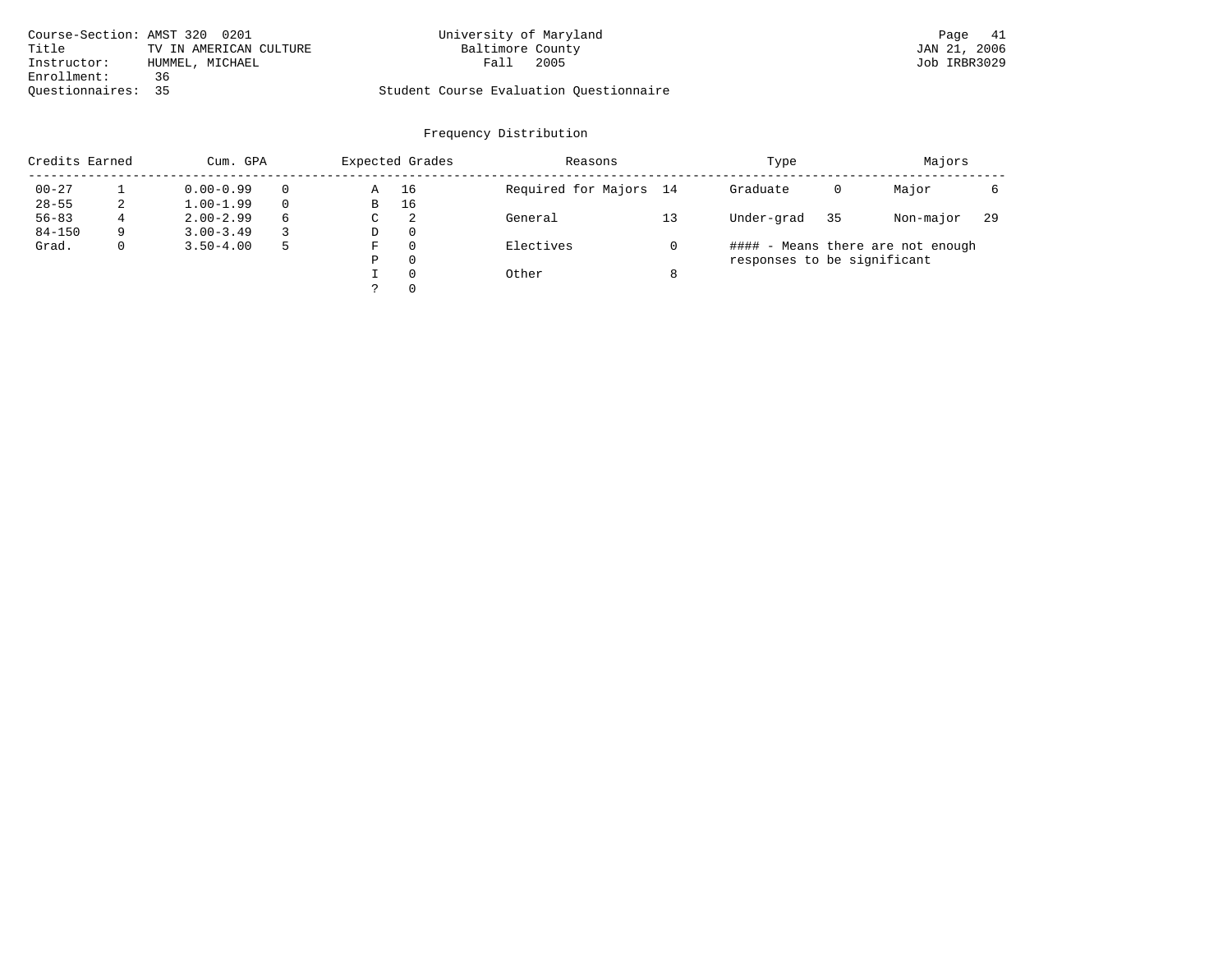| Course-Section: AMST 320 0201 |                        | University of Maryland                  | Page 41      |
|-------------------------------|------------------------|-----------------------------------------|--------------|
| Title                         | TV IN AMERICAN CULTURE | Baltimore County                        | JAN 21, 2006 |
| Instructor:                   | HUMMEL, MICHAEL        | 2005<br>Fall                            | Job IRBR3029 |
| Enrollment:                   | 36                     |                                         |              |
| Ouestionnaires: 35            |                        | Student Course Evaluation Questionnaire |              |

| Credits Earned |   | Cum. GPA      |   |             | Expected Grades | Reasons                |   | Type                        |    | Majors                            |    |
|----------------|---|---------------|---|-------------|-----------------|------------------------|---|-----------------------------|----|-----------------------------------|----|
| $00 - 27$      |   | $0.00 - 0.99$ |   | Α           | 16              | Required for Majors 14 |   | Graduate                    | 0  | Major                             |    |
| $28 - 55$      | 2 | $1.00 - 1.99$ |   | B           | 16              |                        |   |                             |    |                                   |    |
| $56 - 83$      | 4 | $2.00 - 2.99$ | 6 | $\sim$<br>◡ | -2              | General                |   | Under-grad                  | 35 | Non-major                         | 29 |
| $84 - 150$     | 9 | $3.00 - 3.49$ |   | D           | 0               |                        |   |                             |    |                                   |    |
| Grad.          | 0 | $3.50 - 4.00$ | 5 | F           | 0               | Electives              |   |                             |    | #### - Means there are not enough |    |
|                |   |               |   | Ρ           | 0               |                        |   | responses to be significant |    |                                   |    |
|                |   |               |   |             | $\Omega$        | Other                  | 8 |                             |    |                                   |    |
|                |   |               |   | っ           | 0               |                        |   |                             |    |                                   |    |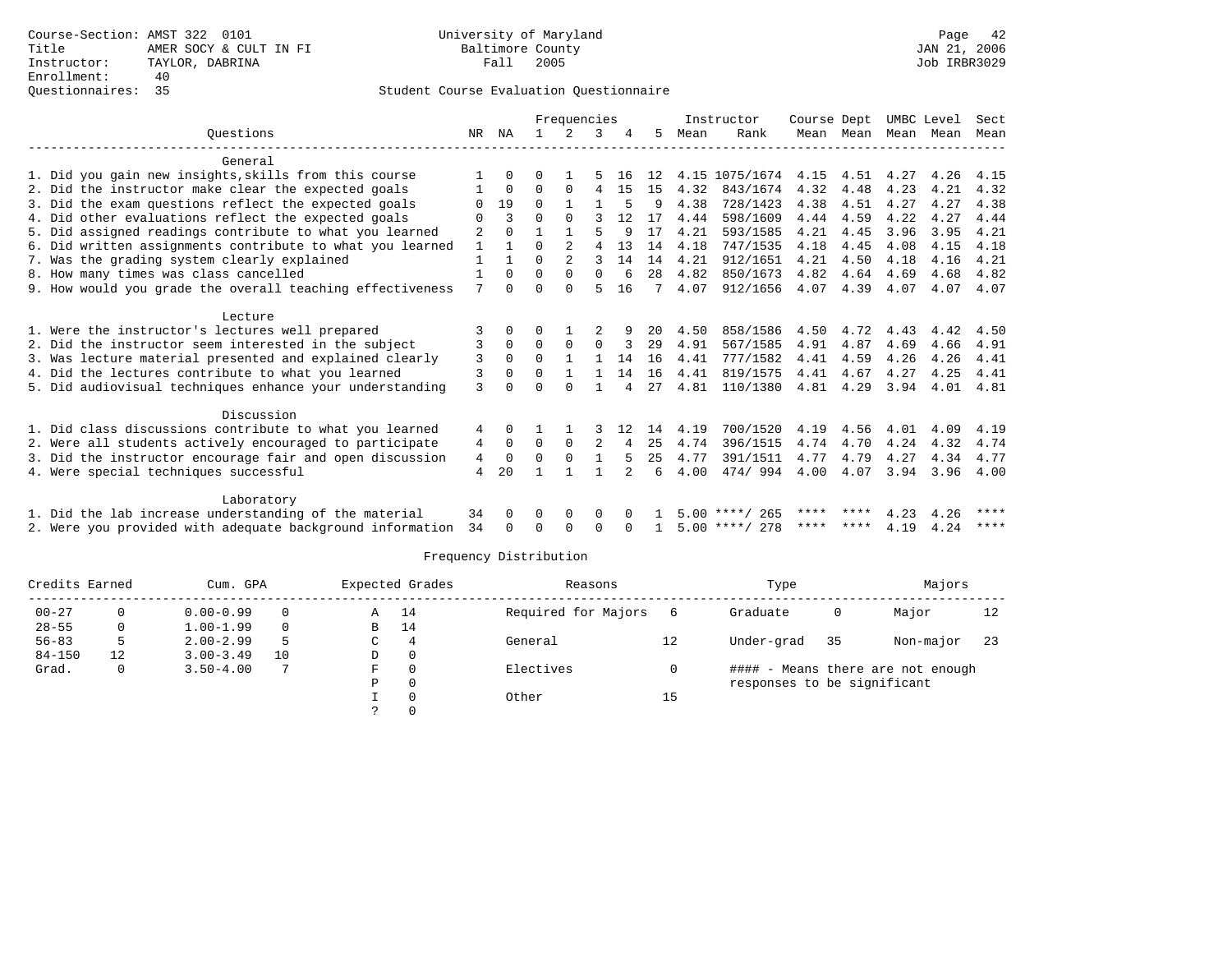| Frequencies |                                                                                                               |              |                      |          |                |          |         |          |              | Instructor       | Course Dept  |              | UMBC Level   |              | Sect         |
|-------------|---------------------------------------------------------------------------------------------------------------|--------------|----------------------|----------|----------------|----------|---------|----------|--------------|------------------|--------------|--------------|--------------|--------------|--------------|
|             | Ouestions                                                                                                     | NR.          | ΝA                   |          |                | 3        |         | 5        | Mean         | Rank             |              | Mean Mean    | Mean         | Mean         | Mean         |
|             | General                                                                                                       |              |                      |          |                |          |         |          |              |                  |              |              |              |              |              |
|             | 1. Did you gain new insights, skills from this course                                                         |              | 0                    | U        |                |          | 16      | 12       |              | 4.15 1075/1674   | 4.15         | 4.51         | 4.27         | 4.26         | 4.15         |
|             | 2. Did the instructor make clear the expected goals                                                           |              | 0                    | 0        | 0              | 4        | -15     | 15       | 4.32         | 843/1674         | 4.32         | 4.48         | 4.23         | 4.21         | 4.32         |
|             | 3. Did the exam questions reflect the expected goals                                                          |              | 19                   | 0        |                |          | 5       | 9        | 4.38         | 728/1423         | 4.38         | 4.51         | 4.27         | 4.27         | 4.38         |
|             | 4. Did other evaluations reflect the expected goals                                                           |              | 3                    | U        | $\Omega$       |          | 12      | 17       | 4.44         | 598/1609         | 4.44         | 4.59         | 4.22         | 4.27         | 4.44         |
|             | 5. Did assigned readings contribute to what you learned                                                       | 2            |                      |          |                | 5        | 9       | 17       | 4.21         | 593/1585         | 4.21         | 4.45         | 3.96         | 3.95         | 4.21         |
|             | 6. Did written assignments contribute to what you learned                                                     | $\mathbf{1}$ |                      | U        |                | 4        | 13      | 14       | 4.18         | 747/1535         | 4.18         | 4.45         | 4.08         | 4.15         | 4.18         |
|             | 7. Was the grading system clearly explained                                                                   | 1            | $\mathbf{1}$         | 0        | $\overline{2}$ | 3        | 14      | 14       | 4.21         | 912/1651         | 4.21         | 4.50         | 4.18         | 4.16         | 4.21         |
|             | 8. How many times was class cancelled                                                                         |              | $\Omega$             | $\Omega$ | $\Omega$       | $\Omega$ | 6       | 28       | 4.82         | 850/1673         | 4.82         | 4.64         | 4.69         | 4.68         | 4.82         |
|             | 9. How would you grade the overall teaching effectiveness                                                     | 7            | $\cap$               |          | U              | 5        | 16      |          | 4.07         | 912/1656         | 4.07         | 4.39         | 4.07         | 4.07         | 4.07         |
|             |                                                                                                               |              |                      |          |                |          |         |          |              |                  |              |              |              |              |              |
|             | Lecture                                                                                                       |              |                      |          |                |          | 9       |          |              | 858/1586         |              |              |              |              |              |
|             | 1. Were the instructor's lectures well prepared                                                               | 3            | $\Omega$<br>$\Omega$ | $\Omega$ |                |          |         | 20       | 4.50<br>4.91 | 567/1585         | 4.50<br>4.91 | 4.72<br>4.87 | 4.43         | 4.42         | 4.50         |
|             | 2. Did the instructor seem interested in the subject                                                          | 3<br>3       | $\Omega$             | $\Omega$ | $\Omega$       | 0        | 3<br>14 | 29<br>16 | 4.41         | 777/1582         | 4.41         | 4.59         | 4.69<br>4.26 | 4.66<br>4.26 | 4.91<br>4.41 |
|             | 3. Was lecture material presented and explained clearly<br>4. Did the lectures contribute to what you learned | 3            | $\Omega$             | 0        | $\mathbf{1}$   |          | 14      | 16       | 4.41         | 819/1575         | 4.41         | 4.67         | 4.27         | 4.25         | 4.41         |
|             |                                                                                                               |              |                      |          | $\Omega$       |          |         |          |              |                  |              |              |              |              |              |
|             | 5. Did audiovisual techniques enhance your understanding                                                      | 3            | 0                    |          |                |          |         | 27       | 4.81         | 110/1380         | 4.81         | 4.29         | 3.94         | 4.01         | 4.81         |
|             | Discussion                                                                                                    |              |                      |          |                |          |         |          |              |                  |              |              |              |              |              |
|             | 1. Did class discussions contribute to what you learned                                                       | 4            | $\Omega$             |          |                |          |         | 14       | 4.19         | 700/1520         | 4.19         | 4.56         | 4.01         | 4.09         | 4.19         |
|             | 2. Were all students actively encouraged to participate                                                       | 4            | $\Omega$             | 0        | $\Omega$       | 2        |         | 25       | 4.74         | 396/1515         | 4.74         | 4.70         | 4.24         | 4.32         | 4.74         |
|             | 3. Did the instructor encourage fair and open discussion                                                      | 4            | $\Omega$             | O        | $\Omega$       |          | 5       | 25       | 4.77         | 391/1511         | 4.77         | 4.79         | 4.27         | 4.34         | 4.77         |
|             | 4. Were special techniques successful                                                                         | 4            | 20                   |          |                |          |         | 6        | 4.00         | 474/994          | 4.00         | 4.07         | 3.94         | 3.96         | 4.00         |
|             | Laboratory                                                                                                    |              |                      |          |                |          |         |          |              |                  |              |              |              |              |              |
|             | 1. Did the lab increase understanding of the material                                                         | 34           | $\Omega$             |          | 0              | 0        |         |          |              | $5.00$ ****/ 265 | ****         | ****         | 4.23         | 4.26         | ****         |
|             | 2. Were you provided with adequate background information                                                     | 34           | $\Omega$             | 0        | $\Omega$       | $\Omega$ |         |          |              | $5.00$ ****/ 278 | ****         | ****         | 4.19         | 4.24         | $***$ * * *  |
|             |                                                                                                               |              |                      |          |                |          |         |          |              |                  |              |              |              |              |              |

| Credits Earned |    | Cum. GPA      |          |   | Expected Grades | Reasons             |    | Type                        |    | Majors                            |     |
|----------------|----|---------------|----------|---|-----------------|---------------------|----|-----------------------------|----|-----------------------------------|-----|
| $00 - 27$      |    | $0.00 - 0.99$ | 0        | A | 14              | Required for Majors | 6  | Graduate                    | 0  | Major                             | 12  |
| $28 - 55$      |    | $1.00 - 1.99$ | $\Omega$ | В | 14              |                     |    |                             |    |                                   |     |
| $56 - 83$      | 5. | $2.00 - 2.99$ | .5       | C | 4               | General             | 12 | Under-grad                  | 35 | Non-major                         | -23 |
| $84 - 150$     | 12 | $3.00 - 3.49$ | 10       | D | 0               |                     |    |                             |    |                                   |     |
| Grad.          | 0  | $3.50 - 4.00$ |          | F |                 | Electives           |    |                             |    | #### - Means there are not enough |     |
|                |    |               |          | Ρ |                 |                     |    | responses to be significant |    |                                   |     |
|                |    |               |          |   |                 | Other               | 15 |                             |    |                                   |     |
|                |    |               |          |   |                 |                     |    |                             |    |                                   |     |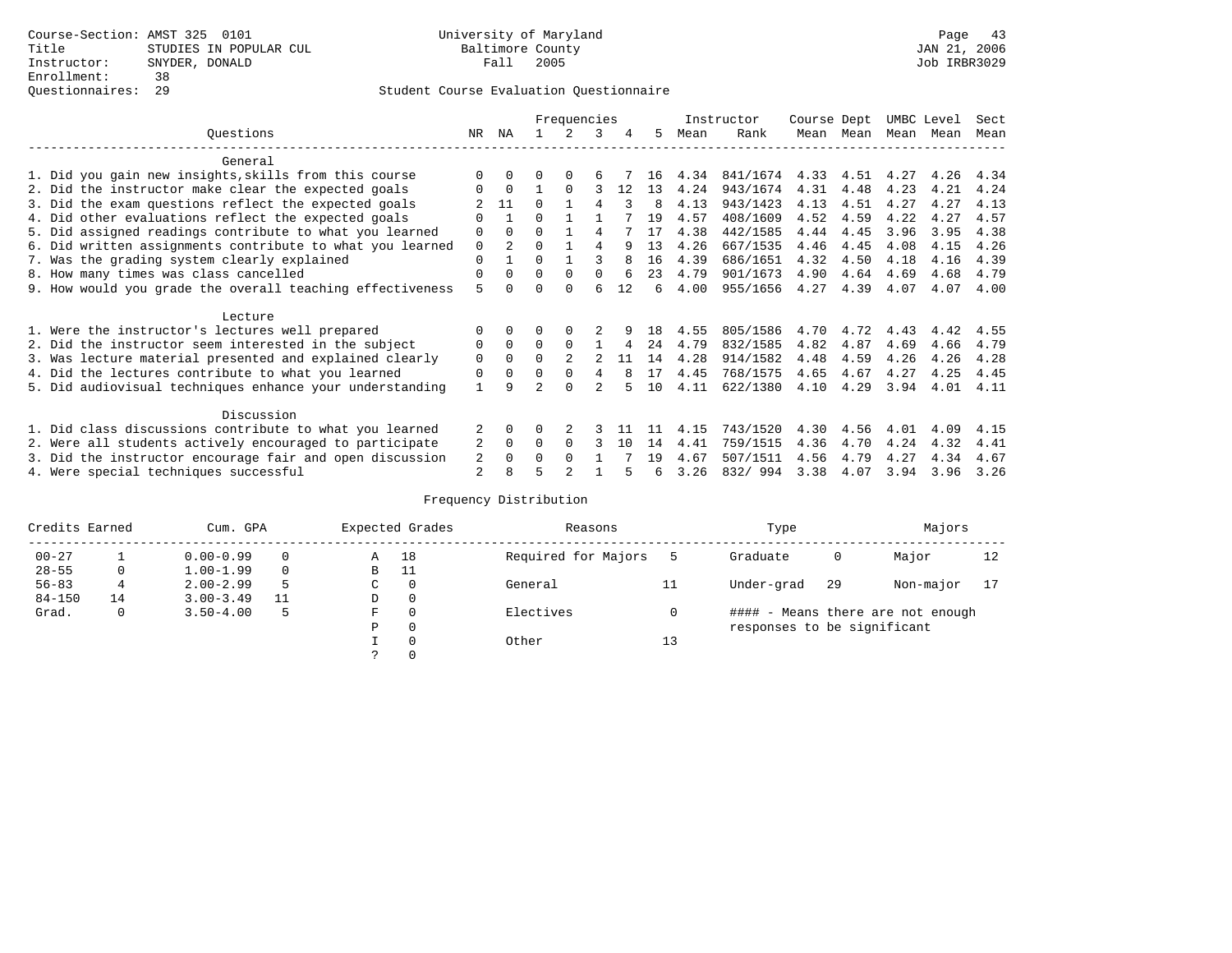|                                                           |                |                |          | Frequencies |          |    |              |      | Instructor | Course Dept |           | UMBC Level |      | Sect |
|-----------------------------------------------------------|----------------|----------------|----------|-------------|----------|----|--------------|------|------------|-------------|-----------|------------|------|------|
| Ouestions                                                 | NR.            | ΝA             |          |             | 3        | 4  | 5.           | Mean | Rank       |             | Mean Mean | Mean       | Mean | Mean |
| General                                                   |                |                |          |             |          |    |              |      |            |             |           |            |      |      |
| 1. Did you gain new insights, skills from this course     |                | $\Omega$       | 0        | $\Omega$    | 6        |    | 16           | 4.34 | 841/1674   | 4.33        | 4.51      | 4.27       | 4.26 | 4.34 |
| 2. Did the instructor make clear the expected goals       | O              | $\Omega$       |          | $\Omega$    |          | 12 | 13           | 4.24 | 943/1674   | 4.31        | 4.48      | 4.23       | 4.21 | 4.24 |
| 3. Did the exam questions reflect the expected goals      |                | 11             | $\cap$   |             |          | ς  | <sup>8</sup> | 4.13 | 943/1423   | 4.13        | 4.51      | 4.27       | 4.27 | 4.13 |
| 4. Did other evaluations reflect the expected goals       | O              |                | $\Omega$ |             |          |    | 19           | 4.57 | 408/1609   | 4.52        | 4.59      | 4.22       | 4.27 | 4.57 |
| 5. Did assigned readings contribute to what you learned   | $\mathbf 0$    | $\Omega$       | $\Omega$ |             | 4        |    | 17           | 4.38 | 442/1585   | 4.44        | 4.45      | 3.96       | 3.95 | 4.38 |
| 6. Did written assignments contribute to what you learned | $\mathbf 0$    | $\mathfrak{D}$ | $\Omega$ |             | 4        | q  | 13           | 4.26 | 667/1535   | 4.46        | 4.45      | 4.08       | 4.15 | 4.26 |
| 7. Was the grading system clearly explained               | $\Omega$       |                | $\Omega$ |             |          |    | 16           | 4.39 | 686/1651   | 4.32        | 4.50      | 4.18       | 4.16 | 4.39 |
| 8. How many times was class cancelled                     | 0              | $\Omega$       | $\Omega$ | $\Omega$    | $\Omega$ |    | 23           | 4.79 | 901/1673   | 4.90        | 4.64      | 4.69       | 4.68 | 4.79 |
| 9. How would you grade the overall teaching effectiveness | 5              | <sup>n</sup>   | ∩        | $\cap$      | б        | 12 | б.           | 4.00 | 955/1656   | 4.27        | 4.39      | 4.07       | 4.07 | 4.00 |
| Lecture                                                   |                |                |          |             |          |    |              |      |            |             |           |            |      |      |
| 1. Were the instructor's lectures well prepared           | $\Omega$       |                |          |             |          |    | 18           | 4.55 | 805/1586   | 4.70        | 4.72      | 4.43       | 4.42 | 4.55 |
| 2. Did the instructor seem interested in the subject      | 0              | $\Omega$       | $\Omega$ | $\Omega$    |          | 4  | 24           | 4.79 | 832/1585   | 4.82        | 4.87      | 4.69       | 4.66 | 4.79 |
| 3. Was lecture material presented and explained clearly   | 0              | $\Omega$       | $\Omega$ |             |          | 11 | 14           | 4.28 | 914/1582   | 4.48        | 4.59      | 4.26       | 4.26 | 4.28 |
| 4. Did the lectures contribute to what you learned        | 0              | $\Omega$       | $\Omega$ | $\Omega$    | 4        |    | 17           | 4.45 | 768/1575   | 4.65        | 4.67      | 4.27       | 4.25 | 4.45 |
| 5. Did audiovisual techniques enhance your understanding  | $\mathbf{1}$   | Q              |          | $\cap$      |          |    | 10           | 4.11 | 622/1380   | 4.10        | 4.29      | 3.94       | 4.01 | 4.11 |
| Discussion                                                |                |                |          |             |          |    |              |      |            |             |           |            |      |      |
| 1. Did class discussions contribute to what you learned   | $\mathfrak{D}$ | $\Omega$       | U        |             |          |    |              | 4.15 | 743/1520   | 4.30        | 4.56      | 4.01       | 4.09 | 4.15 |
| 2. Were all students actively encouraged to participate   | 2              | $\Omega$       | $\Omega$ | $\Omega$    |          | 10 | 14           | 4.41 | 759/1515   | 4.36        | 4.70      | 4.24       | 4.32 | 4.41 |
| 3. Did the instructor encourage fair and open discussion  | 2              | $\Omega$       | O        | $\Omega$    |          |    | 19           | 4.67 | 507/1511   | 4.56        | 4.79      | 4.27       | 4.34 | 4.67 |
| 4. Were special techniques successful                     | 2              |                |          |             |          |    | 6            | 3.26 | 832/994    | 3.38        | 4.07      | 3.94       | 3.96 | 3.26 |

| Credits Earned |    | Cum. GPA      |          |    | Expected Grades | Reasons             |    | Type                        |     | Majors                            |    |
|----------------|----|---------------|----------|----|-----------------|---------------------|----|-----------------------------|-----|-----------------------------------|----|
| $00 - 27$      |    | $0.00 - 0.99$ |          | Α  | 18              | Required for Majors |    | Graduate                    | 0   | Major                             | 12 |
| $28 - 55$      | 0  | $1.00 - 1.99$ | $\Omega$ | В  | - 11            |                     |    |                             |     |                                   |    |
| $56 - 83$      |    | $2.00 - 2.99$ |          | C. | $\Omega$        | General             | 11 | Under-grad                  | -29 | Non-major                         |    |
| $84 - 150$     | 14 | $3.00 - 3.49$ |          | D  | 0               |                     |    |                             |     |                                   |    |
| Grad.          | 0  | $3.50 - 4.00$ |          | F  | $\Omega$        | Electives           |    |                             |     | #### - Means there are not enough |    |
|                |    |               |          | Ρ  | 0               |                     |    | responses to be significant |     |                                   |    |
|                |    |               |          |    | $\Omega$        | Other               | 13 |                             |     |                                   |    |
|                |    |               |          |    |                 |                     |    |                             |     |                                   |    |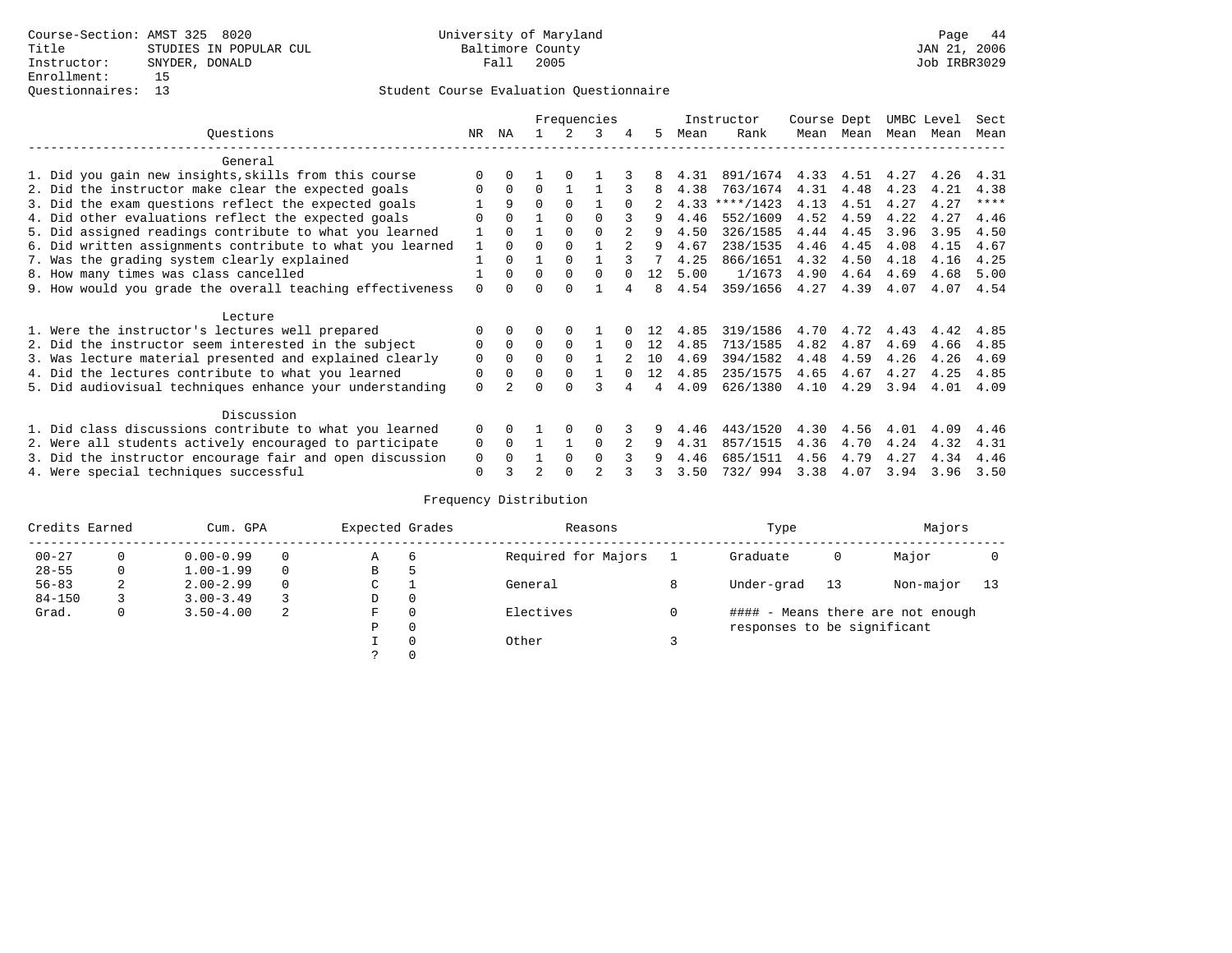|                                                           |              | Frequencies  |          |          |          |          |    |      | Instructor | Course Dept |           | UMBC Level |      | Sect        |
|-----------------------------------------------------------|--------------|--------------|----------|----------|----------|----------|----|------|------------|-------------|-----------|------------|------|-------------|
| Ouestions                                                 | NR.          | ΝA           |          |          | 3        | 4        | 5. | Mean | Rank       |             | Mean Mean | Mean       | Mean | Mean        |
| General                                                   |              |              |          |          |          |          |    |      |            |             |           |            |      |             |
| 1. Did you gain new insights, skills from this course     |              | $\Omega$     |          |          |          |          |    | 4.31 | 891/1674   | 4.33        | 4.51      | 4.27       | 4.26 | 4.31        |
| 2. Did the instructor make clear the expected goals       | O            | $\Omega$     | $\Omega$ |          |          |          | 8  | 4.38 | 763/1674   | 4.31        | 4.48      | 4.23       | 4.21 | 4.38        |
| 3. Did the exam questions reflect the expected goals      |              | 9            | $\Omega$ | $\Omega$ |          | $\Omega$ |    | 4.33 | ****/1423  | 4.13        | 4.51      | 4.27       | 4.27 | $***$ * * * |
| 4. Did other evaluations reflect the expected goals       | U            | $\Omega$     |          | $\Omega$ | $\Omega$ |          | 9  | 4.46 | 552/1609   | 4.52        | 4.59      | 4.22       | 4.27 | 4.46        |
| 5. Did assigned readings contribute to what you learned   |              | $\Omega$     |          | $\Omega$ | $\Omega$ |          | 9  | 4.50 | 326/1585   | 4.44        | 4.45      | 3.96       | 3.95 | 4.50        |
| 6. Did written assignments contribute to what you learned | $\mathbf{1}$ | $\Omega$     | $\Omega$ | $\Omega$ |          |          | 9  | 4.67 | 238/1535   | 4.46        | 4.45      | 4.08       | 4.15 | 4.67        |
| 7. Was the grading system clearly explained               |              | $\Omega$     |          | $\Omega$ |          |          |    | 4.25 | 866/1651   | 4.32        | 4.50      | 4.18       | 4.16 | 4.25        |
| 8. How many times was class cancelled                     |              | $\Omega$     | $\Omega$ | $\Omega$ | $\Omega$ |          | 12 | 5.00 | 1/1673     | 4.90        | 4.64      | 4.69       | 4.68 | 5.00        |
| 9. How would you grade the overall teaching effectiveness | $\Omega$     | <sup>n</sup> | ∩        | ∩        |          |          | 8  | 4.54 | 359/1656   | 4.27        | 4.39      | 4.07       | 4.07 | 4.54        |
| Lecture                                                   |              |              |          |          |          |          |    |      |            |             |           |            |      |             |
| 1. Were the instructor's lectures well prepared           | $\Omega$     |              |          |          |          |          |    | 4.85 | 319/1586   | 4.70        | 4.72      | 4.43       | 4.42 | 4.85        |
| 2. Did the instructor seem interested in the subject      | 0            | $\Omega$     | $\Omega$ | $\Omega$ |          | $\Omega$ | 12 | 4.85 | 713/1585   | 4.82        | 4.87      | 4.69       | 4.66 | 4.85        |
| 3. Was lecture material presented and explained clearly   | 0            | $\Omega$     | $\Omega$ | $\Omega$ |          |          | 10 | 4.69 | 394/1582   | 4.48        | 4.59      | 4.26       | 4.26 | 4.69        |
| 4. Did the lectures contribute to what you learned        | 0            | $\Omega$     |          | $\Omega$ |          |          | 12 | 4.85 | 235/1575   | 4.65        | 4.67      | 4.27       | 4.25 | 4.85        |
| 5. Did audiovisual techniques enhance your understanding  | $\Omega$     |              | ∩        | $\cap$   |          |          | 4  | 4.09 | 626/1380   | 4.10        | 4.29      | 3.94       | 4.01 | 4.09        |
| Discussion                                                |              |              |          |          |          |          |    |      |            |             |           |            |      |             |
| 1. Did class discussions contribute to what you learned   | $\Omega$     | 0            |          | $\Omega$ | O        |          |    | 4.46 | 443/1520   | 4.30        | 4.56      | 4.01       | 4.09 | 4.46        |
| 2. Were all students actively encouraged to participate   | 0            | $\Omega$     |          |          | $\Omega$ |          | 9  | 4.31 | 857/1515   | 4.36        | 4.70      | 4.24       | 4.32 | 4.31        |
| 3. Did the instructor encourage fair and open discussion  | 0            |              |          | $\Omega$ | $\Omega$ |          |    | 4.46 | 685/1511   | 4.56        | 4.79      | 4.27       | 4.34 | 4.46        |
| 4. Were special techniques successful                     | $\Omega$     |              |          |          |          |          |    | 3.50 | 732/994    | 3.38        | 4.07      | 3.94       | 3.96 | 3.50        |

| Credits Earned |          | Cum. GPA      |             | Expected Grades |          | Reasons             |            | Type                        |           | Majors                            |  |
|----------------|----------|---------------|-------------|-----------------|----------|---------------------|------------|-----------------------------|-----------|-----------------------------------|--|
| $00 - 27$      | $\Omega$ | $0.00 - 0.99$ |             | А               | 6        | Required for Majors |            | Graduate                    | 0         | Major                             |  |
| $28 - 55$      | 0        | $1.00 - 1.99$ |             | В               | 5        |                     |            |                             |           |                                   |  |
| $56 - 83$      | 2        | $2.00 - 2.99$ | $\sim$<br>◡ |                 | General  | 8                   | Under-grad | -13                         | Non-major | 13                                |  |
| $84 - 150$     |          | $3.00 - 3.49$ |             | D               | 0        |                     |            |                             |           |                                   |  |
| Grad.          | 0        | $3.50 - 4.00$ | 2           | F               | 0        | Electives           | 0          |                             |           | #### - Means there are not enough |  |
|                |          |               |             | Ρ               | 0        |                     |            | responses to be significant |           |                                   |  |
|                |          |               |             |                 | $\Omega$ | Other               |            |                             |           |                                   |  |
|                |          |               |             |                 |          |                     |            |                             |           |                                   |  |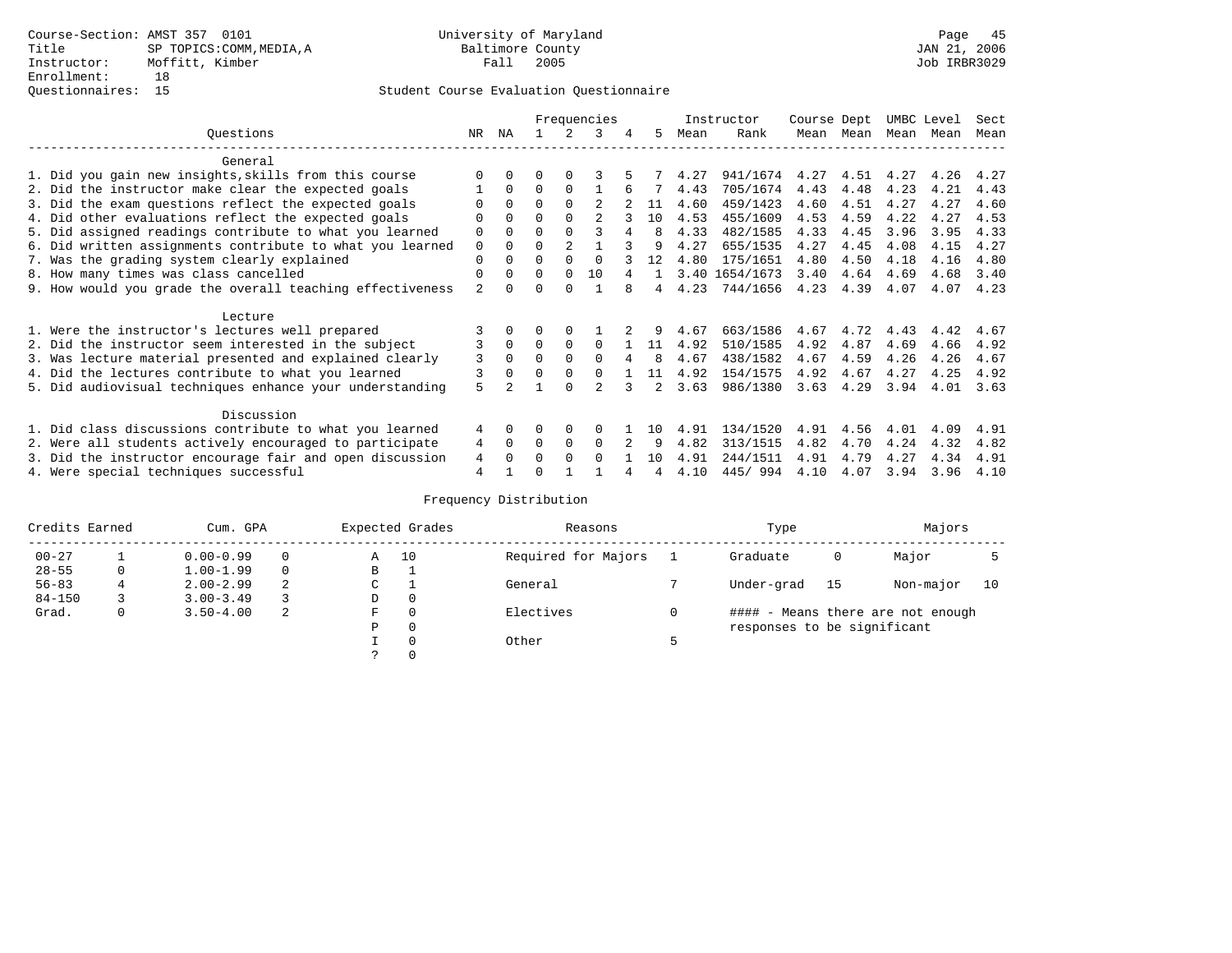|                                                           |                |              |              |                | Frequencies   |   |                |      | Instructor     | Course Dept  |           | UMBC Level |      | Sect |
|-----------------------------------------------------------|----------------|--------------|--------------|----------------|---------------|---|----------------|------|----------------|--------------|-----------|------------|------|------|
| Ouestions                                                 | NR             | ΝA           |              | $\mathcal{L}$  | 3             | 4 | 5              | Mean | Rank           |              | Mean Mean | Mean Mean  |      | Mean |
| General                                                   |                |              |              |                |               |   |                |      |                |              |           |            |      |      |
| 1. Did you gain new insights, skills from this course     |                | <sup>0</sup> |              |                |               |   |                | 4.27 | 941/1674       | 4.27         | 4.51      | 4.27       | 4.26 | 4.27 |
| 2. Did the instructor make clear the expected goals       |                | $\Omega$     | 0            | $\Omega$       |               |   |                | 4.43 | 705/1674       | 4.43         | 4.48      | 4.23       | 4.21 | 4.43 |
| 3. Did the exam questions reflect the expected goals      |                | $\Omega$     | $\Omega$     | $\Omega$       |               |   | 11             | 4.60 | 459/1423       | 4.60         | 4.51      | 4.27       | 4.27 | 4.60 |
| 4. Did other evaluations reflect the expected goals       |                | $\Omega$     | 0            | $\Omega$       |               |   | 10             | 4.53 | 455/1609       | 4.53         | 4.59      | 4.22       | 4.27 | 4.53 |
| 5. Did assigned readings contribute to what you learned   | 0              | $\Omega$     |              | $\Omega$       | 3             | 4 | 8              | 4.33 | 482/1585       | 4.33         | 4.45      | 3.96       | 3.95 | 4.33 |
| 6. Did written assignments contribute to what you learned | $\mathbf 0$    | $\Omega$     | U            | $\mathfrak{D}$ |               |   |                | 4.27 | 655/1535       | 4.27         | 4.45      | 4.08       | 4.15 | 4.27 |
| 7. Was the grading system clearly explained               | 0              | 0            | 0            | $\Omega$       |               |   | 12             | 4.80 | 175/1651       | 4.80         | 4.50      | 4.18       | 4.16 | 4.80 |
| 8. How many times was class cancelled                     | 0              | $\Omega$     | <sup>0</sup> | $\Omega$       | 10            |   |                |      | 3.40 1654/1673 | 3.40         | 4.64      | 4.69       | 4.68 | 3.40 |
| 9. How would you grade the overall teaching effectiveness | $\overline{a}$ | <sup>n</sup> |              | U              |               |   |                | 4.23 | 744/1656       | 4.23         | 4.39      | 4.07       | 4.07 | 4.23 |
| Lecture                                                   |                |              |              |                |               |   |                |      |                |              |           |            |      |      |
| 1. Were the instructor's lectures well prepared           |                |              |              |                |               |   |                | 4.67 | 663/1586       | 4.67         | 4.72      | 4.43       | 4.42 | 4.67 |
| 2. Did the instructor seem interested in the subject      | 3              | $\mathbf 0$  | 0            | $\Omega$       | 0             |   | 11             | 4.92 | 510/1585       | 4.92         | 4.87      | 4.69       | 4.66 | 4.92 |
| 3. Was lecture material presented and explained clearly   | 3              | $\Omega$     | U            | $\Omega$       | $\Omega$      |   | 8              | 4.67 | 438/1582       | 4.67         | 4.59      | 4.26       | 4.26 | 4.67 |
| 4. Did the lectures contribute to what you learned        | 3              |              | U            | $\Omega$       | $\Omega$      |   | 11             | 4.92 | 154/1575       | 4.92         | 4.67      | 4.27       | 4.25 | 4.92 |
| 5. Did audiovisual techniques enhance your understanding  | 5              |              |              | $\cap$         |               |   | $\overline{2}$ | 3.63 | 986/1380       | 3.63         | 4.29      | 3.94       | 4.01 | 3.63 |
|                                                           |                |              |              |                |               |   |                |      |                |              |           |            |      |      |
| Discussion                                                |                |              |              |                |               |   |                |      |                |              |           |            |      |      |
| 1. Did class discussions contribute to what you learned   | 4              | $\Omega$     | 0            | $\Omega$       |               |   | 1 ດ            | 4.91 | 134/1520       | 4.91         | 4.56      | 4.01       | 4.09 | 4.91 |
| 2. Were all students actively encouraged to participate   | 4              | $\Omega$     | U            | $\Omega$       | 0<br>$\Omega$ |   | 9              | 4.82 | 313/1515       | 4.82<br>4.91 | 4.70      | 4.24       | 4.32 | 4.82 |
| 3. Did the instructor encourage fair and open discussion  | 4              | 0            |              | $\Omega$       |               |   | 10             | 4.91 | 244/1511       |              | 4.79      | 4.27       | 4.34 | 4.91 |
| 4. Were special techniques successful                     | 4              |              |              |                |               |   |                | 4.10 | 445/994        | 4.10         | 4.07      | 3.94       | 3.96 | 4.10 |

| Credits Earned |   | Cum. GPA      |   |               | Expected Grades | Reasons             | Type                        |    | Majors                            |    |
|----------------|---|---------------|---|---------------|-----------------|---------------------|-----------------------------|----|-----------------------------------|----|
| $00 - 27$      |   | $0.00 - 0.99$ |   | Α             | 10              | Required for Majors | Graduate                    | 0  | Major                             |    |
| $28 - 55$      | 0 | $1.00 - 1.99$ |   | В             |                 |                     |                             |    |                                   |    |
| $56 - 83$      | 4 | $2.00 - 2.99$ | 2 | $\sim$<br>◡   |                 | General             | Under-grad                  | 15 | Non-major                         | 10 |
| $84 - 150$     |   | $3.00 - 3.49$ |   | D             | 0               |                     |                             |    |                                   |    |
| Grad.          | 0 | $3.50 - 4.00$ | 2 | F             | 0               | Electives           |                             |    | #### - Means there are not enough |    |
|                |   |               |   | Ρ             | 0               |                     | responses to be significant |    |                                   |    |
|                |   |               |   |               | 0               | Other               |                             |    |                                   |    |
|                |   |               |   | $\mathcal{L}$ |                 |                     |                             |    |                                   |    |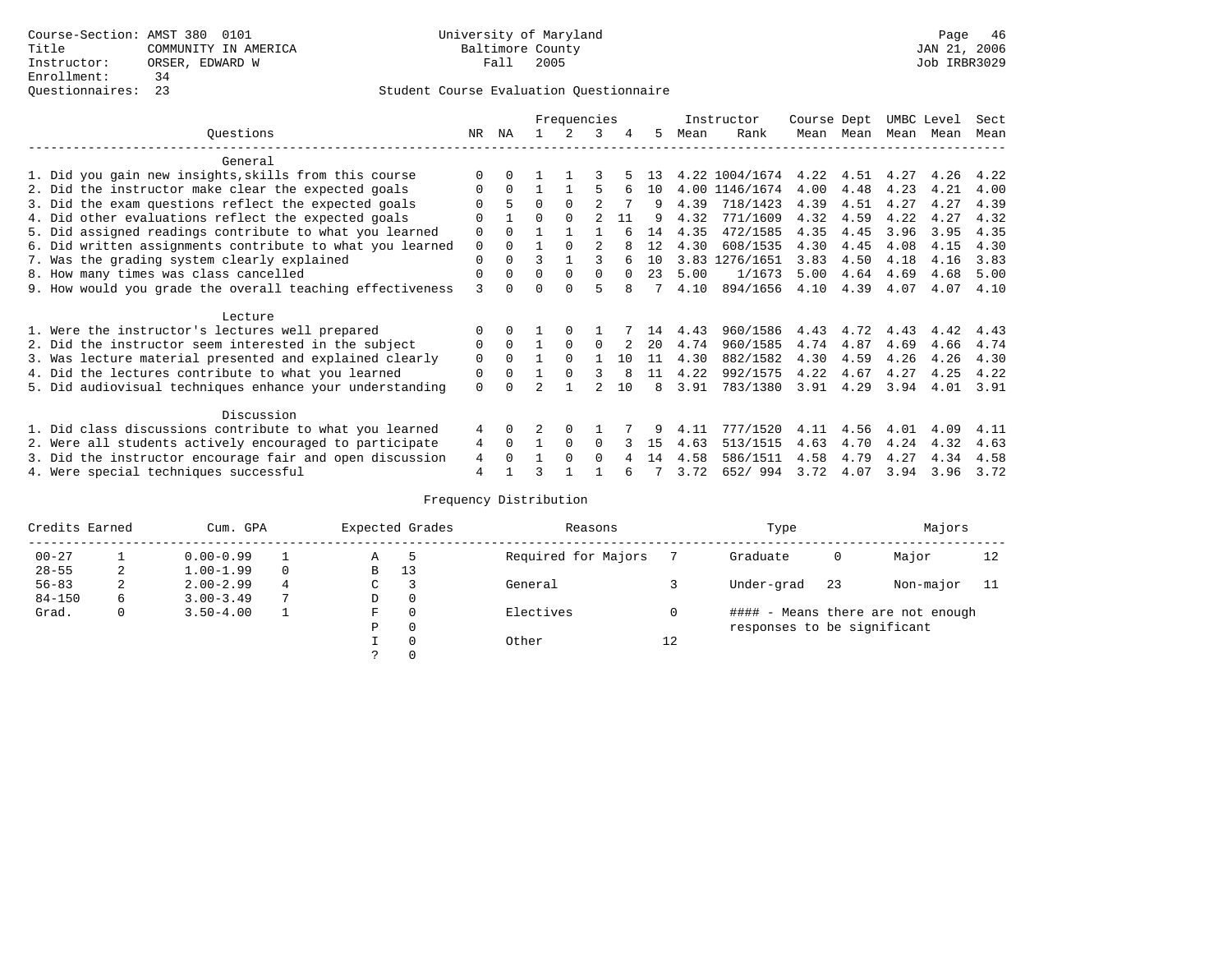|                                                           |             |              |          | Frequencies   |          |          |    |      | Instructor     | Course Dept |           |      | UMBC Level | Sect |
|-----------------------------------------------------------|-------------|--------------|----------|---------------|----------|----------|----|------|----------------|-------------|-----------|------|------------|------|
| Ouestions                                                 | NR          | ΝA           |          | $\mathcal{L}$ | 3        | 4        | 5. | Mean | Rank           |             | Mean Mean |      | Mean Mean  | Mean |
| General                                                   |             |              |          |               |          |          |    |      |                |             |           |      |            |      |
| 1. Did you gain new insights, skills from this course     |             | 0            |          |               |          |          | 13 |      | 4.22 1004/1674 |             | 4.22 4.51 | 4.27 | 4.26       | 4.22 |
| 2. Did the instructor make clear the expected goals       | 0           | $\Omega$     |          |               | 5        | 6        | 10 |      | 4.00 1146/1674 | 4.00        | 4.48      | 4.23 | 4.21       | 4.00 |
| 3. Did the exam questions reflect the expected goals      |             | 5            | $\Omega$ | $\Omega$      |          |          | 9  | 4.39 | 718/1423       | 4.39        | 4.51      | 4.27 | 4.27       | 4.39 |
| 4. Did other evaluations reflect the expected goals       |             |              | 0        | $\Omega$      |          | 11       | q  | 4.32 | 771/1609       | 4.32        | 4.59      | 4.22 | 4.27       | 4.32 |
| 5. Did assigned readings contribute to what you learned   | 0           | $\Omega$     |          |               |          |          | 14 | 4.35 | 472/1585       | 4.35        | 4.45      | 3.96 | 3.95       | 4.35 |
| 6. Did written assignments contribute to what you learned | $\mathbf 0$ | $\Omega$     |          | $\Omega$      | 2        |          | 12 | 4.30 | 608/1535       | 4.30        | 4.45      | 4.08 | 4.15       | 4.30 |
| 7. Was the grading system clearly explained               | 0           | $\Omega$     | ς        |               | २        |          | 10 |      | 3.83 1276/1651 | 3.83        | 4.50      | 4.18 | 4.16       | 3.83 |
| 8. How many times was class cancelled                     | $\Omega$    | $\Omega$     | $\Omega$ | $\Omega$      | $\Omega$ | $\Omega$ | 23 | 5.00 | 1/1673         | 5.00        | 4.64      | 4.69 | 4.68       | 5.00 |
| 9. How would you grade the overall teaching effectiveness | 3           | <sup>n</sup> |          | <sup>n</sup>  | 5        |          |    | 4.10 | 894/1656       | 4.10        | 4.39      | 4.07 | 4.07       | 4.10 |
| Lecture                                                   |             |              |          |               |          |          |    |      |                |             |           |      |            |      |
| 1. Were the instructor's lectures well prepared           |             | 0            |          |               |          |          | 14 | 4.43 | 960/1586       | 4.43        | 4.72      | 4.43 | 4.42       | 4.43 |
| 2. Did the instructor seem interested in the subject      | 0           | $\Omega$     |          | $\Omega$      | $\Omega$ |          | 20 | 4.74 | 960/1585       | 4.74        | 4.87      | 4.69 | 4.66       | 4.74 |
| 3. Was lecture material presented and explained clearly   | 0           | $\Omega$     |          | $\Omega$      |          | 1 O      | 11 | 4.30 | 882/1582       | 4.30        | 4.59      | 4.26 | 4.26       | 4.30 |
| 4. Did the lectures contribute to what you learned        | 0           | $\Omega$     |          | $\Omega$      | 3        |          | 11 | 4.22 | 992/1575       | 4.22        | 4.67      | 4.27 | 4.25       | 4.22 |
| 5. Did audiovisual techniques enhance your understanding  | 0           |              |          |               |          | 1 O      | 8  | 3.91 | 783/1380       | 3.91        | 4.29      | 3.94 | 4.01       | 3.91 |
| Discussion                                                |             |              |          |               |          |          |    |      |                |             |           |      |            |      |
| 1. Did class discussions contribute to what you learned   | 4           | $\Omega$     |          | $\Omega$      |          |          |    | 4.11 | 777/1520       | 4.11        | 4.56      | 4.01 | 4.09       | 4.11 |
| 2. Were all students actively encouraged to participate   | 4           | $\Omega$     |          | $\Omega$      | $\Omega$ |          | 15 | 4.63 | 513/1515       | 4.63        | 4.70      | 4.24 | 4.32       | 4.63 |
| 3. Did the instructor encourage fair and open discussion  | 4           |              |          | $\Omega$      | $\Omega$ |          | 14 | 4.58 | 586/1511       | 4.58        | 4.79      | 4.27 | 4.34       | 4.58 |
| 4. Were special techniques successful                     | 4           |              |          |               |          | ศ        |    | 3.72 | 652/994        | 3.72        | 4.07      | 3.94 | 3.96       | 3.72 |

| Credits Earned |   | Cum. GPA      |   |             | Expected Grades | Reasons             |    | Type                        |     | Majors                            |    |
|----------------|---|---------------|---|-------------|-----------------|---------------------|----|-----------------------------|-----|-----------------------------------|----|
| $00 - 27$      |   | $0.00 - 0.99$ |   | Α           | 5               | Required for Majors |    | Graduate                    | 0   | Major                             | 12 |
| $28 - 55$      | 2 | $1.00 - 1.99$ |   | B           | 13              |                     |    |                             |     |                                   |    |
| $56 - 83$      | 2 | $2.00 - 2.99$ |   | $\sim$<br>◡ |                 | General             |    | Under-grad                  | -23 | Non-major                         |    |
| $84 - 150$     | 6 | $3.00 - 3.49$ | 7 | D           | 0               |                     |    |                             |     |                                   |    |
| Grad.          | 0 | $3.50 - 4.00$ |   | F           | 0               | Electives           | 0  |                             |     | #### - Means there are not enough |    |
|                |   |               |   | Ρ           | 0               |                     |    | responses to be significant |     |                                   |    |
|                |   |               |   |             | $\Omega$        | Other               | 12 |                             |     |                                   |    |
|                |   |               |   |             |                 |                     |    |                             |     |                                   |    |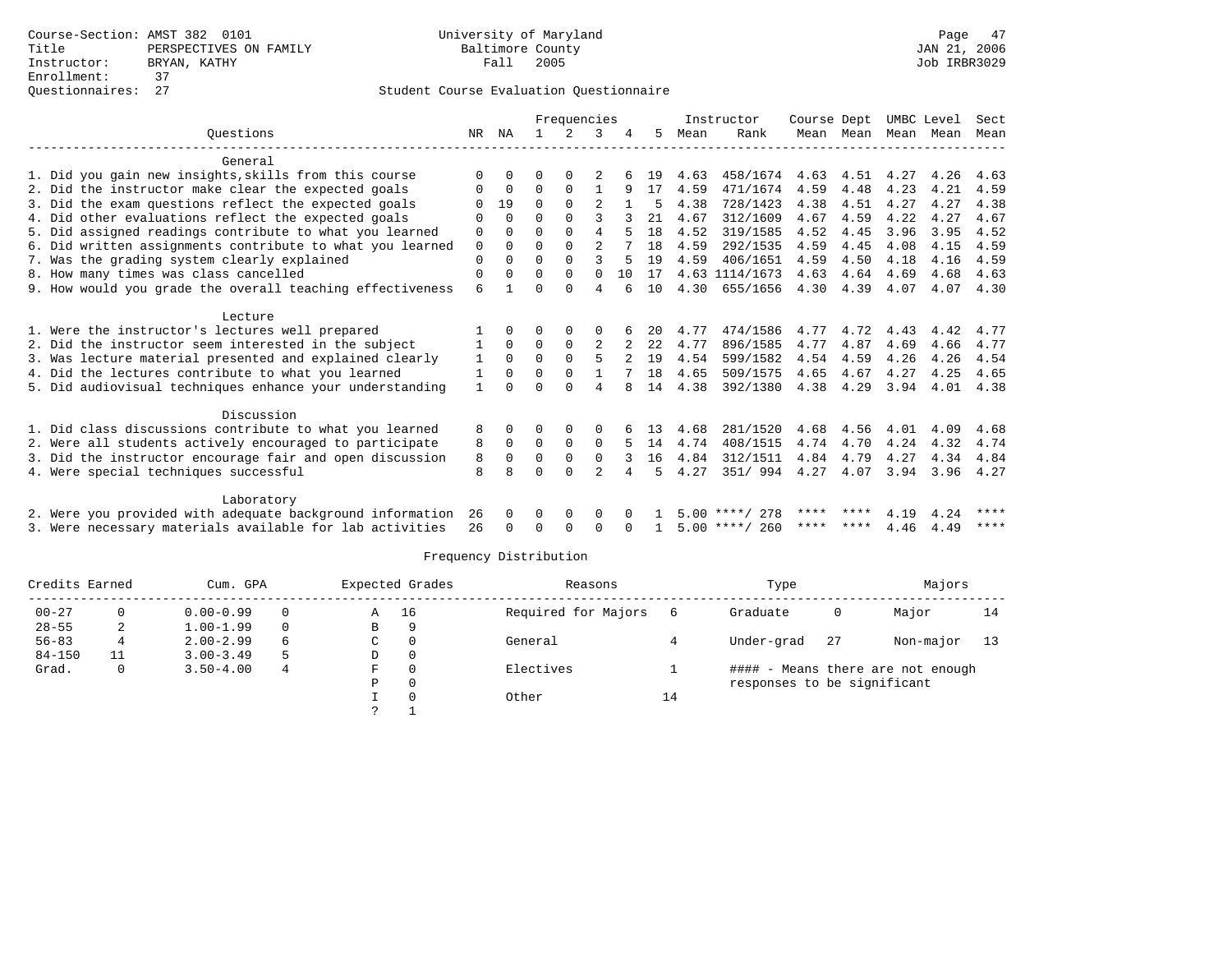|                                                           |                |             | Frequencies |             |                |    |     |      | Instructor       | Course Dept |           | UMBC Level |      | Sect |
|-----------------------------------------------------------|----------------|-------------|-------------|-------------|----------------|----|-----|------|------------------|-------------|-----------|------------|------|------|
| Ouestions                                                 | NR.            | ΝA          |             |             | 3              |    | 5   | Mean | Rank             |             | Mean Mean | Mean       | Mean | Mean |
| General                                                   |                |             |             |             |                |    |     |      |                  |             |           |            |      |      |
| 1. Did you gain new insights, skills from this course     | O              | $\Omega$    | U           | O           |                |    | 19  | 4.63 | 458/1674         | 4.63        | 4.51      | 4.27       | 4.26 | 4.63 |
| 2. Did the instructor make clear the expected goals       | O              | $\mathbf 0$ | $\Omega$    | $\Omega$    | $\mathbf{1}$   | 9  | 17  | 4.59 | 471/1674         | 4.59        | 4.48      | 4.23       | 4.21 | 4.59 |
| 3. Did the exam questions reflect the expected goals      |                | 19          | $\Omega$    | $\Omega$    |                |    | 5   | 4.38 | 728/1423         | 4.38        | 4.51      | 4.27       | 4.27 | 4.38 |
| 4. Did other evaluations reflect the expected goals       |                | $\Omega$    | U           | $\Omega$    | ς              |    | 21  | 4.67 | 312/1609         | 4.67        | 4.59      | 4.22       | 4.27 | 4.67 |
| 5. Did assigned readings contribute to what you learned   | 0              | $\Omega$    | $\Omega$    | $\Omega$    | 4              |    | 1.8 | 4.52 | 319/1585         | 4.52        | 4.45      | 3.96       | 3.95 | 4.52 |
| 6. Did written assignments contribute to what you learned | 0              | $\Omega$    | O           | $\Omega$    | $\overline{2}$ |    | 18  | 4.59 | 292/1535         | 4.59        | 4.45      | 4.08       | 4.15 | 4.59 |
| 7. Was the grading system clearly explained               | 0              | 0           | $\Omega$    | $\Omega$    | 3              | .5 | 19  | 4.59 | 406/1651         | 4.59        | 4.50      | 4.18       | 4.16 | 4.59 |
| 8. How many times was class cancelled                     | $\Omega$       | $\Omega$    | O           | $\Omega$    | $\Omega$       | 10 | 17  |      | 4.63 1114/1673   | 4.63        | 4.64      | 4.69       | 4.68 | 4.63 |
| 9. How would you grade the overall teaching effectiveness | 6              |             | ∩           | U           | 4              |    | 10  | 4.30 | 655/1656         | 4.30        | 4.39      | 4.07       | 4.07 | 4.30 |
| Lecture                                                   |                |             |             |             |                |    |     |      |                  |             |           |            |      |      |
| 1. Were the instructor's lectures well prepared           |                | $\Omega$    | O           | 0           | 0              |    | 20  | 4.77 | 474/1586         | 4.77        | 4.72      | 4.43       | 4.42 | 4.77 |
| 2. Did the instructor seem interested in the subject      |                | $\Omega$    | $\Omega$    | $\Omega$    | 2              |    | 22  | 4.77 | 896/1585         | 4.77        | 4.87      | 4.69       | 4.66 | 4.77 |
| 3. Was lecture material presented and explained clearly   | 1              | $\Omega$    | $\Omega$    | $\mathbf 0$ | 5              |    | 19  | 4.54 | 599/1582         | 4.54        | 4.59      | 4.26       | 4.26 | 4.54 |
| 4. Did the lectures contribute to what you learned        | 1              | $\Omega$    | O           | $\Omega$    | $\mathbf{1}$   |    | 18  | 4.65 | 509/1575         | 4.65        | 4.67      | 4.27       | 4.25 | 4.65 |
| 5. Did audiovisual techniques enhance your understanding  | $\overline{1}$ |             |             | U           | 4              | 8  | 14  | 4.38 | 392/1380         | 4.38        | 4.29      | 3.94       | 4.01 | 4.38 |
|                                                           |                |             |             |             |                |    |     |      |                  |             |           |            |      |      |
| Discussion                                                |                |             |             |             |                |    |     |      |                  |             |           |            |      |      |
| 1. Did class discussions contribute to what you learned   | 8              | 0           | U           | $\Omega$    | 0              |    | 13  | 4.68 | 281/1520         | 4.68        | 4.56      | 4.01       | 4.09 | 4.68 |
| 2. Were all students actively encouraged to participate   | 8              | $\Omega$    | $\Omega$    | $\Omega$    | $\Omega$       | 5  | 14  | 4.74 | 408/1515         | 4.74        | 4.70      | 4.24       | 4.32 | 4.74 |
| 3. Did the instructor encourage fair and open discussion  | 8              | $\Omega$    | $\Omega$    | $\mathbf 0$ | $\mathbf 0$    |    | 16  | 4.84 | 312/1511         | 4.84        | 4.79      | 4.27       | 4.34 | 4.84 |
| 4. Were special techniques successful                     | 8              | 8           | U           | $\cap$      | $\overline{2}$ | 4  | 5   | 4.27 | 351/994          | 4.27        | 4.07      | 3.94       | 3.96 | 4.27 |
| Laboratory                                                |                |             |             |             |                |    |     |      |                  |             |           |            |      |      |
| 2. Were you provided with adequate background information | 26             | $\Omega$    | 0           | 0           | 0              |    |     |      | $5.00$ ****/ 278 | ****        |           | 4.19       | 4.24 | **** |
| 3. Were necessary materials available for lab activities  | 26             | $\Omega$    | $\Omega$    | $\Omega$    | <sup>0</sup>   |    |     |      | $5.00$ ****/ 260 | ****        | ****      | 4.46       | 4.49 | **** |

| Credits Earned |   | Cum. GPA      |   |               | Expected Grades | Reasons             |    | Type                        |    | Majors                            |    |
|----------------|---|---------------|---|---------------|-----------------|---------------------|----|-----------------------------|----|-----------------------------------|----|
| $00 - 27$      |   | $0.00 - 0.99$ |   | Α             | 16              | Required for Majors |    | Graduate                    | 0  | Major                             | 14 |
| $28 - 55$      |   | $1.00 - 1.99$ |   | В             | 9               |                     |    |                             |    |                                   |    |
| $56 - 83$      | 4 | $2.00 - 2.99$ | 6 | C             | $\Omega$        | General             |    | Under-grad                  | 27 | Non-major                         | 13 |
| $84 - 150$     |   | $3.00 - 3.49$ | 5 | D             | 0               |                     |    |                             |    |                                   |    |
| Grad.          | 0 | $3.50 - 4.00$ | 4 | F             | $\Omega$        | Electives           |    |                             |    | #### - Means there are not enough |    |
|                |   |               |   | Ρ             | $\Omega$        |                     |    | responses to be significant |    |                                   |    |
|                |   |               |   |               | $\Omega$        | Other               | 14 |                             |    |                                   |    |
|                |   |               |   | $\mathcal{L}$ |                 |                     |    |                             |    |                                   |    |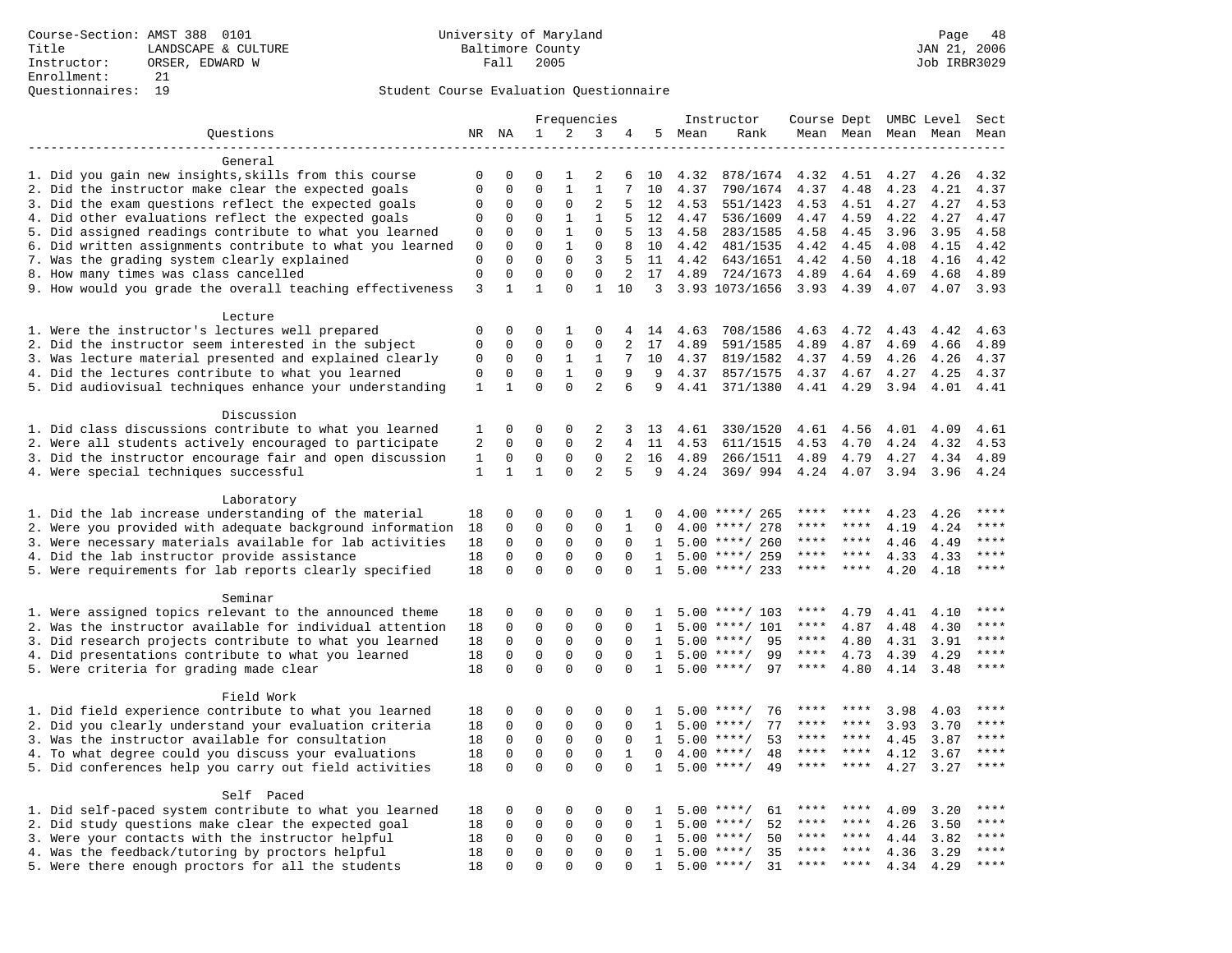|                                                           | Frequencies    |              |              | Instructor   | Course Dept UMBC Level |                |              |        | Sect               |             |                     |      |      |                        |
|-----------------------------------------------------------|----------------|--------------|--------------|--------------|------------------------|----------------|--------------|--------|--------------------|-------------|---------------------|------|------|------------------------|
| Ouestions                                                 |                | NR NA        | 1            | 2            | 3                      | 4              |              | 5 Mean | Rank               |             | Mean Mean Mean Mean |      |      | Mean                   |
|                                                           |                |              |              |              |                        |                |              |        |                    |             |                     |      |      |                        |
| General                                                   |                |              |              |              |                        |                |              |        |                    |             |                     |      |      |                        |
| 1. Did you gain new insights, skills from this course     | $\mathbf 0$    | $\mathbf 0$  | $\Omega$     | $\mathbf{1}$ | 2                      | 6              | 10           | 4.32   | 878/1674           | 4.32        | 4.51                | 4.27 | 4.26 | 4.32                   |
| 2. Did the instructor make clear the expected goals       | $\mathbf 0$    | $\mathbf 0$  | $\mathbf 0$  | $1\,$        | $1\,$                  | 7              | 10           | 4.37   | 790/1674           | 4.37        | 4.48                | 4.23 | 4.21 | 4.37                   |
| 3. Did the exam questions reflect the expected goals      | 0              | $\mathbf 0$  | 0            | $\mathbf 0$  | 2                      | 5              | 12           | 4.53   | 551/1423           | 4.53        | 4.51                | 4.27 | 4.27 | 4.53                   |
| 4. Did other evaluations reflect the expected goals       | $\mathbf 0$    | $\mathbf 0$  | $\mathbf 0$  | $\mathbf{1}$ | $\mathbf{1}$           | 5              | 12           | 4.47   | 536/1609           | 4.47        | 4.59                | 4.22 | 4.27 | 4.47                   |
| 5. Did assigned readings contribute to what you learned   | $\mathbf{0}$   | $\mathbf{0}$ | $\Omega$     | $\mathbf{1}$ | $\mathbf{0}$           | 5              | 13           | 4.58   | 283/1585           | 4.58        | 4.45                | 3.96 | 3.95 | 4.58                   |
| 6. Did written assignments contribute to what you learned | $\mathbb O$    | $\mathbf 0$  | $\Omega$     | $\mathbf{1}$ | $\mathbf 0$            | 8              | 10           | 4.42   | 481/1535           | 4.42        | 4.45                | 4.08 | 4.15 | 4.42                   |
| 7. Was the grading system clearly explained               | $\mathbf 0$    | $\Omega$     | $\mathbf 0$  | $\mathbf 0$  | 3                      | 5              | 11           | 4.42   | 643/1651           | 4.42        | 4.50                | 4.18 | 4.16 | 4.42                   |
| 8. How many times was class cancelled                     | $\mathbf 0$    | $\mathbf 0$  | $\mathbf 0$  | $\mathbf{0}$ | $\mathbf{0}$           | 2              | 17           | 4.89   | 724/1673           | 4.89        | 4.64                | 4.69 | 4.68 | 4.89                   |
| 9. How would you grade the overall teaching effectiveness | 3              | $\mathbf{1}$ | $\mathbf{1}$ | $\Omega$     | $\mathbf{1}$           | 10             | 3            |        | 3.93 1073/1656     | $3.93$ 4.39 |                     | 4.07 | 4.07 | 3.93                   |
|                                                           |                |              |              |              |                        |                |              |        |                    |             |                     |      |      |                        |
| Lecture                                                   |                |              |              |              |                        |                |              |        |                    |             |                     |      |      |                        |
| 1. Were the instructor's lectures well prepared           | 0              | $\mathbf 0$  | 0            | 1            | 0                      | 4              | 14           | 4.63   | 708/1586           | 4.63        | 4.72                | 4.43 | 4.42 | 4.63                   |
| 2. Did the instructor seem interested in the subject      | $\mathbf 0$    | $\mathbf 0$  | 0            | $\mathbf 0$  | $\mathbf 0$            | 2<br>7         | 17           | 4.89   | 591/1585           | 4.89        | 4.87                | 4.69 | 4.66 | 4.89                   |
| 3. Was lecture material presented and explained clearly   | 0              | $\mathbf 0$  | $\mathbf 0$  | 1            | 1                      |                | 10           | 4.37   | 819/1582           | 4.37        | 4.59                | 4.26 | 4.26 | 4.37                   |
| 4. Did the lectures contribute to what you learned        | $\mathbf{0}$   | $\mathbf 0$  | $\Omega$     | $\mathbf{1}$ | $\Omega$               | 9              | 9            | 4.37   | 857/1575           | 4.37        | 4.67                | 4.27 | 4.25 | 4.37                   |
| 5. Did audiovisual techniques enhance your understanding  | $\mathbf{1}$   | $\mathbf{1}$ | $\mathbf 0$  | $\mathbf 0$  | $\overline{2}$         | 6              | 9            | 4.41   | 371/1380           | 4.41        | 4.29                | 3.94 | 4.01 | 4.41                   |
| Discussion                                                |                |              |              |              |                        |                |              |        |                    |             |                     |      |      |                        |
| 1. Did class discussions contribute to what you learned   | 1              | $\Omega$     | $\Omega$     | $\Omega$     | 2                      | 3              | 13           | 4.61   | 330/1520           | 4.61        | 4.56                | 4.01 | 4.09 | 4.61                   |
| 2. Were all students actively encouraged to participate   | $\overline{2}$ | $\Omega$     | $\Omega$     | $\Omega$     | $\overline{2}$         | $\overline{4}$ | 11           | 4.53   | 611/1515           | 4.53        | 4.70                | 4.24 | 4.32 | 4.53                   |
| 3. Did the instructor encourage fair and open discussion  | $1\,$          | $\mathbf 0$  | 0            | $\mathbf{0}$ | $\mathbf 0$            | 2              | 16           | 4.89   | 266/1511           | 4.89        | 4.79                | 4.27 | 4.34 | 4.89                   |
| 4. Were special techniques successful                     | $\mathbf{1}$   | 1            | $\mathbf{1}$ | $\Omega$     | 2                      | 5              | 9            | 4.24   | 369/994            | 4.24        | 4.07                | 3.94 | 3.96 | 4.24                   |
|                                                           |                |              |              |              |                        |                |              |        |                    |             |                     |      |      |                        |
| Laboratory                                                |                |              |              |              |                        |                |              |        |                    |             |                     |      |      |                        |
| 1. Did the lab increase understanding of the material     | 18             | $\mathbf 0$  | 0            | $\mathbf 0$  | $\mathbf 0$            | 1              | 0            |        | $4.00$ ****/ 265   |             |                     | 4.23 | 4.26 |                        |
| 2. Were you provided with adequate background information | 18             | $\mathbf 0$  | $\mathbf 0$  | $\mathbf 0$  | $\mathbf 0$            | $\mathbf{1}$   | $\mathbf 0$  | 4.00   | ****/ 278          | ****        | ****                | 4.19 | 4.24 | $***$ * * *            |
| 3. Were necessary materials available for lab activities  | 18             | $\mathbf 0$  | $\mathbf 0$  | 0            | $\mathbf 0$            | $\Omega$       | $\mathbf{1}$ | 5.00   | ****/ 260          | ****        | ****                | 4.46 | 4.49 | $***$                  |
| 4. Did the lab instructor provide assistance              | 18             | $\mathbf 0$  | $\mathbf 0$  | $\mathbf{0}$ | $\mathbf 0$            | $\Omega$       | $\mathbf{1}$ |        | $5.00$ ****/ 259   | ****        | $***$ *             | 4.33 | 4.33 | $***$                  |
| 5. Were requirements for lab reports clearly specified    | 18             | $\Omega$     | $\Omega$     | $\Omega$     | $\Omega$               | $\Omega$       | $\mathbf{1}$ |        | $5.00$ ****/ 233   | ****        | ****                | 4.20 | 4.18 | ****                   |
|                                                           |                |              |              |              |                        |                |              |        |                    |             |                     |      |      |                        |
| Seminar                                                   |                |              |              |              |                        |                |              |        |                    |             |                     |      |      |                        |
| 1. Were assigned topics relevant to the announced theme   | 18             | $\mathbf 0$  | 0            | $\mathbf{0}$ | 0                      | 0              | 1            |        | $5.00$ ****/ 103   | ****        | 4.79                | 4.41 | 4.10 |                        |
| 2. Was the instructor available for individual attention  | 18             | $\mathbf 0$  | $\mathbf 0$  | $\mathbf{0}$ | $\mathbf{0}$           | $\Omega$       | 1            | 5.00   | $***/101$          | ****        | 4.87                | 4.48 | 4.30 | ****                   |
| 3. Did research projects contribute to what you learned   | 18             | $\mathbf 0$  | $\mathbf 0$  | $\mathsf 0$  | $\mathbf 0$            | $\Omega$       | $\mathbf{1}$ |        | $5.00$ ****/<br>95 | $***$ * *   | 4.80                | 4.31 | 3.91 | ****                   |
| 4. Did presentations contribute to what you learned       | 18             | $\mathbf 0$  | $\mathbf 0$  | $\mathbf 0$  | $\mathbf 0$            | $\Omega$       | 1            | 5.00   | $***/$<br>99       | $***$ * *   | 4.73                | 4.39 | 4.29 | $\star\star\star\star$ |
| 5. Were criteria for grading made clear                   | 18             | $\mathbf 0$  | $\Omega$     | $\Omega$     | $\Omega$               | $\Omega$       | $\mathbf{1}$ |        | $5.00$ ****/<br>97 | $***$ * * * | 4.80                | 4.14 | 3.48 | ****                   |
|                                                           |                |              |              |              |                        |                |              |        |                    |             |                     |      |      |                        |
| Field Work                                                |                |              |              |              |                        |                |              |        |                    |             |                     |      |      |                        |
| 1. Did field experience contribute to what you learned    | 18             | $\Omega$     | $\Omega$     | $\Omega$     | $\Omega$               | $\Omega$       | $\mathbf{1}$ | 5.00   | $***$ /<br>76      | ****        |                     | 3.98 | 4.03 | * * * *                |
| 2. Did you clearly understand your evaluation criteria    | 18             | $\mathsf 0$  | $\mathbf 0$  | $\mathbf 0$  | $\mathbf 0$            | $\mathbf 0$    | 1            | 5.00   | 77<br>$***$ /      | ****        | ****                | 3.93 | 3.70 | ****                   |
| 3. Was the instructor available for consultation          | 18             | $\mathbf 0$  | $\mathbf 0$  | $\mathbf{0}$ | $\mathbf 0$            | $\mathbf 0$    | 1            | 5.00   | $***$ /<br>53      | ****        | ****                | 4.45 | 3.87 | $***$                  |
| 4. To what degree could you discuss your evaluations      | 18             | $\mathbf 0$  | $\mathbf 0$  | $\mathbf{0}$ | $\mathbf 0$            | 1              | $\Omega$     |        | $4.00$ ****/<br>48 | ****        | $***$ *             | 4.12 | 3.67 | ****                   |
| 5. Did conferences help you carry out field activities    | 18             | $\Omega$     | $\Omega$     | $\Omega$     | $\Omega$               | $\Omega$       | $\mathbf{1}$ | 5.00   | 49<br>$***/$       | ****        | ****                | 4.27 | 3.27 | $***$                  |
|                                                           |                |              |              |              |                        |                |              |        |                    |             |                     |      |      |                        |
| Self Paced                                                |                |              |              |              |                        |                |              |        |                    |             |                     |      |      |                        |
| 1. Did self-paced system contribute to what you learned   | 18             | 0            | 0            | $\mathbf 0$  | $\mathbf 0$            | 0              | 1            |        | $5.00$ ****/<br>61 |             |                     | 4.09 | 3.20 |                        |
| 2. Did study questions make clear the expected goal       | 18             | $\Omega$     | $\mathbf 0$  | $\mathbf 0$  | $\mathbf 0$            | $\Omega$       | $\mathbf{1}$ | 5.00   | 52<br>$***/$       | ****        | ****                | 4.26 | 3.50 | ****                   |
| 3. Were your contacts with the instructor helpful         | 18             | $\mathbf 0$  | $\mathbf 0$  | $\mathsf 0$  | $\mathbf 0$            | $\Omega$       | 1            | 5.00   | $***$ /<br>50      | ****        | ****                | 4.44 | 3.82 | ****                   |
| 4. Was the feedback/tutoring by proctors helpful          | 18             | $\mathbf{0}$ | $\mathbf 0$  | $\mathbf 0$  | $\mathbf 0$            | $\mathbf 0$    | $\mathbf{1}$ | 5.00   | $***/$<br>35       | $***$ *     | $* * * *$           | 4.36 | 3.29 | ****                   |
| 5. Were there enough proctors for all the students        | 18             | $\Omega$     | $\Omega$     | $\Omega$     | $\Omega$               | $\Omega$       | $\mathbf{1}$ |        | $5.00$ ****/<br>31 | ****        | ****                | 4.34 | 4.29 | ****                   |
|                                                           |                |              |              |              |                        |                |              |        |                    |             |                     |      |      |                        |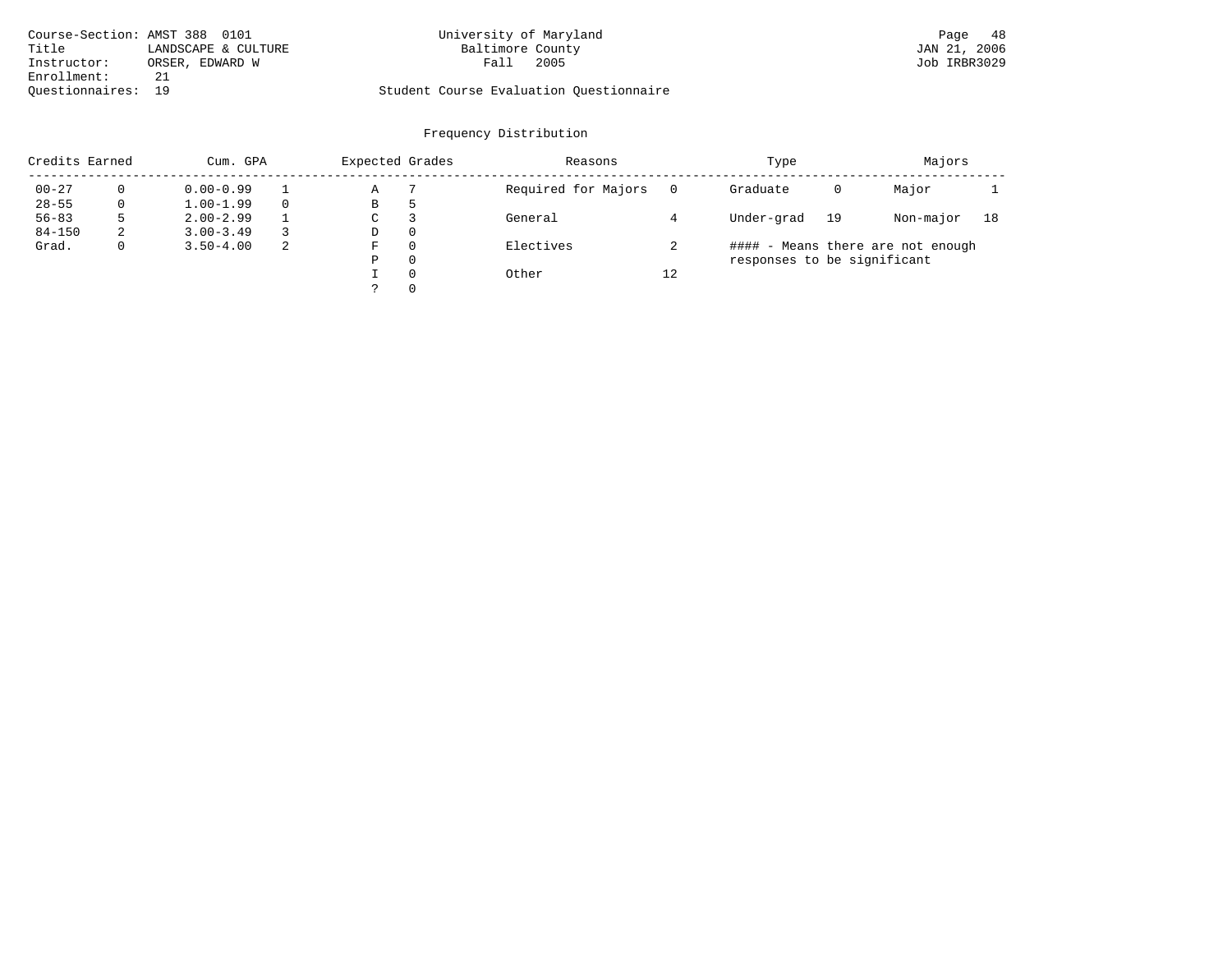| Course-Section: AMST 388 0101 |                     | University of Maryland                  | 48<br>Page   |
|-------------------------------|---------------------|-----------------------------------------|--------------|
| Title                         | LANDSCAPE & CULTURE | Baltimore County                        | JAN 21, 2006 |
| Instructor:                   | ORSER, EDWARD W     | 2005<br>Fall                            | Job IRBR3029 |
| Enrollment:                   | 21                  |                                         |              |
| Ouestionnaires: 19            |                     | Student Course Evaluation Ouestionnaire |              |

# University of Maryland 388 0101 University of Maryland

| Credits Earned |              | Cum. GPA      |    | Expected Grades |          | Reasons             |    | Type                        |    | Majors                            |    |
|----------------|--------------|---------------|----|-----------------|----------|---------------------|----|-----------------------------|----|-----------------------------------|----|
| $00 - 27$      |              | $0.00 - 0.99$ |    | Α               |          | Required for Majors |    | Graduate                    | 0  | Major                             |    |
| $28 - 55$      | 0            | $1.00 - 1.99$ |    | В               | 5        |                     |    |                             |    |                                   |    |
| $56 - 83$      |              | $2.00 - 2.99$ |    | C               |          | General             |    | Under-grad                  | 19 | Non-major                         | 18 |
| $84 - 150$     | 2            | $3.00 - 3.49$ |    | D               | $\Omega$ |                     |    |                             |    |                                   |    |
| Grad.          | $\mathbf{0}$ | $3.50 - 4.00$ | -2 | F               | $\Omega$ | Electives           |    |                             |    | #### - Means there are not enough |    |
|                |              |               |    | Ρ               | $\Omega$ |                     |    | responses to be significant |    |                                   |    |
|                |              |               |    |                 | $\Omega$ | Other               | 12 |                             |    |                                   |    |
|                |              |               |    |                 | $\Omega$ |                     |    |                             |    |                                   |    |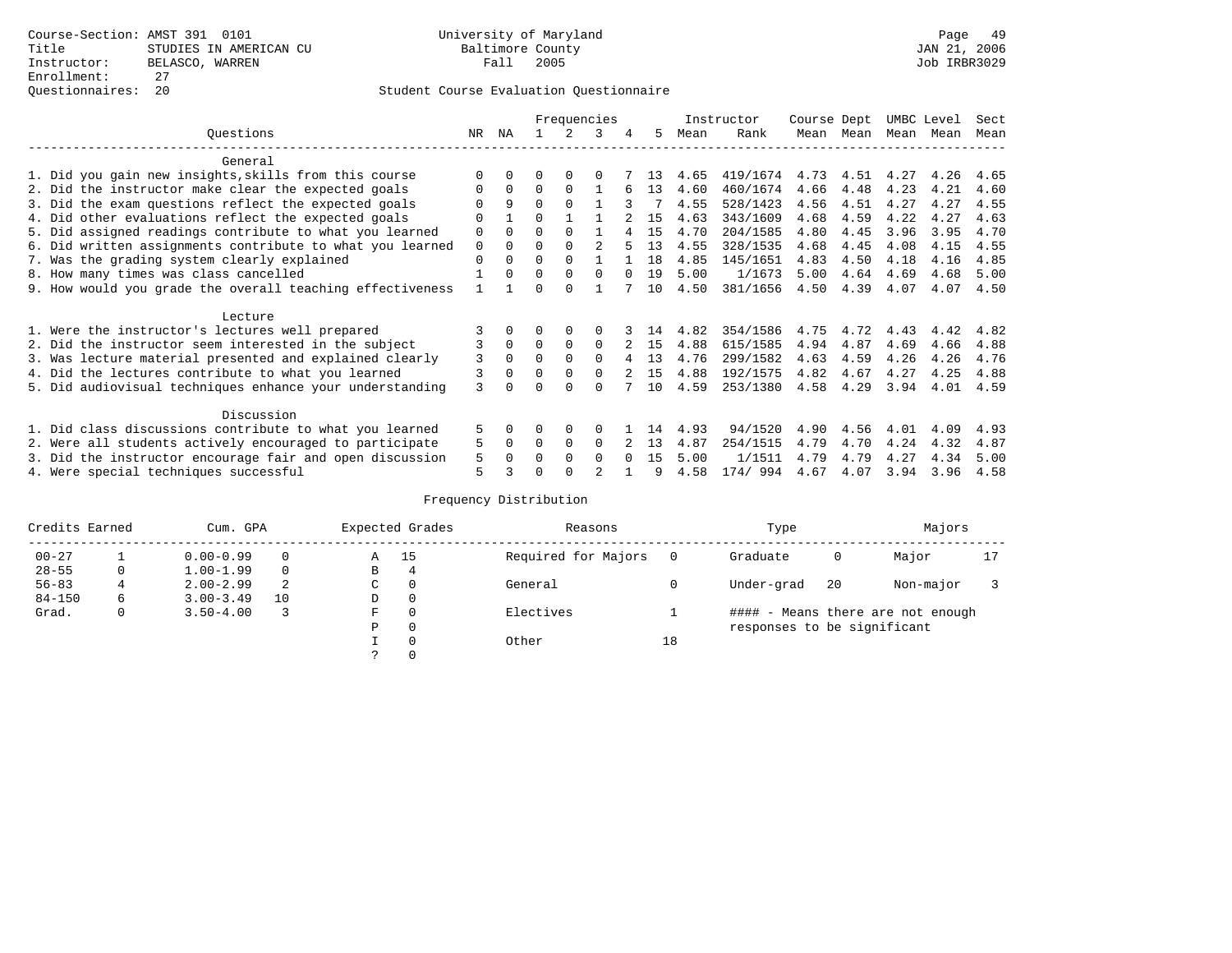|                                                           |             |          |          |               | Frequencies    |        |     |      | Instructor | Course Dept |           | UMBC Level |      | Sect |
|-----------------------------------------------------------|-------------|----------|----------|---------------|----------------|--------|-----|------|------------|-------------|-----------|------------|------|------|
| Ouestions                                                 | NR          | ΝA       |          | $\mathcal{L}$ | 3              | 4      | 5   | Mean | Rank       |             | Mean Mean | Mean       | Mean | Mean |
| General                                                   |             |          |          |               |                |        |     |      |            |             |           |            |      |      |
| 1. Did you gain new insights, skills from this course     |             | $\Omega$ | 0        | $\Omega$      | 0              |        | 13  | 4.65 | 419/1674   | 4.73        | 4.51      | 4.27       | 4.26 | 4.65 |
| 2. Did the instructor make clear the expected goals       | 0           | $\Omega$ | 0        | $\Omega$      |                | 6      | 13  | 4.60 | 460/1674   | 4.66        | 4.48      | 4.23       | 4.21 | 4.60 |
| 3. Did the exam questions reflect the expected goals      |             | 9        | $\Omega$ | $\Omega$      |                |        |     | 4.55 | 528/1423   | 4.56        | 4.51      | 4.27       | 4.27 | 4.55 |
| 4. Did other evaluations reflect the expected goals       |             |          | U        |               |                |        | 15  | 4.63 | 343/1609   | 4.68        | 4.59      | 4.22       | 4.27 | 4.63 |
| 5. Did assigned readings contribute to what you learned   | 0           | $\Omega$ | 0        | $\Omega$      |                |        | 1.5 | 4.70 | 204/1585   | 4.80        | 4.45      | 3.96       | 3.95 | 4.70 |
| 6. Did written assignments contribute to what you learned | $\mathbf 0$ | $\Omega$ | U        | $\Omega$      | $\mathfrak{D}$ |        | 13  | 4.55 | 328/1535   | 4.68        | 4.45      | 4.08       | 4.15 | 4.55 |
| 7. Was the grading system clearly explained               | 0           | $\Omega$ | 0        | $\Omega$      |                |        | 18  | 4.85 | 145/1651   | 4.83        | 4.50      | 4.18       | 4.16 | 4.85 |
| 8. How many times was class cancelled                     |             | $\Omega$ | $\Omega$ | $\Omega$      | $\Omega$       |        | 19  | 5.00 | 1/1673     | 5.00        | 4.64      | 4.69       | 4.68 | 5.00 |
| 9. How would you grade the overall teaching effectiveness |             |          |          | <sup>n</sup>  |                |        | 10  | 4.50 | 381/1656   | 4.50        | 4.39      | 4.07       | 4.07 | 4.50 |
| Lecture                                                   |             |          |          |               |                |        |     |      |            |             |           |            |      |      |
| 1. Were the instructor's lectures well prepared           |             |          |          | $\Omega$      |                |        | 14  | 4.82 | 354/1586   | 4.75        | 4.72      | 4.43       | 4.42 | 4.82 |
| 2. Did the instructor seem interested in the subject      | 3           | $\Omega$ | $\Omega$ | $\Omega$      | 0              |        | 15  | 4.88 | 615/1585   | 4.94        | 4.87      | 4.69       | 4.66 | 4.88 |
| 3. Was lecture material presented and explained clearly   | 3           | $\Omega$ | 0        | $\Omega$      | $\Omega$       |        | 13  | 4.76 | 299/1582   | 4.63        | 4.59      | 4.26       | 4.26 | 4.76 |
| 4. Did the lectures contribute to what you learned        | 3           | $\Omega$ | U        | $\Omega$      | $\Omega$       |        | 15  | 4.88 | 192/1575   | 4.82        | 4.67      | 4.27       | 4.25 | 4.88 |
| 5. Did audiovisual techniques enhance your understanding  | 3           |          |          |               |                |        | 10  | 4.59 | 253/1380   | 4.58        | 4.29      | 3.94       | 4.01 | 4.59 |
| Discussion                                                |             |          |          |               |                |        |     |      |            |             |           |            |      |      |
| 1. Did class discussions contribute to what you learned   | 5.          | 0        | 0        | $\Omega$      |                |        | 14  | 4.93 | 94/1520    | 4.90        | 4.56      | 4.01       | 4.09 | 4.93 |
| 2. Were all students actively encouraged to participate   | 5           | $\Omega$ | $\Omega$ | 0             | $\Omega$       |        | 13  | 4.87 | 254/1515   | 4.79        | 4.70      | 4.24       | 4.32 | 4.87 |
| 3. Did the instructor encourage fair and open discussion  | 5           |          |          | $\Omega$      | 0              | $\cap$ | 1.5 | 5.00 | 1/1511     | 4.79        | 4.79      | 4.27       | 4.34 | 5.00 |
| 4. Were special techniques successful                     | 5           |          |          |               | $\mathfrak{D}$ |        |     | 4.58 | 174/994    | 4.67        | 4.07      | 3.94       | 3.96 | 4.58 |

| Credits Earned |              | Cum. GPA      |          |               | Expected Grades | Reasons             |    | Type                        |    | Majors                            |    |
|----------------|--------------|---------------|----------|---------------|-----------------|---------------------|----|-----------------------------|----|-----------------------------------|----|
| $00 - 27$      |              | $0.00 - 0.99$ |          | Α             | - 15            | Required for Majors |    | Graduate                    | 0  | Major                             | 17 |
| $28 - 55$      | 0            | $1.00 - 1.99$ | $\Omega$ | В             | 4               |                     |    |                             |    |                                   |    |
| $56 - 83$      |              | $2.00 - 2.99$ | 2        | C             | 0               | General             |    | Under-grad                  | 20 | Non-major                         |    |
| $84 - 150$     | 6            | $3.00 - 3.49$ | 10       | D             | 0               |                     |    |                             |    |                                   |    |
| Grad.          | $\mathbf{0}$ | $3.50 - 4.00$ |          | F             | $\Omega$        | Electives           |    |                             |    | #### - Means there are not enough |    |
|                |              |               |          | P             | $\Omega$        |                     |    | responses to be significant |    |                                   |    |
|                |              |               |          |               | $\Omega$        | Other               | 18 |                             |    |                                   |    |
|                |              |               |          | $\mathcal{L}$ | $\Omega$        |                     |    |                             |    |                                   |    |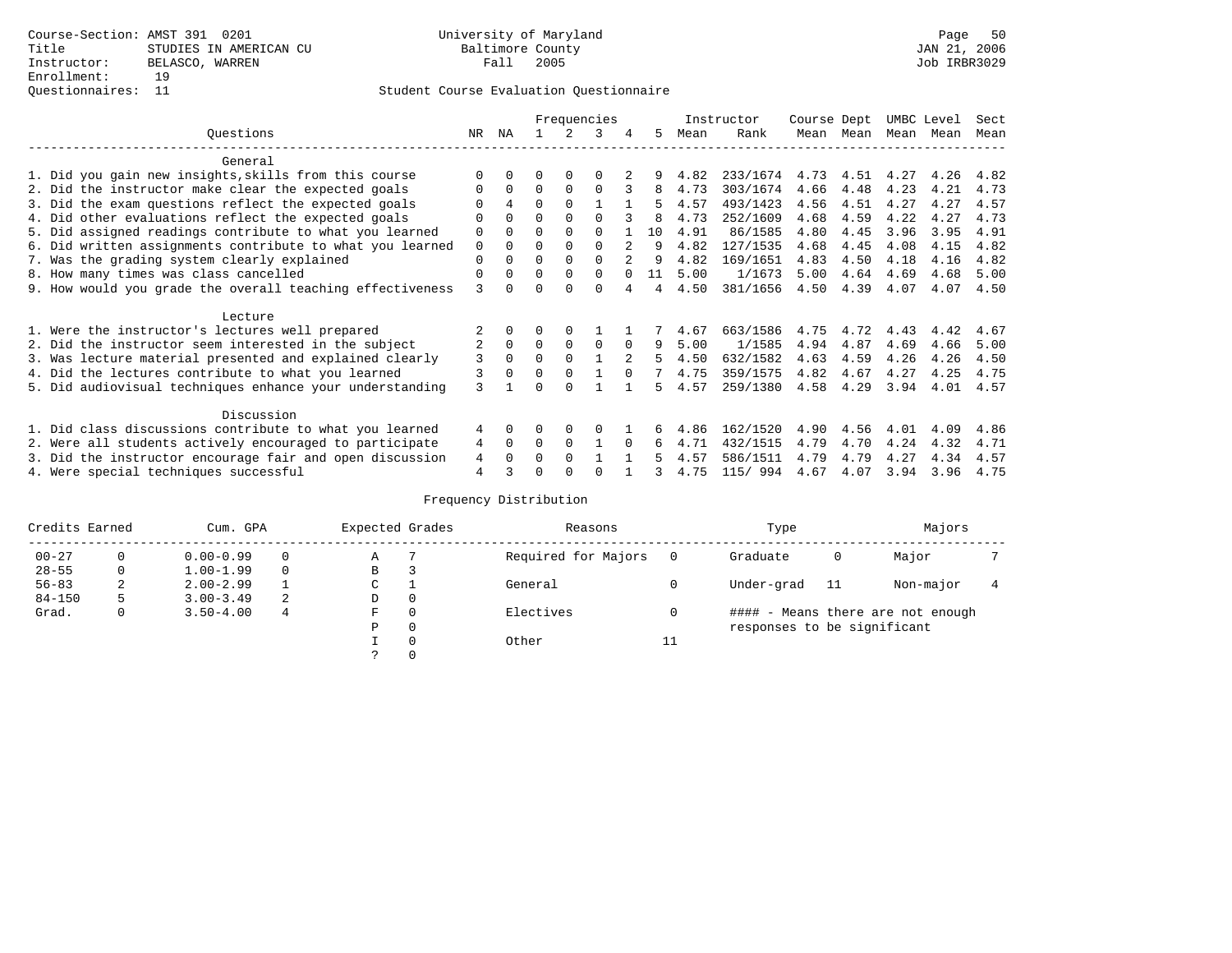|                                                           |          |              |          |             | Frequencies  |          |    |      | Instructor | Course Dept |      | UMBC Level |      | Sect |
|-----------------------------------------------------------|----------|--------------|----------|-------------|--------------|----------|----|------|------------|-------------|------|------------|------|------|
| Ouestions                                                 | NR.      | ΝA           |          |             | २            | 4        | 5  | Mean | Rank       | Mean        | Mean | Mean Mean  |      | Mean |
| General                                                   |          |              |          |             |              |          |    |      |            |             |      |            |      |      |
| 1. Did you gain new insights, skills from this course     |          |              | O        | O           |              |          |    | 4.82 | 233/1674   | 4.73        | 4.51 | 4.27       | 4.26 | 4.82 |
| 2. Did the instructor make clear the expected goals       |          | $\Omega$     | $\Omega$ | $\Omega$    | $\Omega$     |          | 8  | 4.73 | 303/1674   | 4.66        | 4.48 | 4.23       | 4.21 | 4.73 |
| 3. Did the exam questions reflect the expected goals      |          | 4            | $\Omega$ | $\Omega$    |              |          |    | 4.57 | 493/1423   | 4.56        | 4.51 | 4.27       | 4.27 | 4.57 |
| 4. Did other evaluations reflect the expected goals       | O        | $\Omega$     | O        | $\Omega$    | $\Omega$     |          | 8  | 4.73 | 252/1609   | 4.68        | 4.59 | 4.22       | 4.27 | 4.73 |
| 5. Did assigned readings contribute to what you learned   | 0        | $\Omega$     | U        | $\Omega$    | $\Omega$     |          | 10 | 4.91 | 86/1585    | 4.80        | 4.45 | 3.96       | 3.95 | 4.91 |
| 6. Did written assignments contribute to what you learned | 0        | $\Omega$     |          | $\Omega$    |              |          | 9  | 4.82 | 127/1535   | 4.68        | 4.45 | 4.08       | 4.15 | 4.82 |
| 7. Was the grading system clearly explained               | O        | $\Omega$     | U        | $\Omega$    | <sup>0</sup> |          |    | 4.82 | 169/1651   | 4.83        | 4.50 | 4.18       | 4.16 | 4.82 |
| 8. How many times was class cancelled                     | $\Omega$ | $\Omega$     | $\Omega$ | $\Omega$    | 0            |          | 11 | 5.00 | 1/1673     | 5.00        | 4.64 | 4.69       | 4.68 | 5.00 |
| 9. How would you grade the overall teaching effectiveness | 3        |              |          |             | U            |          | 4  | 4.50 | 381/1656   | 4.50        | 4.39 | 4.07       | 4.07 | 4.50 |
| Lecture                                                   |          |              |          |             |              |          |    |      |            |             |      |            |      |      |
| 1. Were the instructor's lectures well prepared           |          |              |          |             |              |          |    | 4.67 | 663/1586   | 4.75        | 4.72 | 4.43       | 4.42 | 4.67 |
| 2. Did the instructor seem interested in the subject      | 2        | $\mathbf{0}$ | $\Omega$ | $\mathbf 0$ | $\Omega$     | $\Omega$ | 9  | 5.00 | 1/1585     | 4.94        | 4.87 | 4.69       | 4.66 | 5.00 |
| 3. Was lecture material presented and explained clearly   | 3        | $\Omega$     | 0        | $\Omega$    |              |          | 5  | 4.50 | 632/1582   | 4.63        | 4.59 | 4.26       | 4.26 | 4.50 |
| 4. Did the lectures contribute to what you learned        |          |              | U        | $\Omega$    |              |          |    | 4.75 | 359/1575   | 4.82        | 4.67 | 4.27       | 4.25 | 4.75 |
| 5. Did audiovisual techniques enhance your understanding  | ζ        |              |          |             |              |          | Б. | 4.57 | 259/1380   | 4.58        | 4.29 | 3.94       | 4.01 | 4.57 |
| Discussion                                                |          |              |          |             |              |          |    |      |            |             |      |            |      |      |
| 1. Did class discussions contribute to what you learned   | 4        | 0            |          | $\Omega$    | O            |          |    | 4.86 | 162/1520   | 4.90        | 4.56 | 4.01       | 4.09 | 4.86 |
| 2. Were all students actively encouraged to participate   | 4        | $\Omega$     | $\Omega$ | $\Omega$    |              | $\Omega$ | 6  | 4.71 | 432/1515   | 4.79        | 4.70 | 4.24       | 4.32 | 4.71 |
| 3. Did the instructor encourage fair and open discussion  | 4        |              | U        | $\Omega$    |              |          |    | 4.57 | 586/1511   | 4.79        | 4.79 | 4.27       | 4.34 | 4.57 |
| 4. Were special techniques successful                     | 4        |              |          |             |              |          |    | 4.75 | 115/ 994   | 4.67        | 4.07 | 3.94       | 3.96 | 4.75 |

| Credits Earned |   | Cum. GPA      |   | Expected Grades |          | Reasons             |    | Type                        |     | Majors                            |  |
|----------------|---|---------------|---|-----------------|----------|---------------------|----|-----------------------------|-----|-----------------------------------|--|
| $00 - 27$      | 0 | $0.00 - 0.99$ |   | Α               |          | Required for Majors |    | Graduate                    | 0   | Major                             |  |
| $28 - 55$      | 0 | $1.00 - 1.99$ |   | В               | 3        |                     |    |                             |     |                                   |  |
| $56 - 83$      | 2 | $2.00 - 2.99$ |   | ◡               |          | General             |    | Under-grad                  | -11 | Non-major                         |  |
| $84 - 150$     | 5 | $3.00 - 3.49$ | 2 | D               | 0        |                     |    |                             |     |                                   |  |
| Grad.          | 0 | $3.50 - 4.00$ | 4 | F               | 0        | Electives           |    |                             |     | #### - Means there are not enough |  |
|                |   |               |   | Ρ               | 0        |                     |    | responses to be significant |     |                                   |  |
|                |   |               |   |                 | $\Omega$ | Other               | 11 |                             |     |                                   |  |
|                |   |               |   | C.              |          |                     |    |                             |     |                                   |  |